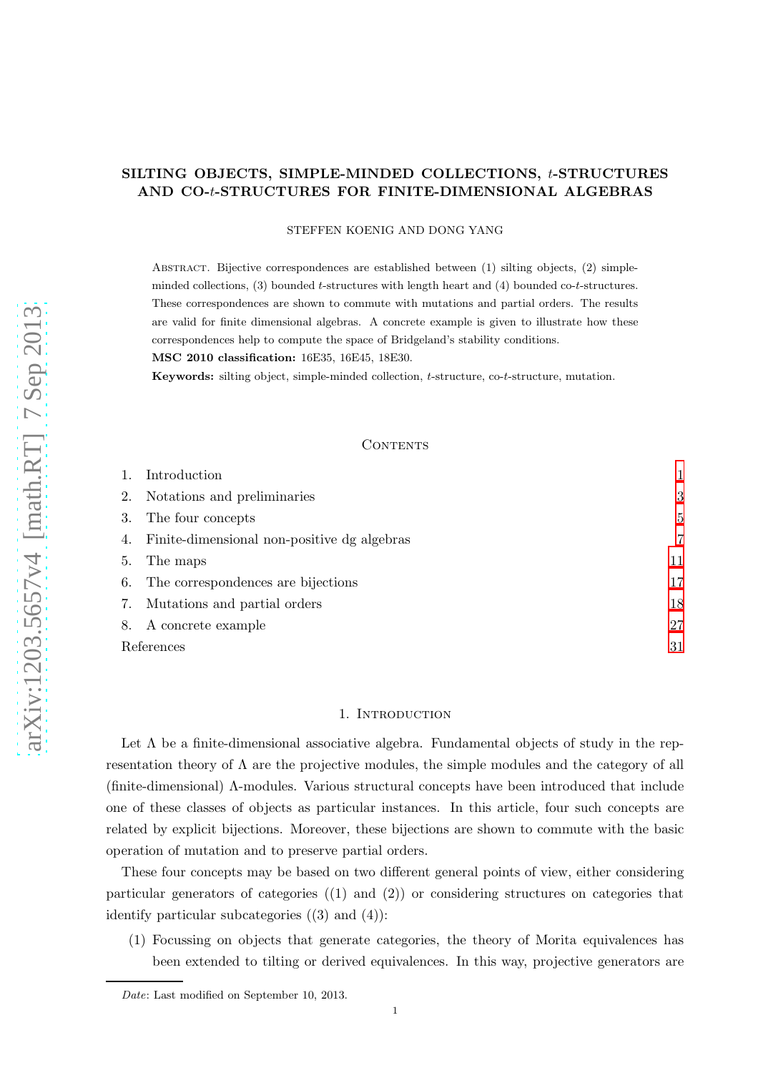# SILTING OBJECTS, SIMPLE-MINDED COLLECTIONS, t-STRUCTURES AND CO-t-STRUCTURES FOR FINITE-DIMENSIONAL ALGEBRAS

## STEFFEN KOENIG AND DONG YANG

Abstract. Bijective correspondences are established between (1) silting objects, (2) simpleminded collections,  $(3)$  bounded t-structures with length heart and  $(4)$  bounded co-t-structures. These correspondences are shown to commute with mutations and partial orders. The results are valid for finite dimensional algebras. A concrete example is given to illustrate how these correspondences help to compute the space of Bridgeland's stability conditions.

MSC 2010 classification: 16E35, 16E45, 18E30.

Keywords: silting object, simple-minded collection, t-structure, co-t-structure, mutation.

#### **CONTENTS**

|            | Introduction                                   |    |
|------------|------------------------------------------------|----|
|            | 2. Notations and preliminaries                 | 3  |
| 3.         | The four concepts                              | 5  |
|            | 4. Finite-dimensional non-positive dg algebras | 7  |
| 5.         | The maps                                       | 11 |
|            | 6. The correspondences are bijections          | 17 |
|            | 7. Mutations and partial orders                | 18 |
|            | 8. A concrete example                          | 27 |
| References |                                                | 31 |

#### 1. INTRODUCTION

<span id="page-0-0"></span>Let  $\Lambda$  be a finite-dimensional associative algebra. Fundamental objects of study in the representation theory of  $\Lambda$  are the projective modules, the simple modules and the category of all (finite-dimensional) Λ-modules. Various structural concepts have been introduced that include one of these classes of objects as particular instances. In this article, four such concepts are related by explicit bijections. Moreover, these bijections are shown to commute with the basic operation of mutation and to preserve partial orders.

These four concepts may be based on two different general points of view, either considering particular generators of categories ((1) and (2)) or considering structures on categories that identify particular subcategories  $(3)$  and  $(4)$ :

(1) Focussing on objects that generate categories, the theory of Morita equivalences has been extended to tilting or derived equivalences. In this way, projective generators are

Date: Last modified on September 10, 2013.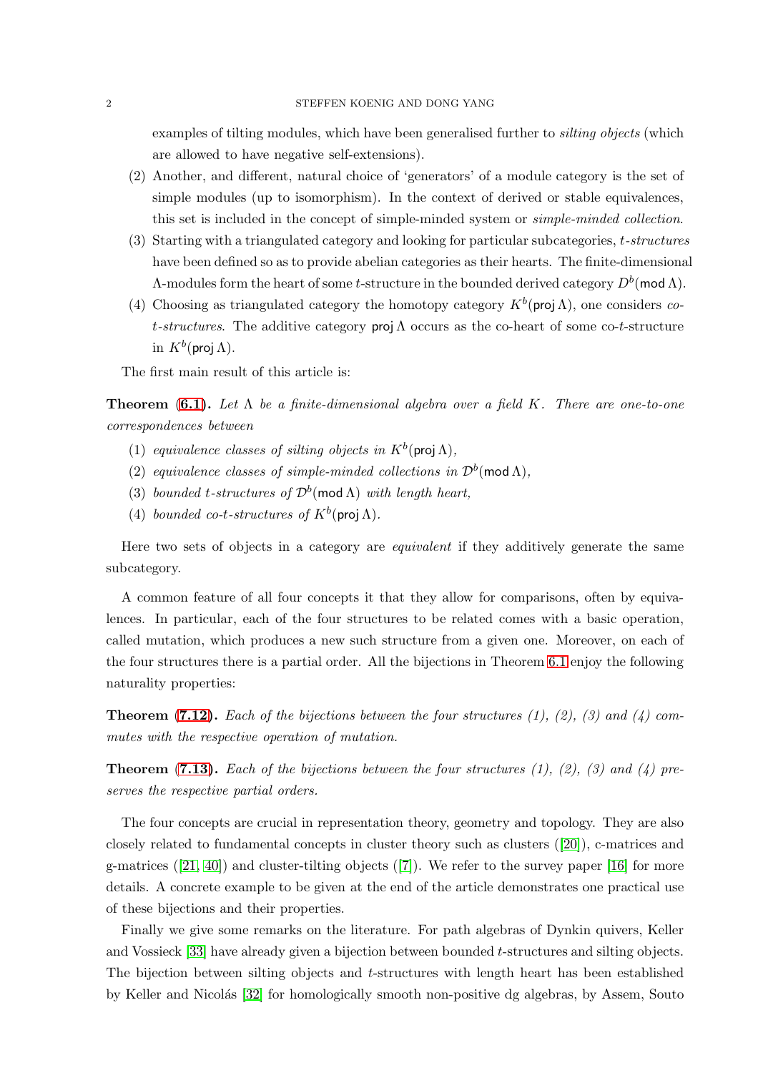examples of tilting modules, which have been generalised further to *silting objects* (which are allowed to have negative self-extensions).

- (2) Another, and different, natural choice of 'generators' of a module category is the set of simple modules (up to isomorphism). In the context of derived or stable equivalences, this set is included in the concept of simple-minded system or simple-minded collection.
- (3) Starting with a triangulated category and looking for particular subcategories, t-structures have been defined so as to provide abelian categories as their hearts. The finite-dimensional Λ-modules form the heart of some *t*-structure in the bounded derived category  $D^b$ (mod Λ).
- (4) Choosing as triangulated category the homotopy category  $K^b$ (proj  $\Lambda$ ), one considers cot-structures. The additive category proj  $\Lambda$  occurs as the co-heart of some co-t-structure in  $K^b(\operatorname{\mathsf{proj}}\nolimits \Lambda).$

The first main result of this article is:

**Theorem ([6.1\)](#page-17-1).** Let  $\Lambda$  be a finite-dimensional algebra over a field K. There are one-to-one correspondences between

- (1) equivalence classes of silting objects in  $K^b$ (proj $\Lambda$ ),
- (2) equivalence classes of simple-minded collections in  $\mathcal{D}^b(\text{mod }\Lambda)$ ,
- (3) bounded t-structures of  $\mathcal{D}^b(\text{mod }\Lambda)$  with length heart,
- (4) bounded co-t-structures of  $K^b$ (proj  $\Lambda$ ).

Here two sets of objects in a category are equivalent if they additively generate the same subcategory.

A common feature of all four concepts it that they allow for comparisons, often by equivalences. In particular, each of the four structures to be related comes with a basic operation, called mutation, which produces a new such structure from a given one. Moreover, on each of the four structures there is a partial order. All the bijections in Theorem [6.1](#page-17-1) enjoy the following naturality properties:

**Theorem ([7.12\)](#page-24-0).** Each of the bijections between the four structures (1), (2), (3) and (4) commutes with the respective operation of mutation.

**Theorem ([7.13\)](#page-25-0).** Each of the bijections between the four structures (1), (2), (3) and (4) preserves the respective partial orders.

The four concepts are crucial in representation theory, geometry and topology. They are also closely related to fundamental concepts in cluster theory such as clusters([\[20\]](#page-30-1)), c-matrices and g-matrices $([21, 40])$  $([21, 40])$  $([21, 40])$  $([21, 40])$  and cluster-tilting objects  $([7])$  $([7])$  $([7])$ . We refer to the survey paper [\[16\]](#page-30-4) for more details. A concrete example to be given at the end of the article demonstrates one practical use of these bijections and their properties.

Finally we give some remarks on the literature. For path algebras of Dynkin quivers, Keller and Vossieck [\[33\]](#page-31-1) have already given a bijection between bounded t-structures and silting objects. The bijection between silting objects and t-structures with length heart has been established by Keller and Nicolás [\[32\]](#page-31-2) for homologically smooth non-positive dg algebras, by Assem, Souto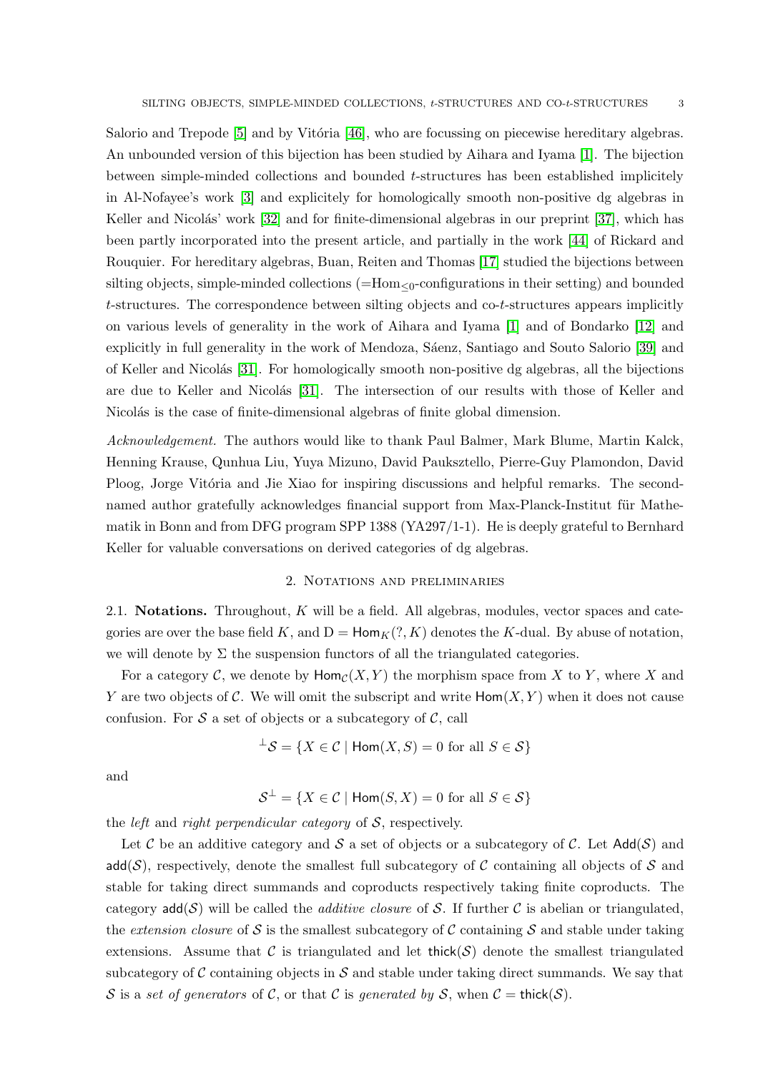Salorio and Trepode [\[5\]](#page-30-5) and by Vitória [\[46\]](#page-31-3), who are focussing on piecewise hereditary algebras. An unbounded version of this bijection has been studied by Aihara and Iyama [\[1\]](#page-30-6). The bijection between simple-minded collections and bounded t-structures has been established implicitely in Al-Nofayee's work [\[3\]](#page-30-7) and explicitely for homologically smooth non-positive dg algebras in Keller and Nicolás' work  $[32]$  and for finite-dimensional algebras in our preprint  $[37]$ , which has been partly incorporated into the present article, and partially in the work [\[44\]](#page-31-5) of Rickard and Rouquier. For hereditary algebras, Buan, Reiten and Thomas [\[17\]](#page-30-8) studied the bijections between silting objects, simple-minded collections  $(=Hom<sub>0</sub>-configurations$  in their setting) and bounded t-structures. The correspondence between silting objects and co-t-structures appears implicitly on various levels of generality in the work of Aihara and Iyama [\[1\]](#page-30-6) and of Bondarko [\[12\]](#page-30-9) and explicitly in full generality in the work of Mendoza, Sáenz, Santiago and Souto Salorio [\[39\]](#page-31-6) and of Keller and Nicolás [\[31\]](#page-31-7). For homologically smooth non-positive dg algebras, all the bijections are due to Keller and Nicolás [\[31\]](#page-31-7). The intersection of our results with those of Keller and Nicolás is the case of finite-dimensional algebras of finite global dimension.

Acknowledgement. The authors would like to thank Paul Balmer, Mark Blume, Martin Kalck, Henning Krause, Qunhua Liu, Yuya Mizuno, David Pauksztello, Pierre-Guy Plamondon, David Ploog, Jorge Vitória and Jie Xiao for inspiring discussions and helpful remarks. The secondnamed author gratefully acknowledges financial support from Max-Planck-Institut für Mathematik in Bonn and from DFG program SPP 1388 (YA297/1-1). He is deeply grateful to Bernhard Keller for valuable conversations on derived categories of dg algebras.

### 2. Notations and preliminaries

<span id="page-2-0"></span>2.1. Notations. Throughout, K will be a field. All algebras, modules, vector spaces and categories are over the base field K, and  $D = Hom_K(?, K)$  denotes the K-dual. By abuse of notation, we will denote by  $\Sigma$  the suspension functors of all the triangulated categories.

For a category C, we denote by  $\text{Hom}_{\mathcal{C}}(X, Y)$  the morphism space from X to Y, where X and Y are two objects of C. We will omit the subscript and write  $\text{Hom}(X, Y)$  when it does not cause confusion. For  $S$  a set of objects or a subcategory of  $C$ , call

$$
{}^{\perp}\mathcal{S} = \{ X \in \mathcal{C} \mid \text{Hom}(X, S) = 0 \text{ for all } S \in \mathcal{S} \}
$$

and

$$
\mathcal{S}^{\perp} = \{ X \in \mathcal{C} \mid \text{Hom}(S, X) = 0 \text{ for all } S \in \mathcal{S} \}
$$

the *left* and *right perpendicular category* of  $S$ , respectively.

Let C be an additive category and S a set of objects or a subcategory of C. Let  $Add(S)$  and add( $S$ ), respectively, denote the smallest full subcategory of C containing all objects of S and stable for taking direct summands and coproducts respectively taking finite coproducts. The category  $add(S)$  will be called the *additive closure* of S. If further C is abelian or triangulated, the extension closure of S is the smallest subcategory of C containing S and stable under taking extensions. Assume that C is triangulated and let thick( $\mathcal{S}$ ) denote the smallest triangulated subcategory of  $\mathcal C$  containing objects in  $\mathcal S$  and stable under taking direct summands. We say that S is a set of generators of C, or that C is generated by S, when  $C = \text{thick}(\mathcal{S})$ .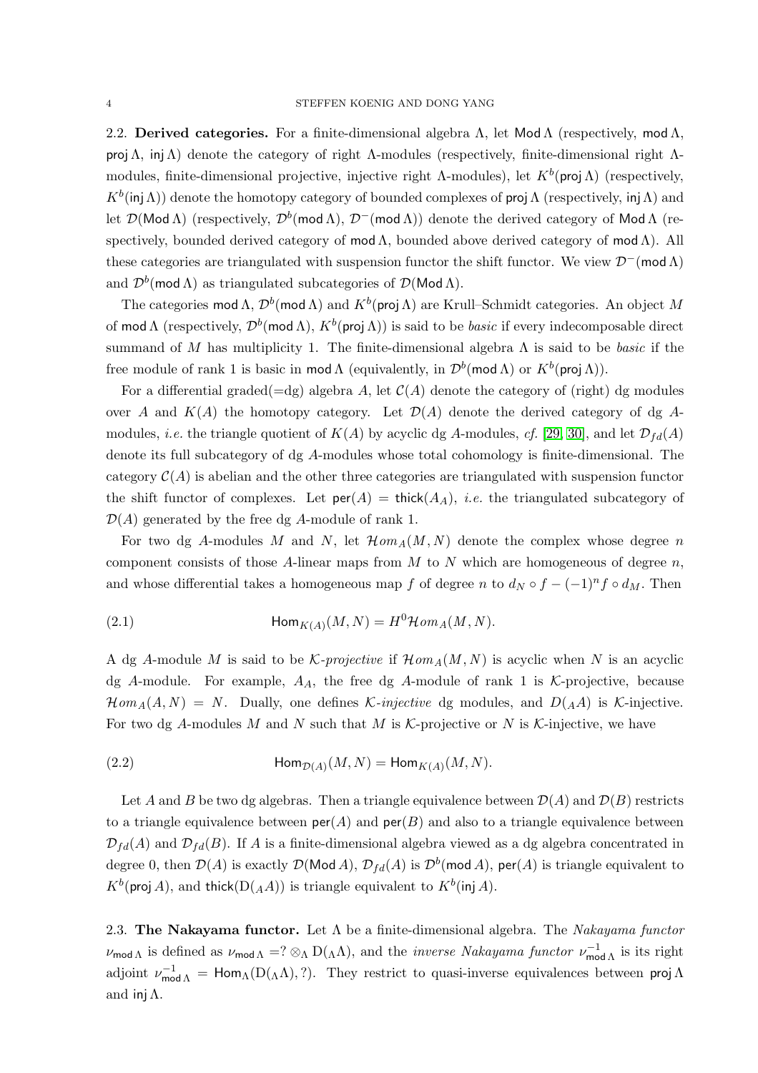2.2. Derived categories. For a finite-dimensional algebra  $\Lambda$ , let Mod  $\Lambda$  (respectively, mod  $\Lambda$ , **proj**  $Λ$ , inj $Λ$ ) denote the category of right  $Λ$ -modules (respectively, finite-dimensional right  $Λ$ modules, finite-dimensional projective, injective right  $\Lambda$ -modules), let  $K^b$ (proj $\Lambda$ ) (respectively,  $K^b(\textsf{inj}\,\Lambda)$  denote the homotopy category of bounded complexes of proj  $\Lambda$  (respectively, inj  $\Lambda$ ) and let  $\mathcal{D}(\mathsf{Mod}\,\Lambda)$  (respectively,  $\mathcal{D}^b(\mathsf{mod}\,\Lambda)$ ,  $\mathcal{D}^-(\mathsf{mod}\,\Lambda)$ ) denote the derived category of  $\mathsf{Mod}\,\Lambda$  (respectively, bounded derived category of mod  $\Lambda$ , bounded above derived category of mod  $\Lambda$ ). All these categories are triangulated with suspension functor the shift functor. We view  $\mathcal{D}^{-}(\text{mod }\Lambda)$ and  $\mathcal{D}^b(\textsf{mod}\,\Lambda)$  as triangulated subcategories of  $\mathcal{D}(\textsf{Mod}\,\Lambda)$ .

The categories  $mod \Lambda$ ,  $\mathcal{D}^b(\textsf{mod}\,\Lambda)$  and  $K^b(\textsf{proj}\,\Lambda)$  are Krull–Schmidt categories. An object  $M$ of mod Λ (respectively,  $\mathcal{D}^b$ (mod Λ),  $K^b$ (proj Λ)) is said to be *basic* if every indecomposable direct summand of M has multiplicity 1. The finite-dimensional algebra  $\Lambda$  is said to be *basic* if the free module of rank 1 is basic in mod  $\Lambda$  (equivalently, in  $\mathcal{D}^b(\text{mod }\Lambda)$  or  $K^b(\text{proj }\Lambda)$ ).

For a differential graded( $=dg$ ) algebra A, let  $C(A)$  denote the category of (right) dg modules over A and  $K(A)$  the homotopy category. Let  $\mathcal{D}(A)$  denote the derived category of dg Amodules, *i.e.* the triangle quotient of  $K(A)$  by acyclic dg A-modules, cf. [\[29,](#page-31-8) [30\]](#page-31-9), and let  $\mathcal{D}_{fd}(A)$ denote its full subcategory of dg A-modules whose total cohomology is finite-dimensional. The category  $C(A)$  is abelian and the other three categories are triangulated with suspension functor the shift functor of complexes. Let  $\textsf{per}(A) = \textsf{thick}(A_A)$ , *i.e.* the triangulated subcategory of  $\mathcal{D}(A)$  generated by the free dg A-module of rank 1.

For two dg A-modules M and N, let  $\mathcal{H}om_A(M, N)$  denote the complex whose degree n component consists of those A-linear maps from  $M$  to  $N$  which are homogeneous of degree  $n$ , and whose differential takes a homogeneous map f of degree n to  $d_N \circ f - (-1)^n f \circ d_M$ . Then

<span id="page-3-0"></span>(2.1) 
$$
\operatorname{Hom}_{K(A)}(M, N) = H^0 \mathcal{H}om_A(M, N).
$$

A dg A-module M is said to be K-projective if  $\mathcal{H}om_A(M, N)$  is acyclic when N is an acyclic dg A-module. For example,  $A_A$ , the free dg A-module of rank 1 is K-projective, because  $\mathcal{H}om_A(A, N) = N$ . Dually, one defines *K*-injective dg modules, and  $D(AA)$  is *K*-injective. For two dg A-modules M and N such that M is  $K$ -projective or N is K-injective, we have

<span id="page-3-1"></span>(2.2) 
$$
\operatorname{Hom}_{\mathcal{D}(A)}(M,N) = \operatorname{Hom}_{K(A)}(M,N).
$$

Let A and B be two dg algebras. Then a triangle equivalence between  $\mathcal{D}(A)$  and  $\mathcal{D}(B)$  restricts to a triangle equivalence between  $\text{per}(A)$  and  $\text{per}(B)$  and also to a triangle equivalence between  $\mathcal{D}_{fd}(A)$  and  $\mathcal{D}_{fd}(B)$ . If A is a finite-dimensional algebra viewed as a dg algebra concentrated in degree 0, then  $\mathcal{D}(A)$  is exactly  $\mathcal{D}(\mathsf{Mod}\,A)$ ,  $\mathcal{D}_{fd}(A)$  is  $\mathcal{D}^b(\mathsf{mod}\,A)$ ,  $\mathsf{per}(A)$  is triangle equivalent to  $K^b$ (proj A), and thick $(D(AA))$  is triangle equivalent to  $K^b$ (inj A).

<span id="page-3-2"></span>2.3. The Nakayama functor. Let  $\Lambda$  be a finite-dimensional algebra. The Nakayama functor  $\nu_{\text{mod }\Lambda}$  is defined as  $\nu_{\text{mod }\Lambda} = ? \otimes_{\Lambda} D(\Lambda \Lambda)$ , and the *inverse Nakayama functor*  $\nu_{\text{mod }}^{\text{-1}}$  $\int_{\text{mod }\Lambda}^{-1}$  is its right adjoint  $\nu_{\text{mod }\Lambda}^{-1} = \text{Hom}_{\Lambda}(D(\Lambda\Lambda), ?)$ . They restrict to quasi-inverse equivalences between proj  $\Lambda$ and inj $\Lambda$ .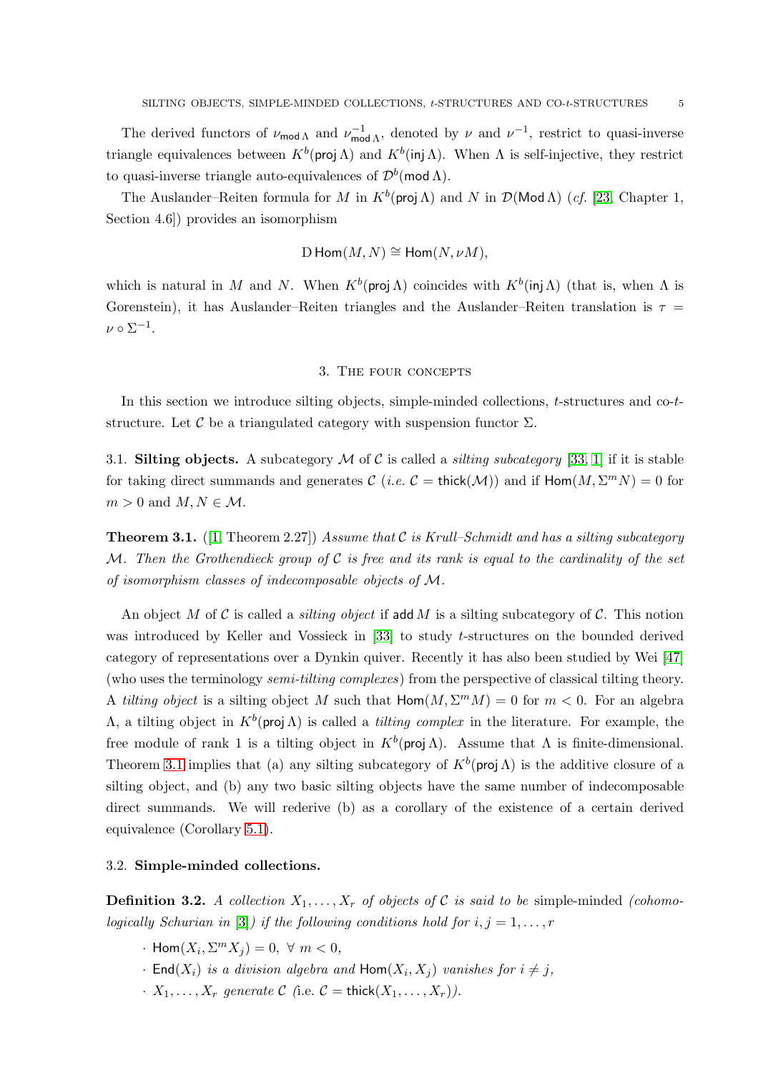The derived functors of  $\nu_{\text{mod }\Lambda}$  and  $\nu_{\text{mod }}^{\text{-1}}$  $\mu_{\text{mod }\Lambda}^{-1}$ , denoted by *ν* and  $\nu^{-1}$ , restrict to quasi-inverse triangle equivalences between  $K^b$ (proj  $\Lambda$ ) and  $K^b$ (inj  $\Lambda$ ). When  $\Lambda$  is self-injective, they restrict to quasi-inverse triangle auto-equivalences of  $\mathcal{D}^{b}(\text{mod }\Lambda)$ .

The Auslander–Reiten formula for M in  $K^b$ (proj  $\Lambda$ ) and N in  $\mathcal{D}(\text{Mod }\Lambda)$  (*cf.* [\[23,](#page-30-10) Chapter 1, Section 4.6]) provides an isomorphism

$$
\mathcal{D}\operatorname{Hom}(M,N)\cong\operatorname{Hom}(N,\nu M),
$$

<span id="page-4-0"></span>which is natural in M and N. When  $K^b$ (proj  $\Lambda$ ) coincides with  $K^b$ (inj  $\Lambda$ ) (that is, when  $\Lambda$  is Gorenstein), it has Auslander–Reiten triangles and the Auslander–Reiten translation is  $\tau =$  $\nu \circ \Sigma^{-1}.$ 

## 3. The four concepts

In this section we introduce silting objects, simple-minded collections, t-structures and co-tstructure. Let C be a triangulated category with suspension functor  $\Sigma$ .

<span id="page-4-2"></span>3.1. Silting objects. A subcategory  $M$  of  $C$  is called a *silting subcategory* [\[33,](#page-31-1) [1\]](#page-30-6) if it is stable for taking direct summands and generates  $\mathcal C$  (*i.e.*  $\mathcal C$  = thick( $\mathcal M$ )) and if  $\textsf{Hom}(M,\Sigma^mN)=0$  for  $m > 0$  and  $M, N \in \mathcal{M}$ .

<span id="page-4-1"></span>**Theorem 3.1.** ([\[1,](#page-30-6) Theorem 2.27]) Assume that C is Krull–Schmidt and has a silting subcategory M. Then the Grothendieck group of  $\mathcal C$  is free and its rank is equal to the cardinality of the set of isomorphism classes of indecomposable objects of M.

An object M of C is called a *silting object* if add M is a silting subcategory of C. This notion was introduced by Keller and Vossieck in [\[33\]](#page-31-1) to study t-structures on the bounded derived category of representations over a Dynkin quiver. Recently it has also been studied by Wei [\[47\]](#page-31-10) (who uses the terminology semi-tilting complexes) from the perspective of classical tilting theory. A tilting object is a silting object M such that  $\text{Hom}(M, \Sigma^m M) = 0$  for  $m < 0$ . For an algebra  $Λ$ , a tilting object in  $K^b$ (proj $Λ$ ) is called a *tilting complex* in the literature. For example, the free module of rank 1 is a tilting object in  $K^b$ (proj Λ). Assume that Λ is finite-dimensional. Theorem [3.1](#page-4-1) implies that (a) any silting subcategory of  $K^b$ (proj  $\Lambda$ ) is the additive closure of a silting object, and (b) any two basic silting objects have the same number of indecomposable direct summands. We will rederive (b) as a corollary of the existence of a certain derived equivalence (Corollary [5.1\)](#page-12-0).

### 3.2. Simple-minded collections.

**Definition 3.2.** A collection  $X_1, \ldots, X_r$  of objects of C is said to be simple-minded (cohomo-logically Schurian in [\[3\]](#page-30-7)) if the following conditions hold for  $i, j = 1, \ldots, r$ 

- $\cdot$  Hom $(X_i, \Sigma^m X_j) = 0, \forall m < 0,$
- $\cdot$  End $(X_i)$  is a division algebra and  $\textsf{Hom}(X_i,X_j)$  vanishes for  $i \neq j$ ,
- $\cdot X_1, \ldots, X_r$  generate C (i.e.  $\mathcal{C} = \text{thick}(X_1, \ldots, X_r)$ ).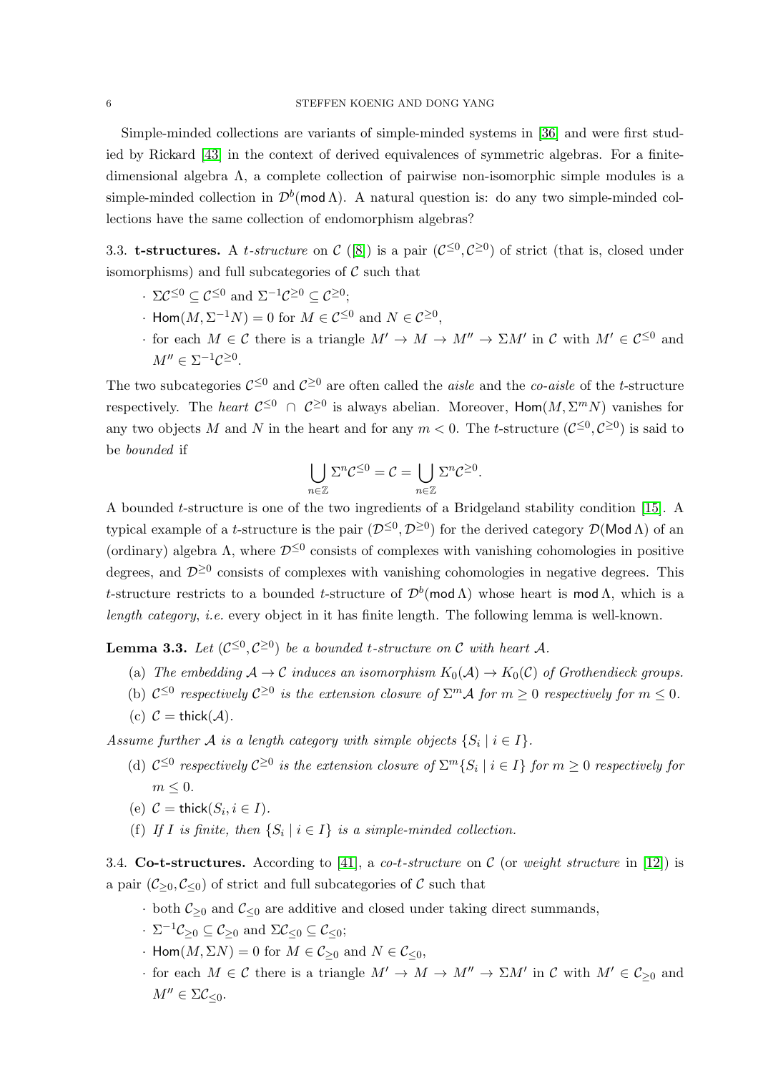Simple-minded collections are variants of simple-minded systems in [\[36\]](#page-31-11) and were first studied by Rickard [\[43\]](#page-31-12) in the context of derived equivalences of symmetric algebras. For a finitedimensional algebra Λ, a complete collection of pairwise non-isomorphic simple modules is a simple-minded collection in  $\mathcal{D}^b(\text{mod }\Lambda)$ . A natural question is: do any two simple-minded collections have the same collection of endomorphism algebras?

3.3. **t-structures.** A *t-structure* on  $C([8])$  $C([8])$  $C([8])$  is a pair  $(C^{\leq 0}, C^{\geq 0})$  of strict (that is, closed under isomorphisms) and full subcategories of  $\mathcal C$  such that

- $\cdot \ \Sigma \mathcal{C}^{\leq 0} \subseteq \mathcal{C}^{\leq 0}$  and  $\Sigma^{-1} \mathcal{C}^{\geq 0} \subseteq \mathcal{C}^{\geq 0}$ ;
- $\cdot$  Hom $(M, \Sigma^{-1}N) = 0$  for  $M \in C^{\leq 0}$  and  $N \in C^{\geq 0}$ ,
- for each  $M \in \mathcal{C}$  there is a triangle  $M' \to M \to M'' \to \Sigma M'$  in  $\mathcal{C}$  with  $M' \in \mathcal{C}^{\leq 0}$  and  $M'' \in \Sigma^{-1} \mathcal{C}^{\geq 0}.$

The two subcategories  $\mathcal{C}^{\leq 0}$  and  $\mathcal{C}^{\geq 0}$  are often called the *aisle* and the *co-aisle* of the *t*-structure respectively. The *heart*  $C^{\leq 0}$   $\cap$   $C^{\geq 0}$  is always abelian. Moreover,  $\text{Hom}(M, \Sigma^m N)$  vanishes for any two objects M and N in the heart and for any  $m < 0$ . The t-structure  $(\mathcal{C}^{\leq 0}, \mathcal{C}^{\geq 0})$  is said to be bounded if

$$
\bigcup_{n\in\mathbb{Z}}\Sigma^n\mathcal{C}^{\leq 0}=\mathcal{C}=\bigcup_{n\in\mathbb{Z}}\Sigma^n\mathcal{C}^{\geq 0}.
$$

A bounded t-structure is one of the two ingredients of a Bridgeland stability condition [\[15\]](#page-30-12). A typical example of a *t*-structure is the pair  $(D^{\leq 0}, D^{\geq 0})$  for the derived category  $\mathcal{D}(\text{Mod }\Lambda)$  of an (ordinary) algebra  $\Lambda$ , where  $\mathcal{D}^{\leq 0}$  consists of complexes with vanishing cohomologies in positive degrees, and  $\mathcal{D}^{\geq 0}$  consists of complexes with vanishing cohomologies in negative degrees. This t-structure restricts to a bounded t-structure of  $\mathcal{D}^b(\text{mod }\Lambda)$  whose heart is mod  $\Lambda$ , which is a length category, i.e. every object in it has finite length. The following lemma is well-known.

<span id="page-5-0"></span>**Lemma 3.3.** Let  $(C^{\leq 0}, C^{\geq 0})$  be a bounded t-structure on C with heart A.

- (a) The embedding  $A \to C$  induces an isomorphism  $K_0(A) \to K_0(C)$  of Grothendieck groups.
- (b)  $C^{\leq 0}$  respectively  $C^{\geq 0}$  is the extension closure of  $\Sigma^m \mathcal{A}$  for  $m \geq 0$  respectively for  $m \leq 0$ .
- (c)  $C = \mathsf{thick}(\mathcal{A})$ .

Assume further  $A$  is a length category with simple objects  $\{S_i \mid i \in I\}$ .

- (d)  $C^{\leq 0}$  respectively  $C^{\geq 0}$  is the extension closure of  $\Sigma^m \{S_i \mid i \in I\}$  for  $m \geq 0$  respectively for  $m \leq 0$ .
- (e)  $C = \mathsf{thick}(S_i, i \in I)$ .
- (f) If I is finite, then  $\{S_i \mid i \in I\}$  is a simple-minded collection.

3.4. Co-t-structures. According to [\[41\]](#page-31-13), a co-t-structure on C (or weight structure in [\[12\]](#page-30-9)) is a pair  $(C_{\geq 0}, C_{\leq 0})$  of strict and full subcategories of C such that

- both  $\mathcal{C}_{\geq 0}$  and  $\mathcal{C}_{\leq 0}$  are additive and closed under taking direct summands,
- $\cdot$   $\Sigma^{-1}\mathcal{C}_{\geq 0} \subseteq \mathcal{C}_{\geq 0}$  and  $\Sigma \mathcal{C}_{\leq 0} \subseteq \mathcal{C}_{\leq 0}$ ;
- $\cdot$  Hom $(M, \Sigma N) = 0$  for  $M \in \mathcal{C}_{\geq 0}$  and  $N \in \mathcal{C}_{\leq 0}$ ,
- for each  $M \in \mathcal{C}$  there is a triangle  $M' \to M \to M'' \to \Sigma M'$  in  $\mathcal{C}$  with  $M' \in \mathcal{C}_{\geq 0}$  and  $M'' \in \Sigma \mathcal{C}_{\leq 0}.$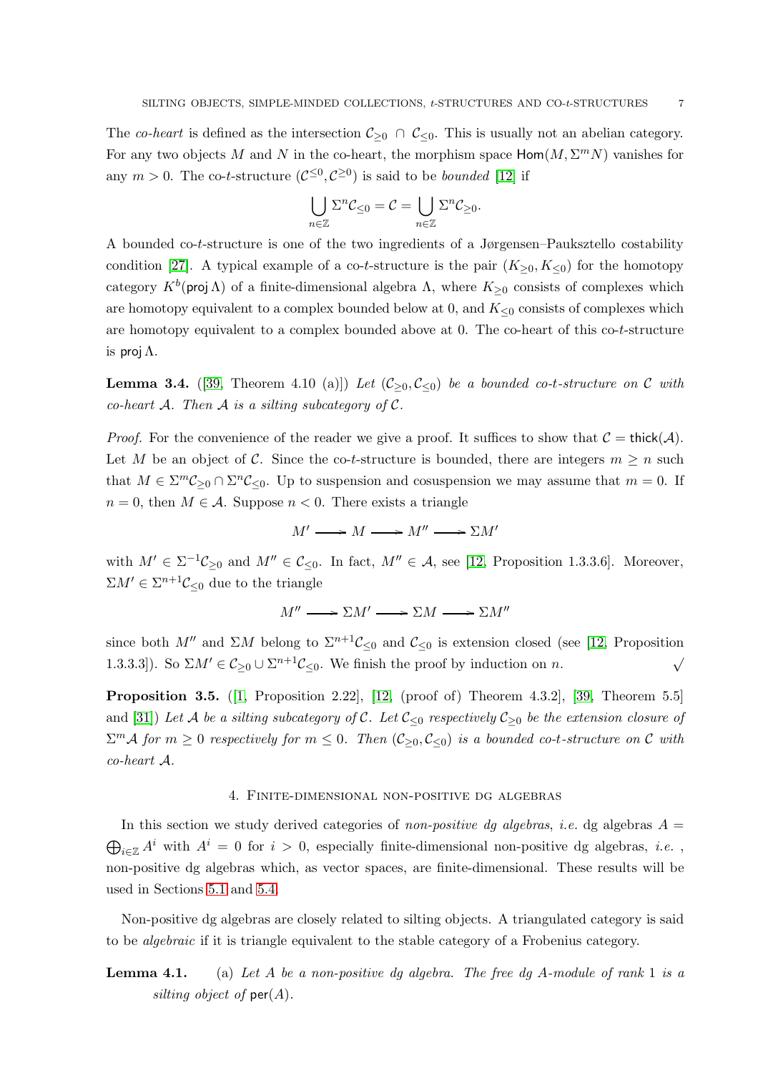The co-heart is defined as the intersection  $\mathcal{C}_{\geq 0} \cap \mathcal{C}_{\leq 0}$ . This is usually not an abelian category. For any two objects M and N in the co-heart, the morphism space  $\text{Hom}(M, \Sigma^m N)$  vanishes for any  $m > 0$ . The co-t-structure  $(C^{\leq 0}, C^{\geq 0})$  is said to be *bounded* [\[12\]](#page-30-9) if

$$
\bigcup_{n\in\mathbb{Z}}\Sigma^n\mathcal{C}_{\leq 0}=\mathcal{C}=\bigcup_{n\in\mathbb{Z}}\Sigma^n\mathcal{C}_{\geq 0}.
$$

A bounded co-t-structure is one of the two ingredients of a Jørgensen–Pauksztello costability condition [\[27\]](#page-31-14). A typical example of a co-t-structure is the pair  $(K_{\geq 0}, K_{\leq 0})$  for the homotopy category  $K^b$ (proj  $\Lambda$ ) of a finite-dimensional algebra  $\Lambda$ , where  $K_{\geq 0}$  consists of complexes which are homotopy equivalent to a complex bounded below at 0, and  $K_{\leq 0}$  consists of complexes which are homotopy equivalent to a complex bounded above at 0. The co-heart of this co-t-structure is proj  $\Lambda$ .

<span id="page-6-2"></span>**Lemma 3.4.** ([\[39,](#page-31-6) Theorem 4.10 (a)]) Let  $(C_{\geq 0}, C_{\leq 0})$  be a bounded co-t-structure on C with co-heart A. Then A is a silting subcategory of  $\mathcal{C}$ .

*Proof.* For the convenience of the reader we give a proof. It suffices to show that  $C = \text{thick}(A)$ . Let M be an object of C. Since the co-t-structure is bounded, there are integers  $m \geq n$  such that  $M \in \sum^{m} \mathcal{C}_{\geq 0} \cap \sum^{n} \mathcal{C}_{\leq 0}$ . Up to suspension and cosuspension we may assume that  $m = 0$ . If  $n = 0$ , then  $M \in \mathcal{A}$ . Suppose  $n < 0$ . There exists a triangle

$$
M' \longrightarrow M \longrightarrow M'' \longrightarrow \Sigma M'
$$

with  $M' \in \Sigma^{-1}C_{\geq 0}$  and  $M'' \in C_{\leq 0}$ . In fact,  $M'' \in \mathcal{A}$ , see [\[12,](#page-30-9) Proposition 1.3.3.6]. Moreover,  $\Sigma M' \in \Sigma^{n+1} C_{\leq 0}$  due to the triangle

 $M'' \longrightarrow \Sigma M' \longrightarrow \Sigma M \longrightarrow \Sigma M''$ 

since both M'' and  $\Sigma M$  belong to  $\Sigma^{n+1}C_{\leq 0}$  and  $C_{\leq 0}$  is extension closed (see [\[12,](#page-30-9) Proposition 1.3.3.3]). So  $\Sigma M' \in \mathcal{C}_{\geq 0} \cup \Sigma^{n+1} \mathcal{C}_{\leq 0}$ . We finish the proof by induction on n. √

<span id="page-6-1"></span>Proposition 3.5. ([\[1,](#page-30-6) Proposition 2.22], [\[12,](#page-30-9) (proof of) Theorem 4.3.2], [\[39,](#page-31-6) Theorem 5.5] and [\[31\]](#page-31-7)) Let A be a silting subcategory of C. Let  $\mathcal{C}_{\leq 0}$  respectively  $\mathcal{C}_{\geq 0}$  be the extension closure of  $\sum^{m} A$  for  $m \geq 0$  respectively for  $m \leq 0$ . Then  $(\mathcal{C}_{\geq 0}, \mathcal{C}_{\leq 0})$  is a bounded co-t-structure on  $\mathcal C$  with co-heart A.

#### 4. Finite-dimensional non-positive dg algebras

<span id="page-6-0"></span>In this section we study derived categories of non-positive dg algebras, i.e. dg algebras  $A =$  $\bigoplus_{i\in\mathbb{Z}}A^i$  with  $A^i=0$  for  $i>0$ , especially finite-dimensional non-positive dg algebras, *i.e.*, non-positive dg algebras which, as vector spaces, are finite-dimensional. These results will be used in Sections [5.1](#page-11-0) and [5.4.](#page-13-0)

Non-positive dg algebras are closely related to silting objects. A triangulated category is said to be algebraic if it is triangle equivalent to the stable category of a Frobenius category.

**Lemma 4.1.** (a) Let A be a non-positive dg algebra. The free dg A-module of rank 1 is a silting object of  $\textsf{per}(A)$ .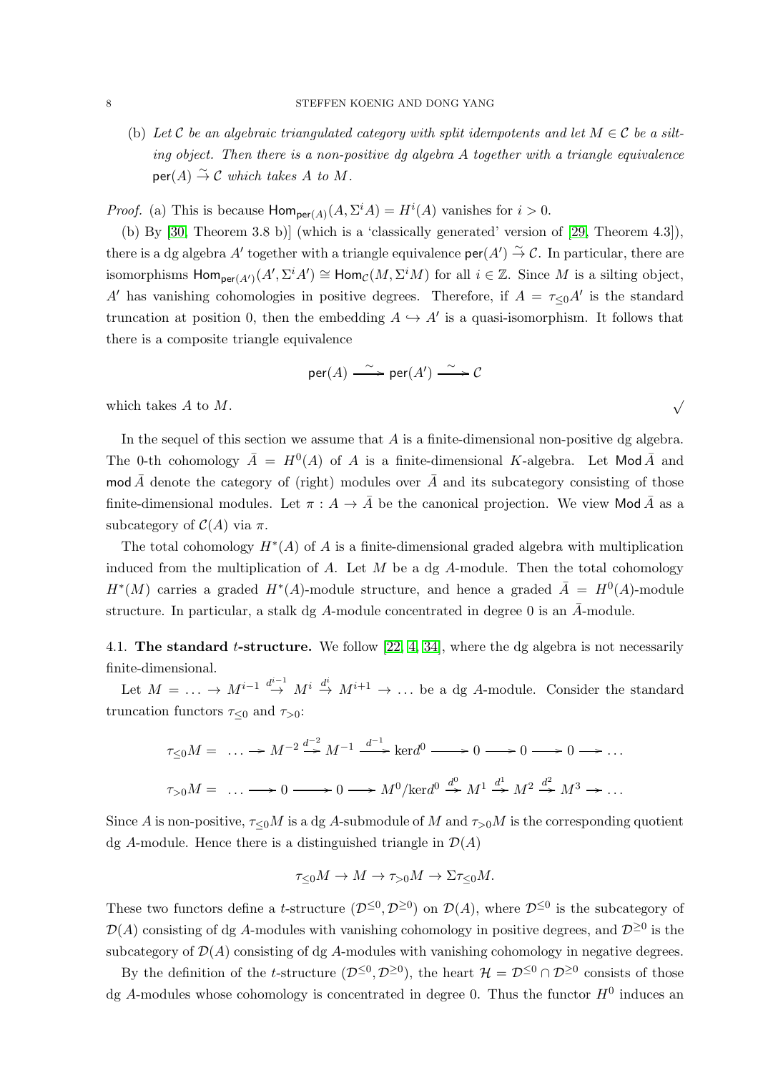(b) Let C be an algebraic triangulated category with split idempotents and let  $M \in \mathcal{C}$  be a silting object. Then there is a non-positive dg algebra A together with a triangle equivalence  $\mathsf{per}(A) \stackrel{\sim}{\to} \mathcal{C}$  which takes A to M.

*Proof.* (a) This is because  $Hom_{per(A)}(A, \Sigma^i A) = H^i(A)$  vanishes for  $i > 0$ .

(b) By [\[30,](#page-31-9) Theorem 3.8 b)] (which is a 'classically generated' version of [\[29,](#page-31-8) Theorem 4.3]), there is a dg algebra  $A'$  together with a triangle equivalence  $\mathsf{per}(A') \overset{\sim}{\to} C$ . In particular, there are isomorphisms  $\textsf{Hom}_{\textsf{per}(A')}(A', \Sigma^i A') \cong \textsf{Hom}_{\mathcal{C}}(M, \Sigma^i M)$  for all  $i \in \mathbb{Z}$ . Since M is a silting object, A' has vanishing cohomologies in positive degrees. Therefore, if  $A = \tau \le 0$  at is the standard truncation at position 0, then the embedding  $A \hookrightarrow A'$  is a quasi-isomorphism. It follows that there is a composite triangle equivalence

$$
\mathsf{per}(A) \xrightarrow{\sim} \mathsf{per}(A') \xrightarrow{\sim} \mathcal{C}
$$

which takes A to M.

In the sequel of this section we assume that  $A$  is a finite-dimensional non-positive dg algebra. The 0-th cohomology  $\overline{A} = H^0(A)$  of A is a finite-dimensional K-algebra. Let Mod  $\overline{A}$  and mod  $\bar{A}$  denote the category of (right) modules over  $\bar{A}$  and its subcategory consisting of those finite-dimensional modules. Let  $\pi : A \to A$  be the canonical projection. We view Mod A as a subcategory of  $\mathcal{C}(A)$  via  $\pi$ .

The total cohomology  $H^*(A)$  of A is a finite-dimensional graded algebra with multiplication induced from the multiplication of  $A$ . Let  $M$  be a dg  $A$ -module. Then the total cohomology  $H^*(M)$  carries a graded  $H^*(A)$ -module structure, and hence a graded  $\overline{A} = H^0(A)$ -module structure. In particular, a stalk dg A-module concentrated in degree 0 is an  $\bar{A}$ -module.

<span id="page-7-0"></span>4.1. The standard *t*-structure. We follow [\[22,](#page-30-13) [4,](#page-30-14) [34\]](#page-31-15), where the dg algebra is not necessarily finite-dimensional.

Let  $M = \ldots \to M^{i-1} \stackrel{d^{i-1}}{\to} M^i \stackrel{d^i}{\to} M^{i+1} \to \ldots$  be a dg A-module. Consider the standard truncation functors  $\tau_{\leq 0}$  and  $\tau_{>0}$ :

$$
\tau_{\leq 0}M = \dots \longrightarrow M^{-2} \stackrel{d^{-2}}{\longrightarrow} M^{-1} \stackrel{d^{-1}}{\longrightarrow} \text{ker}d^{0} \longrightarrow 0 \longrightarrow 0 \longrightarrow 0 \longrightarrow \dots
$$
  

$$
\tau_{>0}M = \dots \longrightarrow 0 \longrightarrow 0 \longrightarrow M^{0}/\text{ker}d^{0} \stackrel{d^{0}}{\longrightarrow} M^{1} \stackrel{d^{1}}{\longrightarrow} M^{2} \stackrel{d^{2}}{\longrightarrow} M^{3} \longrightarrow \dots
$$

Since A is non-positive,  $\tau \le 0$  is a dg A-submodule of M and  $\tau >0$  is the corresponding quotient dg A-module. Hence there is a distinguished triangle in  $\mathcal{D}(A)$ 

$$
\tau_{\leq 0} M \to M \to \tau_{>0} M \to \Sigma \tau_{\leq 0} M.
$$

These two functors define a t-structure  $(\mathcal{D}^{\leq 0}, \mathcal{D}^{\geq 0})$  on  $\mathcal{D}(A)$ , where  $\mathcal{D}^{\leq 0}$  is the subcategory of  $\mathcal{D}(A)$  consisting of dg A-modules with vanishing cohomology in positive degrees, and  $\mathcal{D}^{\geq 0}$  is the subcategory of  $\mathcal{D}(A)$  consisting of dg A-modules with vanishing cohomology in negative degrees.

By the definition of the t-structure  $(D^{\leq 0}, D^{\geq 0})$ , the heart  $\mathcal{H} = \mathcal{D}^{\leq 0} \cap \mathcal{D}^{\geq 0}$  consists of those dg A-modules whose cohomology is concentrated in degree 0. Thus the functor  $H^0$  induces an

√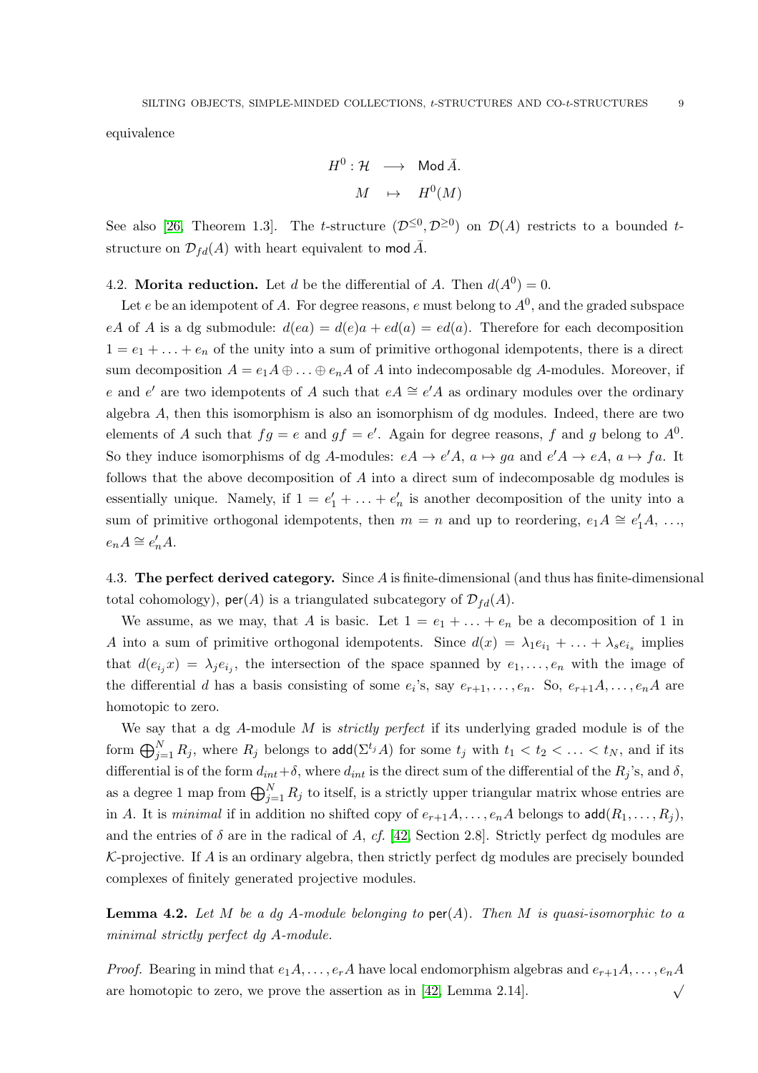equivalence

$$
H^0: \mathcal{H} \longrightarrow \text{Mod }\bar{A}.
$$

$$
M \rightarrow H^0(M)
$$

See also [\[26,](#page-31-16) Theorem 1.3]. The t-structure  $(\mathcal{D}^{\leq 0}, \mathcal{D}^{\geq 0})$  on  $\mathcal{D}(A)$  restricts to a bounded tstructure on  $\mathcal{D}_{fd}(A)$  with heart equivalent to mod  $\overline{A}$ .

4.2. Morita reduction. Let d be the differential of A. Then  $d(A^0) = 0$ .

Let  $e$  be an idempotent of A. For degree reasons,  $e$  must belong to  $A^0$ , and the graded subspace eA of A is a dg submodule:  $d(ea) = d(e)a + ed(a) = ed(a)$ . Therefore for each decomposition  $1 = e_1 + \ldots + e_n$  of the unity into a sum of primitive orthogonal idempotents, there is a direct sum decomposition  $A = e_1 A \oplus ... \oplus e_n A$  of A into indecomposable dg A-modules. Moreover, if e and e' are two idempotents of A such that  $eA \cong e'A$  as ordinary modules over the ordinary algebra A, then this isomorphism is also an isomorphism of dg modules. Indeed, there are two elements of A such that  $fg = e$  and  $gf = e'$ . Again for degree reasons, f and g belong to  $A^0$ . So they induce isomorphisms of dg A-modules:  $eA \rightarrow e'A$ ,  $a \mapsto ga$  and  $e'A \rightarrow eA$ ,  $a \mapsto fa$ . It follows that the above decomposition of A into a direct sum of indecomposable dg modules is essentially unique. Namely, if  $1 = e'_1 + \ldots + e'_n$  is another decomposition of the unity into a sum of primitive orthogonal idempotents, then  $m = n$  and up to reordering,  $e_1 A \cong e'_1 A$ , ...,  $e_n A \cong e'_n A.$ 

<span id="page-8-1"></span>4.3. The perfect derived category. Since A is finite-dimensional (and thus has finite-dimensional total cohomology),  $\mathsf{per}(A)$  is a triangulated subcategory of  $\mathcal{D}_{fd}(A)$ .

We assume, as we may, that A is basic. Let  $1 = e_1 + \ldots + e_n$  be a decomposition of 1 in A into a sum of primitive orthogonal idempotents. Since  $d(x) = \lambda_1 e_{i_1} + \ldots + \lambda_s e_{i_s}$  implies that  $d(e_{i_j}x) = \lambda_j e_{i_j}$ , the intersection of the space spanned by  $e_1, \ldots, e_n$  with the image of the differential d has a basis consisting of some  $e_i$ 's, say  $e_{r+1}, \ldots, e_n$ . So,  $e_{r+1}A, \ldots, e_nA$  are homotopic to zero.

We say that a dg  $A$ -module  $M$  is *strictly perfect* if its underlying graded module is of the form  $\bigoplus_{j=1}^N R_j,$  where  $R_j$  belongs to  $\mathsf{add}(\Sigma^{t_j}A)$  for some  $t_j$  with  $t_1 < t_2 < \ldots < t_N,$  and if its differential is of the form  $d_{int} + \delta$ , where  $d_{int}$  is the direct sum of the differential of the  $R_j$ 's, and  $\delta$ , as a degree 1 map from  $\bigoplus_{j=1}^{N} R_j$  to itself, is a strictly upper triangular matrix whose entries are in A. It is minimal if in addition no shifted copy of  $e_{r+1}A, \ldots, e_nA$  belongs to add $(R_1, \ldots, R_i)$ , and the entries of  $\delta$  are in the radical of A, cf. [\[42,](#page-31-17) Section 2.8]. Strictly perfect dg modules are  $K$ -projective. If A is an ordinary algebra, then strictly perfect dg modules are precisely bounded complexes of finitely generated projective modules.

<span id="page-8-0"></span>**Lemma 4.2.** Let M be a dg A-module belonging to  $\text{per}(A)$ . Then M is quasi-isomorphic to a minimal strictly perfect dg A-module.

*Proof.* Bearing in mind that  $e_1A, \ldots, e_rA$  have local endomorphism algebras and  $e_{r+1}A, \ldots, e_nA$ are homotopic to zero, we prove the assertion as in [\[42,](#page-31-17) Lemma 2.14].  $\checkmark$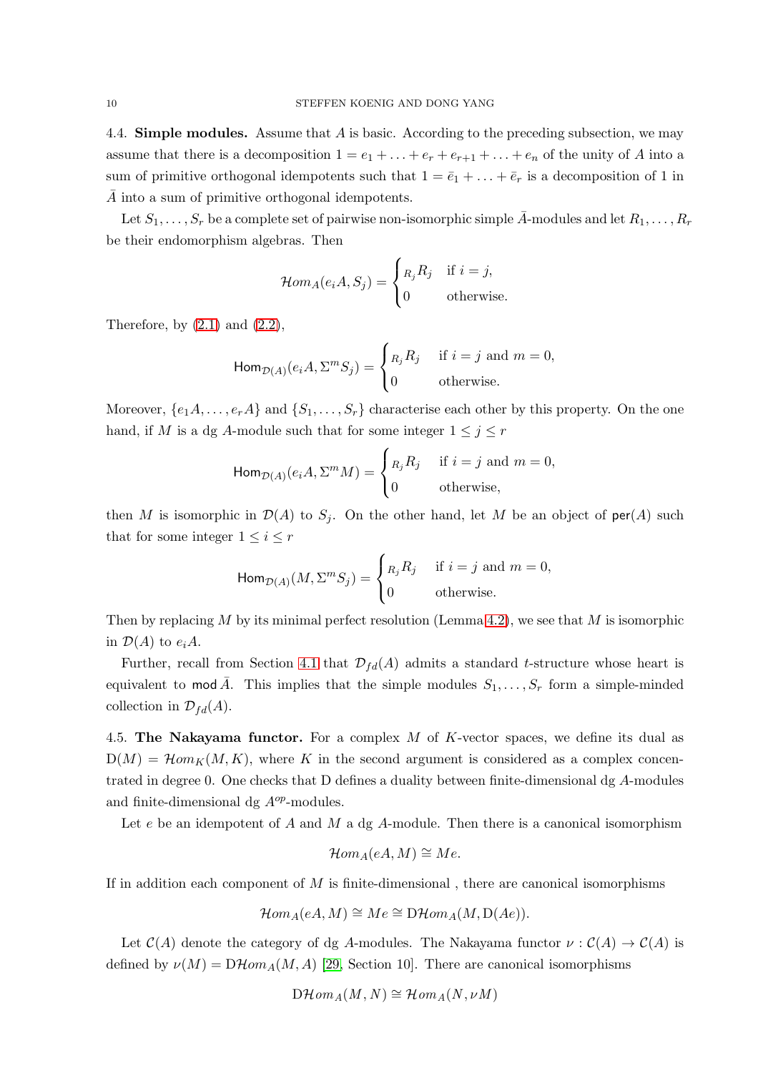<span id="page-9-0"></span>4.4. **Simple modules.** Assume that  $\vec{A}$  is basic. According to the preceding subsection, we may assume that there is a decomposition  $1 = e_1 + \ldots + e_r + e_{r+1} + \ldots + e_n$  of the unity of A into a sum of primitive orthogonal idempotents such that  $1 = \bar{e}_1 + \ldots + \bar{e}_r$  is a decomposition of 1 in A into a sum of primitive orthogonal idempotents.

Let  $S_1, \ldots, S_r$  be a complete set of pairwise non-isomorphic simple  $\bar{A}$ -modules and let  $R_1, \ldots, R_r$ be their endomorphism algebras. Then

$$
\mathcal{H}om_A(e_iA, S_j) = \begin{cases} R_j R_j & \text{if } i = j, \\ 0 & \text{otherwise.} \end{cases}
$$

Therefore, by  $(2.1)$  and  $(2.2)$ ,

$$
\operatorname{Hom}_{\mathcal{D}(A)}(e_i A, \Sigma^m S_j) = \begin{cases} n_j R_j & \text{if } i = j \text{ and } m = 0, \\ 0 & \text{otherwise.} \end{cases}
$$

Moreover,  $\{e_1A, \ldots, e_rA\}$  and  $\{S_1, \ldots, S_r\}$  characterise each other by this property. On the one hand, if M is a dg A-module such that for some integer  $1 \leq j \leq r$ 

$$
\operatorname{Hom}_{\mathcal{D}(A)}(e_i A, \Sigma^m M) = \begin{cases} n_j R_j & \text{if } i = j \text{ and } m = 0, \\ 0 & \text{otherwise,} \end{cases}
$$

then M is isomorphic in  $\mathcal{D}(A)$  to  $S_j$ . On the other hand, let M be an object of per(A) such that for some integer  $1 \leq i \leq r$ 

$$
\operatorname{Hom}_{\mathcal{D}(A)}(M, \Sigma^m S_j) = \begin{cases} R_j R_j & \text{if } i = j \text{ and } m = 0, \\ 0 & \text{otherwise.} \end{cases}
$$

Then by replacing M by its minimal perfect resolution (Lemma [4.2\)](#page-8-0), we see that M is isomorphic in  $\mathcal{D}(A)$  to  $e_iA$ .

Further, recall from Section [4.1](#page-7-0) that  $\mathcal{D}_{fd}(A)$  admits a standard t-structure whose heart is equivalent to mod  $\bar{A}$ . This implies that the simple modules  $S_1, \ldots, S_r$  form a simple-minded collection in  $\mathcal{D}_{fd}(A)$ .

4.5. The Nakayama functor. For a complex  $M$  of K-vector spaces, we define its dual as  $D(M) = \mathcal{H}om_K(M,K)$ , where K in the second argument is considered as a complex concentrated in degree 0. One checks that D defines a duality between finite-dimensional dg A-modules and finite-dimensional dg  $A^{op}$ -modules.

Let  $e$  be an idempotent of  $A$  and  $M$  a dg  $A$ -module. Then there is a canonical isomorphism

$$
\mathcal{H}om_A(eA,M)\cong Me.
$$

If in addition each component of  $M$  is finite-dimensional, there are canonical isomorphisms

$$
\mathcal{H}om_A(eA, M) \cong Me \cong \mathcal{D}\mathcal{H}om_A(M, \mathcal{D}(Ae)).
$$

Let  $C(A)$  denote the category of dg A-modules. The Nakayama functor  $\nu : C(A) \to C(A)$  is defined by  $\nu(M) = D\mathcal{H}om_A(M, A)$  [\[29,](#page-31-8) Section 10]. There are canonical isomorphisms

$$
\mathrm{D}\mathcal{H}\mathrm{om}_A(M,N)\cong \mathcal{H}\mathrm{om}_A(N,\nu M)
$$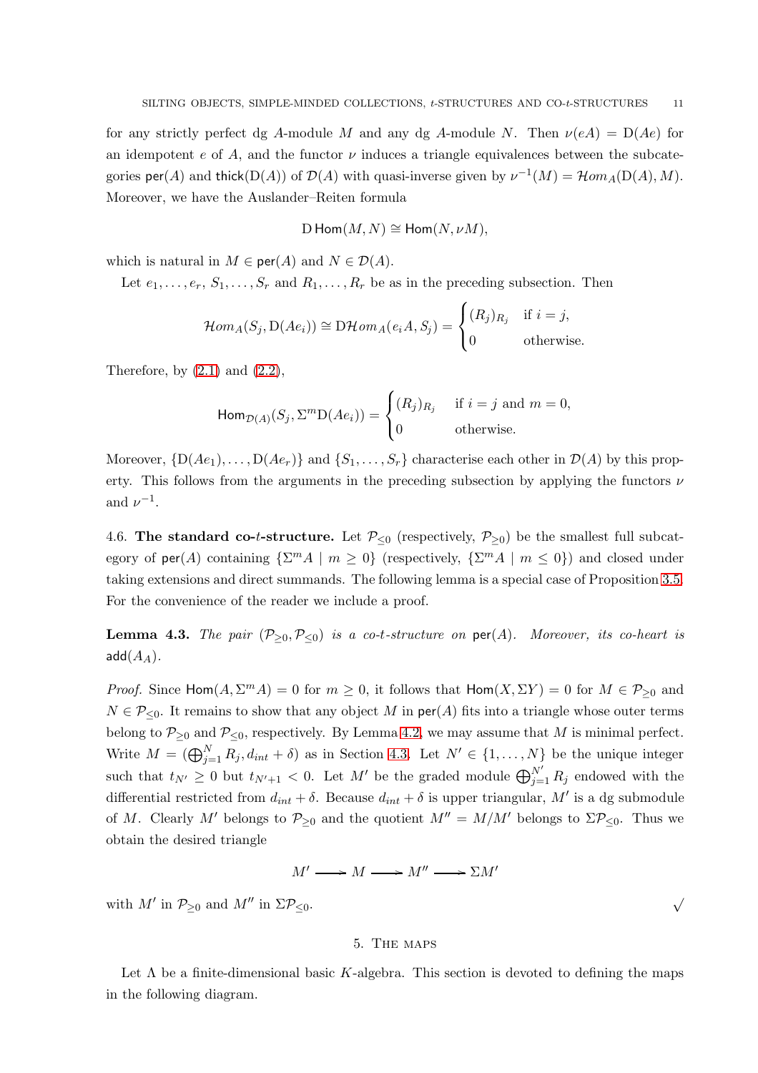for any strictly perfect dg A-module M and any dg A-module N. Then  $\nu(eA) = D(Ae)$  for an idempotent e of A, and the functor  $\nu$  induces a triangle equivalences between the subcategories  $\textsf{per}(A)$  and thick(D(A)) of  $\mathcal{D}(A)$  with quasi-inverse given by  $\nu^{-1}(M) = \mathcal{H}om_A(D(A), M)$ . Moreover, we have the Auslander–Reiten formula

$$
D Hom(M, N) \cong Hom(N, \nu M),
$$

which is natural in  $M \in \text{per}(A)$  and  $N \in \mathcal{D}(A)$ .

Let  $e_1, \ldots, e_r, S_1, \ldots, S_r$  and  $R_1, \ldots, R_r$  be as in the preceding subsection. Then

$$
\mathcal{H}om_A(S_j, \mathcal{D}(Ae_i)) \cong \mathcal{D}\mathcal{H}om_A(e_iA, S_j) = \begin{cases} (R_j)_{R_j} & \text{if } i = j, \\ 0 & \text{otherwise.} \end{cases}
$$

Therefore, by  $(2.1)$  and  $(2.2)$ ,

$$
\operatorname{Hom}_{\mathcal{D}(A)}(S_j, \Sigma^m \mathcal{D}(Ae_i)) = \begin{cases} (R_j)_{R_j} & \text{if } i = j \text{ and } m = 0, \\ 0 & \text{otherwise.} \end{cases}
$$

Moreover,  $\{D(Ae_1), \ldots, D(Ae_r)\}\$  and  $\{S_1, \ldots, S_r\}$  characterise each other in  $\mathcal{D}(A)$  by this property. This follows from the arguments in the preceding subsection by applying the functors  $\nu$ and  $\nu^{-1}$ .

4.6. The standard co-t-structure. Let  $P_{\leq 0}$  (respectively,  $P_{\geq 0}$ ) be the smallest full subcategory of  $\textsf{per}(A)$  containing  $\{\Sigma^m A \mid m \geq 0\}$  (respectively,  $\{\Sigma^m A \mid m \leq 0\}$ ) and closed under taking extensions and direct summands. The following lemma is a special case of Proposition [3.5.](#page-6-1) For the convenience of the reader we include a proof.

**Lemma 4.3.** The pair  $(\mathcal{P}_{\geq 0}, \mathcal{P}_{\leq 0})$  is a co-t-structure on  $\text{per}(A)$ . Moreover, its co-heart is  $add(A<sub>A</sub>)$ .

*Proof.* Since  $\text{Hom}(A, \Sigma^m A) = 0$  for  $m \geq 0$ , it follows that  $\text{Hom}(X, \Sigma Y) = 0$  for  $M \in \mathcal{P}_{\geq 0}$  and  $N \in \mathcal{P}_{\leq 0}$ . It remains to show that any object M in per(A) fits into a triangle whose outer terms belong to  $\mathcal{P}_{\geq 0}$  and  $\mathcal{P}_{\leq 0}$ , respectively. By Lemma [4.2,](#page-8-0) we may assume that M is minimal perfect. Write  $M = (\bigoplus_{j=1}^{N} R_j, d_{int} + \delta)$  as in Section [4.3.](#page-8-1) Let  $N' \in \{1, ..., N\}$  be the unique integer such that  $t_{N'} \geq 0$  but  $t_{N'+1} < 0$ . Let M' be the graded module  $\bigoplus_{j=1}^{N'} R_j$  endowed with the differential restricted from  $d_{int} + \delta$ . Because  $d_{int} + \delta$  is upper triangular, M' is a dg submodule of M. Clearly M' belongs to  $\mathcal{P}_{\geq 0}$  and the quotient  $M'' = M/M'$  belongs to  $\Sigma \mathcal{P}_{\leq 0}$ . Thus we obtain the desired triangle

$$
M' \longrightarrow M \longrightarrow M'' \longrightarrow \Sigma M'
$$

<span id="page-10-0"></span>with  $M'$  in  $\mathcal{P}_{\geq 0}$  and  $M''$  in  $\Sigma \mathcal{P}_{\leq 0}$ .

### 5. The maps

Let  $\Lambda$  be a finite-dimensional basic K-algebra. This section is devoted to defining the maps in the following diagram.

√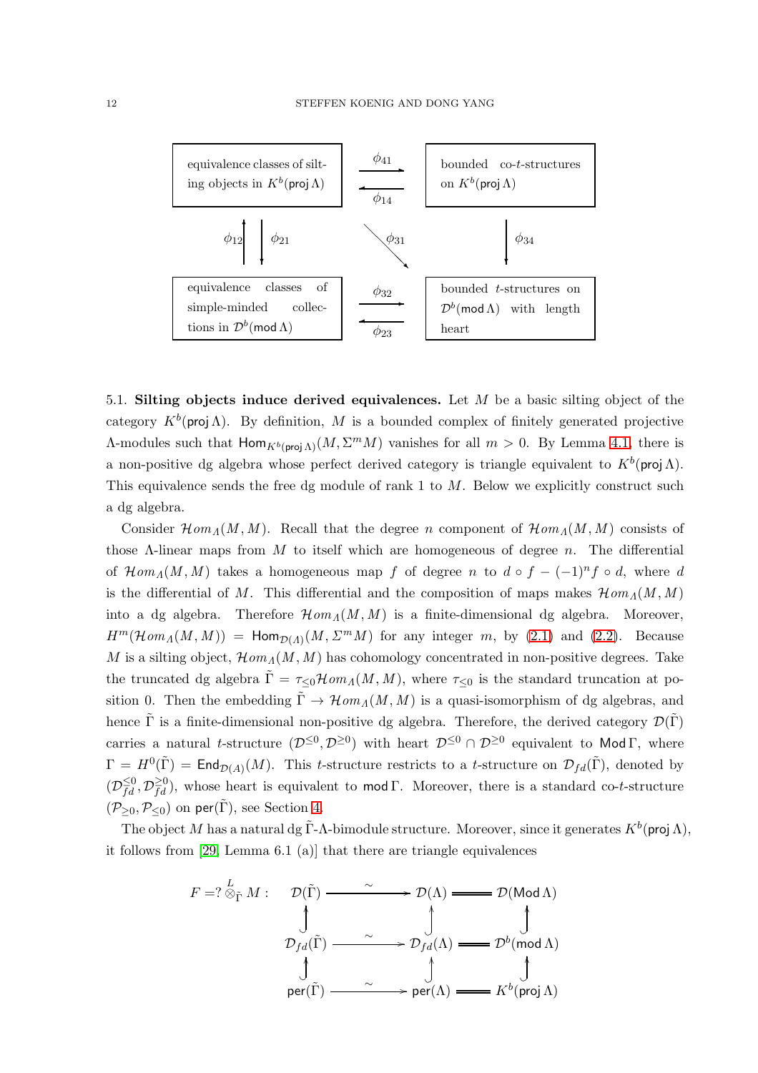

<span id="page-11-0"></span>5.1. Silting objects induce derived equivalences. Let  $M$  be a basic silting object of the category  $K^b$ (proj  $\Lambda$ ). By definition, M is a bounded complex of finitely generated projective A-modules such that  $\text{Hom}_{K^b(\text{proj}\Lambda)}(M,\Sigma^mM)$  vanishes for all  $m > 0$ . By Lemma 4.1, there is a non-positive dg algebra whose perfect derived category is triangle equivalent to  $K^b$ (proj  $\Lambda$ ). This equivalence sends the free dg module of rank  $1$  to  $M$ . Below we explicitly construct such a dg algebra.

Consider  $\mathcal{H}om_A(M, M)$ . Recall that the degree n component of  $\mathcal{H}om_A(M, M)$  consists of those  $\Lambda$ -linear maps from  $M$  to itself which are homogeneous of degree n. The differential of  $\mathcal{H}om_A(M, M)$  takes a homogeneous map f of degree n to  $d \circ f - (-1)^n f \circ d$ , where d is the differential of M. This differential and the composition of maps makes  $\mathcal{H}om_A(M, M)$ into a dg algebra. Therefore  $\mathcal{H}om_A(M, M)$  is a finite-dimensional dg algebra. Moreover,  $H^m(\mathcal{H}\mathit{om}_A(M, M)) = \mathsf{Hom}_{\mathcal{D}(A)}(M, \Sigma^m M)$  for any integer m, by [\(2.1\)](#page-3-0) and [\(2.2\)](#page-3-1). Because M is a silting object,  $\mathcal{H}om_A(M, M)$  has cohomology concentrated in non-positive degrees. Take the truncated dg algebra  $\tilde{\Gamma} = \tau \epsilon_0 \mathcal{H}om_A(M, M)$ , where  $\tau \epsilon_0$  is the standard truncation at position 0. Then the embedding  $\tilde{\Gamma} \to \mathcal{H}om_A(M, M)$  is a quasi-isomorphism of dg algebras, and hence  $\tilde{\Gamma}$  is a finite-dimensional non-positive dg algebra. Therefore, the derived category  $\mathcal{D}(\tilde{\Gamma})$ carries a natural t-structure  $(\mathcal{D}^{\leq 0}, \mathcal{D}^{\geq 0})$  with heart  $\mathcal{D}^{\leq 0} \cap \mathcal{D}^{\geq 0}$  equivalent to Mod  $\Gamma$ , where  $\Gamma = H^0(\tilde{\Gamma}) = \mathsf{End}_{\mathcal{D}(A)}(M)$ . This t-structure restricts to a t-structure on  $\mathcal{D}_{fd}(\tilde{\Gamma})$ , denoted by  $(\mathcal{D}_{fd}^{\leq 0}, \mathcal{D}_{fd}^{\geq 0})$ , whose heart is equivalent to **mod** Γ. Moreover, there is a standard co-t-structure  $(\mathcal{P}_{\geq 0}, \mathcal{P}_{\leq 0})$  on per( $\tilde{\Gamma}$ ), see Section [4.](#page-6-0)

The object M has a natural dg  $\tilde{\Gamma}$ -A-bimodule structure. Moreover, since it generates  $K^b$ (proj  $\Lambda$ ), it follows from [\[29,](#page-31-8) Lemma 6.1 (a)] that there are triangle equivalences

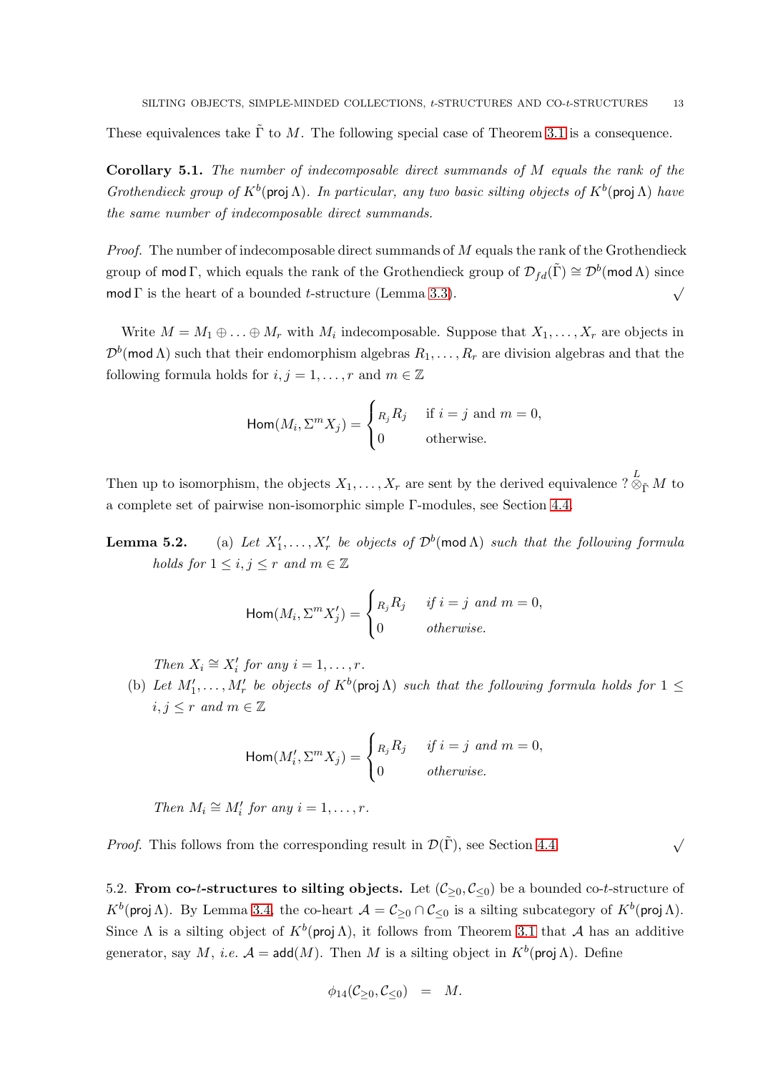These equivalences take  $\tilde{\Gamma}$  to M. The following special case of Theorem [3.1](#page-4-1) is a consequence.

<span id="page-12-0"></span>Corollary 5.1. The number of indecomposable direct summands of M equals the rank of the Grothendieck group of  $K^b$ (proj  $\Lambda$ ). In particular, any two basic silting objects of  $K^b$ (proj  $\Lambda$ ) have the same number of indecomposable direct summands.

*Proof.* The number of indecomposable direct summands of  $M$  equals the rank of the Grothendieck group of mod Γ, which equals the rank of the Grothendieck group of  $\mathcal{D}_{fd}(\tilde{\Gamma}) \cong \mathcal{D}^b(\text{mod }\Lambda)$  since mod  $\Gamma$  is the heart of a bounded t-structure (Lemma [3.3\)](#page-5-0).

Write  $M = M_1 \oplus \ldots \oplus M_r$  with  $M_i$  indecomposable. Suppose that  $X_1, \ldots, X_r$  are objects in  $\mathcal{D}^b(\text{mod }\Lambda)$  such that their endomorphism algebras  $R_1,\ldots,R_r$  are division algebras and that the following formula holds for  $i, j = 1, \ldots, r$  and  $m \in \mathbb{Z}$ 

$$
\operatorname{Hom}(M_i, \Sigma^m X_j) = \begin{cases} n_j R_j & \text{if } i = j \text{ and } m = 0, \\ 0 & \text{otherwise.} \end{cases}
$$

Then up to isomorphism, the objects  $X_1, \ldots, X_r$  are sent by the derived equivalence  $? \otimes_{\tilde{\Gamma}} M$  to a complete set of pairwise non-isomorphic simple Γ-modules, see Section [4.4.](#page-9-0)

**Lemma 5.2.** (a) Let  $X'_1, \ldots, X'_r$  be objects of  $\mathcal{D}^b(\text{mod }\Lambda)$  such that the following formula holds for  $1 \leq i, j \leq r$  and  $m \in \mathbb{Z}$ 

$$
\operatorname{Hom}(M_i, \Sigma^m X_j') = \begin{cases} n_j R_j & \text{if } i = j \text{ and } m = 0, \\ 0 & \text{otherwise.} \end{cases}
$$

Then  $X_i \cong X'_i$  for any  $i = 1, \ldots, r$ .

(b) Let  $M'_1, \ldots, M'_r$  be objects of  $K^b$ (proj  $\Lambda$ ) such that the following formula holds for  $1 \leq$  $i, j \leq r$  and  $m \in \mathbb{Z}$ 

$$
\operatorname{Hom}(M_i', \Sigma^m X_j) = \begin{cases} R_j R_j & \text{if } i = j \text{ and } m = 0, \\ 0 & \text{otherwise.} \end{cases}
$$

Then  $M_i \cong M'_i$  for any  $i = 1, \ldots, r$ .

*Proof.* This follows from the corresponding result in  $\mathcal{D}(\tilde{\Gamma})$ , see Section [4.4.](#page-9-0) √

5.2. From co-t-structures to silting objects. Let  $(\mathcal{C}_{\geq 0}, \mathcal{C}_{\leq 0})$  be a bounded co-t-structure of  $K^b$ (proj Λ). By Lemma [3.4,](#page-6-2) the co-heart  $\mathcal{A} = \mathcal{C}_{\geq 0} \cap \mathcal{C}_{\leq 0}$  is a silting subcategory of  $K^b$ (proj Λ). Since  $\Lambda$  is a silting object of  $K^b$ (proj  $\Lambda$ ), it follows from Theorem [3.1](#page-4-1) that  $\mathcal A$  has an additive generator, say M, i.e.  $\mathcal{A} = \text{add}(M)$ . Then M is a silting object in  $K^b(\text{proj}\,\Lambda)$ . Define

$$
\phi_{14}(\mathcal{C}_{\geq 0}, \mathcal{C}_{\leq 0}) = M.
$$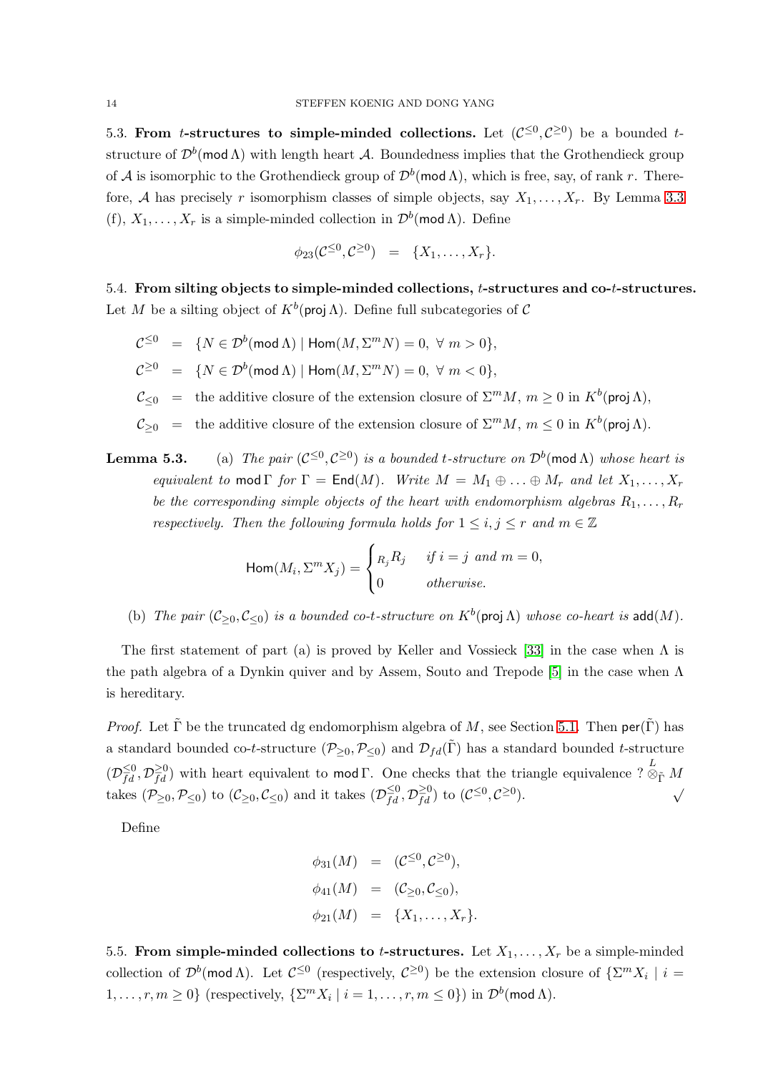5.3. From *t*-structures to simple-minded collections. Let  $(C^{\leq 0}, C^{\geq 0})$  be a bounded *t*structure of  $\mathcal{D}^b(\mathsf{mod}\,\Lambda)$  with length heart  $\mathcal{A}$ . Boundedness implies that the Grothendieck group of  $\mathcal A$  is isomorphic to the Grothendieck group of  $\mathcal D^b(\textsf{mod}\,\Lambda)$ , which is free, say, of rank r. Therefore, A has precisely r isomorphism classes of simple objects, say  $X_1, \ldots, X_r$ . By Lemma [3.3](#page-5-0) (f),  $X_1, \ldots, X_r$  is a simple-minded collection in  $\mathcal{D}^b(\text{mod }\Lambda)$ . Define

$$
\phi_{23}(\mathcal{C}^{\leq 0}, \mathcal{C}^{\geq 0}) = \{X_1, \ldots, X_r\}.
$$

<span id="page-13-0"></span>5.4. From silting objects to simple-minded collections, t-structures and co-t-structures. Let M be a silting object of  $K^b$ (proj  $\Lambda$ ). Define full subcategories of C

- $\mathcal{C}^{\leq 0} = \{ N \in \mathcal{D}^b(\text{mod }\Lambda) \mid \text{Hom}(M,\Sigma^m N) = 0, \ \forall \ m > 0 \},$  $\mathcal{C}^{\geq 0} = \{ N \in \mathcal{D}^b(\text{mod }\Lambda) \mid \text{Hom}(M,\Sigma^m N) = 0, \ \forall \ m < 0 \},$  $\mathcal{C}_{\leq 0}$  = the additive closure of the extension closure of  $\Sigma^m M$ ,  $m \geq 0$  in  $K^b(\text{proj } \Lambda)$ ,  $\mathcal{C}_{\geq 0}$  = the additive closure of the extension closure of  $\Sigma^m M$ ,  $m \leq 0$  in  $K^b(\text{proj }\Lambda)$ .
- **Lemma 5.3.** (a) The pair  $(C^{\leq 0}, C^{\geq 0})$  is a bounded t-structure on  $\mathcal{D}^b(\text{mod }\Lambda)$  whose heart is equivalent to mod  $\Gamma$  for  $\Gamma = \text{End}(M)$ . Write  $M = M_1 \oplus \ldots \oplus M_r$  and let  $X_1, \ldots, X_r$ be the corresponding simple objects of the heart with endomorphism algebras  $R_1, \ldots, R_r$ respectively. Then the following formula holds for  $1 \leq i, j \leq r$  and  $m \in \mathbb{Z}$

$$
\operatorname{Hom}(M_i, \Sigma^m X_j) = \begin{cases} n_j R_j & \text{if } i = j \text{ and } m = 0, \\ 0 & \text{otherwise.} \end{cases}
$$

(b) The pair  $(\mathcal{C}_{\geq 0}, \mathcal{C}_{\leq 0})$  is a bounded co-t-structure on  $K^b$ (proj  $\Lambda$ ) whose co-heart is add(M).

The first statement of part (a) is proved by Keller and Vossieck [\[33\]](#page-31-1) in the case when  $\Lambda$  is the path algebra of a Dynkin quiver and by Assem, Souto and Trepode [\[5\]](#page-30-5) in the case when  $\Lambda$ is hereditary.

*Proof.* Let  $\tilde{\Gamma}$  be the truncated dg endomorphism algebra of M, see Section [5.1.](#page-11-0) Then per( $\tilde{\Gamma}$ ) has a standard bounded co-t-structure  $(\mathcal{P}_{\geq 0}, \mathcal{P}_{\leq 0})$  and  $\mathcal{D}_{fd}(\tilde{\Gamma})$  has a standard bounded t-structure  $(\mathcal{D}_{fd}^{\leq 0}, \mathcal{D}_{fd}^{\geq 0})$  with heart equivalent to mod  $\Gamma$ . One checks that the triangle equivalence ?  $\overline{\otimes}_{\tilde{\Gamma}} M$ takes  $(\mathcal{P}_{\geq 0}, \mathcal{P}_{\leq 0})$  to  $(\mathcal{C}_{\geq 0}, \mathcal{C}_{\leq 0})$  and it takes  $(\mathcal{D}_{fd}^{\leq 0}, \mathcal{D}_{fd}^{\geq 0})$  to  $(\mathcal{C}^{\leq 0}, \mathcal{C}^{\geq 0})$  $\big)$ .

Define

$$
\phi_{31}(M) = (\mathcal{C}^{\leq 0}, \mathcal{C}^{\geq 0}), \n\phi_{41}(M) = (\mathcal{C}_{\geq 0}, \mathcal{C}_{\leq 0}), \n\phi_{21}(M) = \{X_1, \ldots, X_r\}.
$$

5.5. From simple-minded collections to *t*-structures. Let  $X_1, \ldots, X_r$  be a simple-minded collection of  $\mathcal{D}^b(\text{mod }\Lambda)$ . Let  $\mathcal{C}^{\leq 0}$  (respectively,  $\mathcal{C}^{\geq 0}$ ) be the extension closure of  $\{\Sigma^m X_i \mid i =$  $1, \ldots, r, m \ge 0$ } (respectively,  $\{\Sigma^m X_i \mid i = 1, \ldots, r, m \le 0\}$ ) in  $\mathcal{D}^b(\text{mod } \Lambda)$ .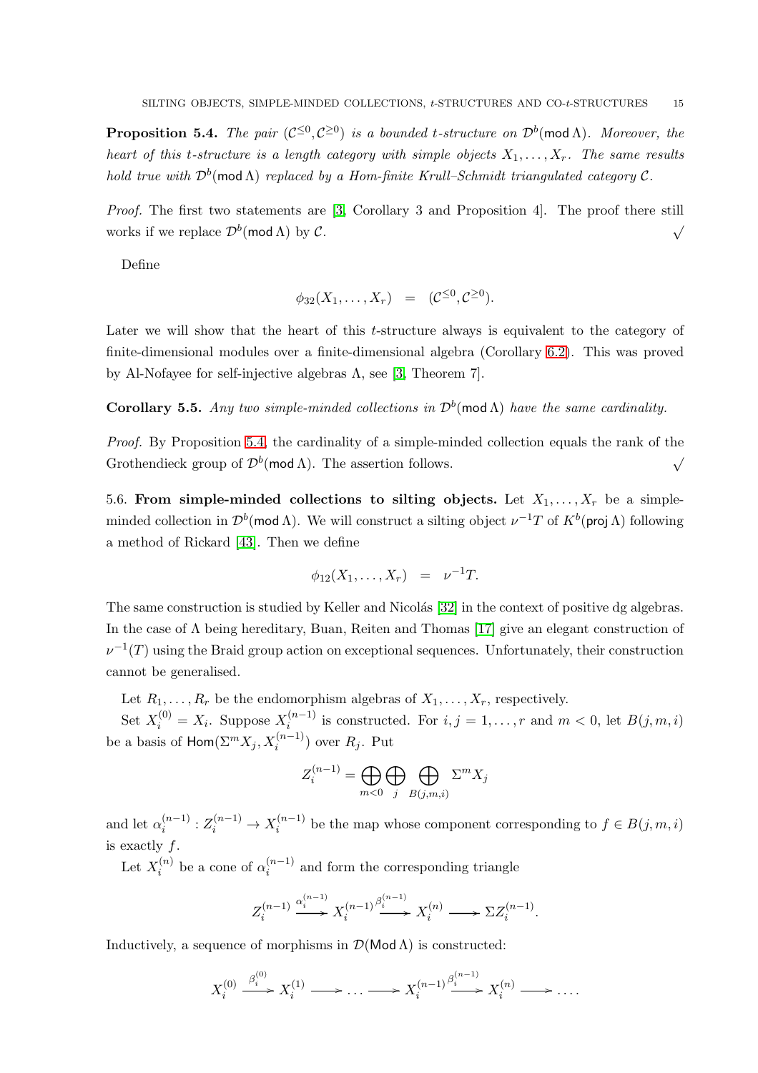<span id="page-14-0"></span>**Proposition 5.4.** The pair  $(C^{\leq 0}, C^{\geq 0})$  is a bounded t-structure on  $\mathcal{D}^b(\text{mod }\Lambda)$ . Moreover, the heart of this t-structure is a length category with simple objects  $X_1, \ldots, X_r$ . The same results hold true with  $\mathcal{D}^b(\textsf{mod}\,\Lambda)$  replaced by a Hom-finite Krull–Schmidt triangulated category C.

Proof. The first two statements are [\[3,](#page-30-7) Corollary 3 and Proposition 4]. The proof there still works if we replace  $\mathcal{D}^b(\text{mod }\Lambda)$  by  $\mathcal{C}.$ √

Define

$$
\phi_{32}(X_1,\ldots,X_r) = (\mathcal{C}^{\leq 0}, \mathcal{C}^{\geq 0}).
$$

Later we will show that the heart of this t-structure always is equivalent to the category of finite-dimensional modules over a finite-dimensional algebra (Corollary [6.2\)](#page-17-2). This was proved by Al-Nofayee for self-injective algebras  $\Lambda$ , see [\[3,](#page-30-7) Theorem 7].

**Corollary 5.5.** Any two simple-minded collections in  $\mathcal{D}^b$ (mod  $\Lambda$ ) have the same cardinality.

Proof. By Proposition [5.4,](#page-14-0) the cardinality of a simple-minded collection equals the rank of the Grothendieck group of  $\mathcal{D}^b(\text{mod }\Lambda)$ . The assertion follows.  $\checkmark$ 

5.6. From simple-minded collections to silting objects. Let  $X_1, \ldots, X_r$  be a simpleminded collection in  $\mathcal{D}^b(\text{mod }\Lambda)$ . We will construct a silting object  $\nu^{-1}T$  of  $K^b(\text{proj }\Lambda)$  following a method of Rickard [\[43\]](#page-31-12). Then we define

$$
\phi_{12}(X_1,\ldots,X_r) = \nu^{-1}T.
$$

The same construction is studied by Keller and Nicolás [\[32\]](#page-31-2) in the context of positive dg algebras. In the case of Λ being hereditary, Buan, Reiten and Thomas [\[17\]](#page-30-8) give an elegant construction of  $\nu^{-1}(T)$  using the Braid group action on exceptional sequences. Unfortunately, their construction cannot be generalised.

Let  $R_1, \ldots, R_r$  be the endomorphism algebras of  $X_1, \ldots, X_r$ , respectively.

Set  $X_i^{(0)} = X_i$ . Suppose  $X_i^{(n-1)}$  $i_i^{(n-1)}$  is constructed. For  $i, j = 1, \ldots, r$  and  $m < 0$ , let  $B(j, m, i)$ be a basis of  $\mathsf{Hom}(\Sigma^m X_j, X_i^{(n-1)})$  over  $R_j.$  Put

$$
Z_i^{(n-1)} = \bigoplus_{m<0} \bigoplus_j \bigoplus_{B(j,m,i)} \Sigma^m X_j
$$

and let  $\alpha_i^{(n-1)}$  $i^{(n-1)}: Z_i^{(n-1)} \to X_i^{(n-1)}$  $i^{(n-1)}$  be the map whose component corresponding to  $f \in B(j, m, i)$ is exactly f.

Let  $X_i^{(n)}$  $\alpha_i^{(n)}$  be a cone of  $\alpha_i^{(n-1)}$  $i^{(n-1)}$  and form the corresponding triangle

$$
Z_i^{(n-1)} \xrightarrow{\alpha_i^{(n-1)}} X_i^{(n-1)} \xrightarrow{\beta_i^{(n-1)}} X_i^{(n)} \longrightarrow \Sigma Z_i^{(n-1)}.
$$

Inductively, a sequence of morphisms in  $\mathcal{D}(\mathsf{Mod}\,\Lambda)$  is constructed:

$$
X_i^{(0)} \xrightarrow{\beta_i^{(0)}} X_i^{(1)} \longrightarrow \dots \longrightarrow X_i^{(n-1)} \xrightarrow{\beta_i^{(n-1)}} X_i^{(n)} \longrightarrow \dots
$$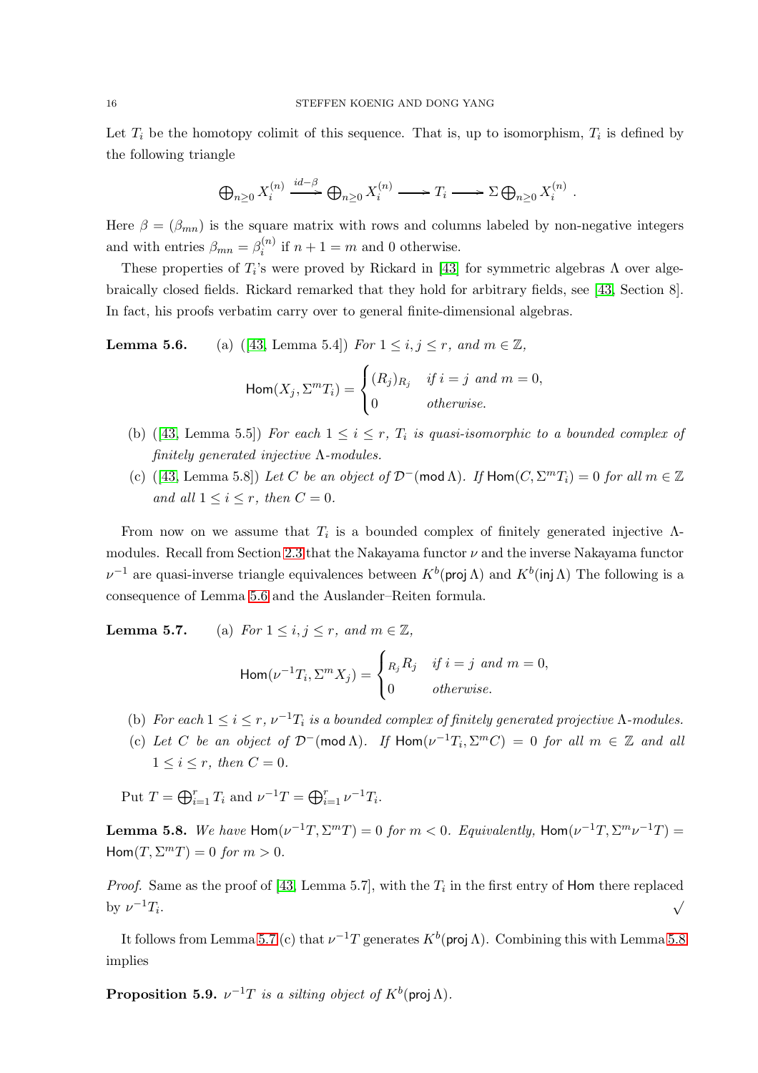Let  $T_i$  be the homotopy colimit of this sequence. That is, up to isomorphism,  $T_i$  is defined by the following triangle

$$
\bigoplus_{n\geq 0} X_i^{(n)} \xrightarrow{id-\beta} \bigoplus_{n\geq 0} X_i^{(n)} \longrightarrow T_i \longrightarrow \Sigma \bigoplus_{n\geq 0} X_i^{(n)}.
$$

Here  $\beta = (\beta_{mn})$  is the square matrix with rows and columns labeled by non-negative integers and with entries  $\beta_{mn} = \beta_i^{(n)}$  $i^{(n)}$  if  $n+1=m$  and 0 otherwise.

These properties of  $T_i$ 's were proved by Rickard in [\[43\]](#page-31-12) for symmetric algebras  $\Lambda$  over algebraically closed fields. Rickard remarked that they hold for arbitrary fields, see [\[43,](#page-31-12) Section 8]. In fact, his proofs verbatim carry over to general finite-dimensional algebras.

**Lemma5.6.** (a) ([\[43,](#page-31-12) Lemma 5.4]) For  $1 \le i, j \le r$ , and  $m \in \mathbb{Z}$ ,

$$
\operatorname{Hom}(X_j, \Sigma^m T_i) = \begin{cases} (R_j)_{R_j} & \text{if } i = j \text{ and } m = 0, \\ 0 & \text{otherwise.} \end{cases}
$$

- (b)([\[43,](#page-31-12) Lemma 5.5]) For each  $1 \leq i \leq r$ ,  $T_i$  is quasi-isomorphic to a bounded complex of finitely generated injective  $\Lambda$ -modules.
- (c)([\[43,](#page-31-12) Lemma 5.8]) Let C be an object of  $\mathcal{D}^{-}(\text{mod }\Lambda)$ . If  $\text{Hom}(C, \Sigma^m T_i) = 0$  for all  $m \in \mathbb{Z}$ and all  $1 \leq i \leq r$ , then  $C = 0$ .

From now on we assume that  $T_i$  is a bounded complex of finitely generated injective  $\Lambda$ -modules. Recall from Section [2.3](#page-3-2) that the Nakayama functor  $\nu$  and the inverse Nakayama functor  $\nu^{-1}$  are quasi-inverse triangle equivalences between  $K^b$ (proj Λ) and  $K^b$ (inj Λ) The following is a consequence of Lemma 5.6 and the Auslander–Reiten formula.

**Lemma 5.7.** (a) For  $1 \leq i, j \leq r$ , and  $m \in \mathbb{Z}$ ,

$$
\operatorname{Hom}(\nu^{-1}T_i, \Sigma^m X_j) = \begin{cases} n_j R_j & \text{if } i = j \text{ and } m = 0, \\ 0 & \text{otherwise.} \end{cases}
$$

- (b) For each  $1 \leq i \leq r$ ,  $\nu^{-1}T_i$  is a bounded complex of finitely generated projective  $\Lambda$ -modules.
- (c) Let C be an object of  $\mathcal{D}^{-}(\text{mod }\Lambda)$ . If  $\text{Hom}(\nu^{-1}T_i, \Sigma^m C) = 0$  for all  $m \in \mathbb{Z}$  and all  $1 \leq i \leq r$ , then  $C = 0$ .

Put  $T = \bigoplus_{i=1}^r T_i$  and  $\nu^{-1}T = \bigoplus_{i=1}^r \nu^{-1}T_i$ .

<span id="page-15-0"></span>Lemma 5.8. We have  $\textsf{Hom}(\nu^{-1}T,\Sigma^mT)=0$  for  $m< 0$ . Equivalently,  $\textsf{Hom}(\nu^{-1}T,\Sigma^m\nu^{-1}T)=0$  $\text{Hom}(T, \Sigma^m T) = 0 \text{ for } m > 0.$ 

*Proof.* Same as the proof of [\[43,](#page-31-12) Lemma 5.7], with the  $T_i$  in the first entry of Hom there replaced by  $\nu^{-1}T_i$ . √

It follows from Lemma 5.7 (c) that  $\nu^{-1}T$  generates  $K^b$ (proj  $\Lambda$ ). Combining this with Lemma [5.8](#page-15-0) implies

**Proposition 5.9.**  $\nu^{-1}T$  is a silting object of  $K^b$  (proj  $\Lambda$ ).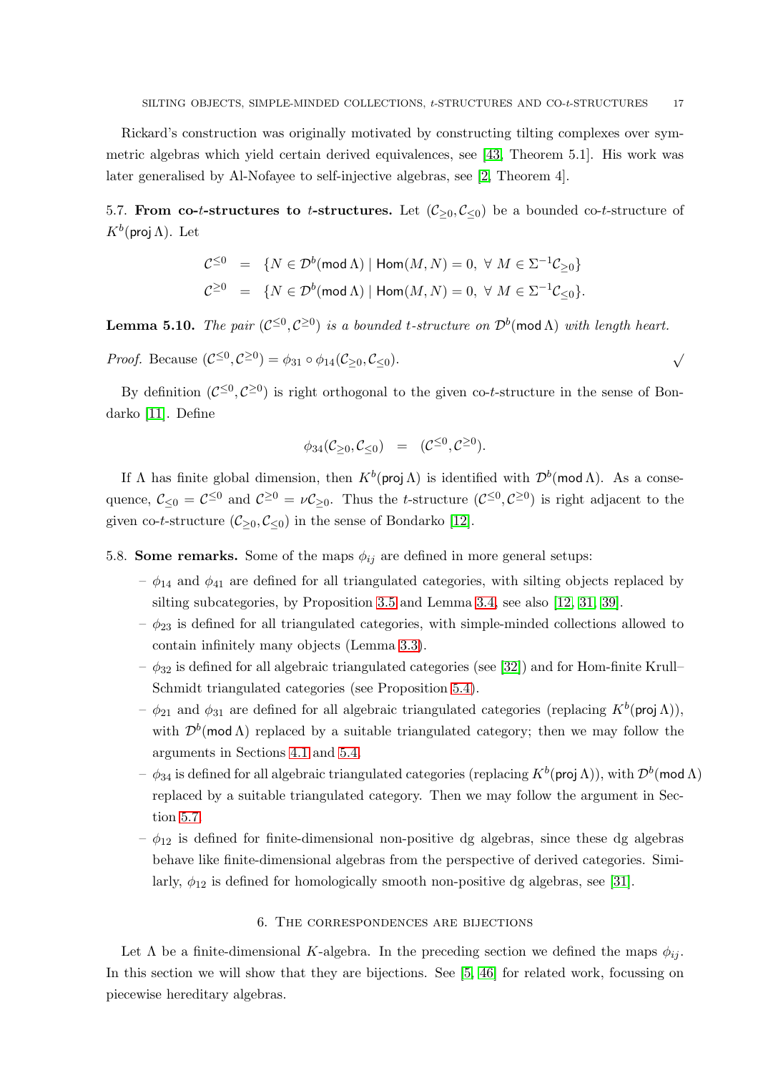Rickard's construction was originally motivated by constructing tilting complexes over symmetric algebras which yield certain derived equivalences, see [\[43,](#page-31-12) Theorem 5.1]. His work was later generalised by Al-Nofayee to self-injective algebras, see [\[2,](#page-30-15) Theorem 4].

<span id="page-16-1"></span>5.7. From co-t-structures to t-structures. Let  $(\mathcal{C}_{\geq 0}, \mathcal{C}_{\leq 0})$  be a bounded co-t-structure of  $K^b$ (proj Λ). Let

$$
\begin{array}{rcl}\n\mathcal{C}^{\leq 0} & = & \{N \in \mathcal{D}^b(\text{mod }\Lambda) \mid \text{Hom}(M, N) = 0, \ \forall \ M \in \Sigma^{-1}\mathcal{C}_{\geq 0}\} \\
\mathcal{C}^{\geq 0} & = & \{N \in \mathcal{D}^b(\text{mod }\Lambda) \mid \text{Hom}(M, N) = 0, \ \forall \ M \in \Sigma^{-1}\mathcal{C}_{\leq 0}\}.\n\end{array}
$$

**Lemma 5.10.** The pair  $(C^{\leq 0}, C^{\geq 0})$  is a bounded t-structure on  $\mathcal{D}^b(\text{mod }\Lambda)$  with length heart.

Proof. Because  $(C^{\leq 0}, C^{\geq 0}) = \phi_{31} \circ \phi_{14}(C_{\geq 0}, C_{\leq 0}).$ 

By definition  $(C^{\leq 0}, C^{\geq 0})$  is right orthogonal to the given co-t-structure in the sense of Bondarko [\[11\]](#page-30-16). Define

$$
\phi_{34}(\mathcal{C}_{\geq 0}, \mathcal{C}_{\leq 0}) = (\mathcal{C}^{\leq 0}, \mathcal{C}^{\geq 0}).
$$

If  $\Lambda$  has finite global dimension, then  $K^b(\text{proj }\Lambda)$  is identified with  $\mathcal{D}^b(\text{mod }\Lambda)$ . As a consequence,  $\mathcal{C}_{\leq 0} = \mathcal{C}^{\leq 0}$  and  $\mathcal{C}^{\geq 0} = \nu \mathcal{C}_{\geq 0}$ . Thus the *t*-structure  $(\mathcal{C}^{\leq 0}, \mathcal{C}^{\geq 0})$  is right adjacent to the given co-t-structure ( $\mathcal{C}_{\geq 0}, \mathcal{C}_{\leq 0}$ ) in the sense of Bondarko [\[12\]](#page-30-9).

- <span id="page-16-2"></span>5.8. **Some remarks.** Some of the maps  $\phi_{ij}$  are defined in more general setups:
	- $-\phi_{14}$  and  $\phi_{41}$  are defined for all triangulated categories, with silting objects replaced by silting subcategories, by Proposition [3.5](#page-6-1) and Lemma [3.4,](#page-6-2) see also [\[12,](#page-30-9) [31,](#page-31-7) [39\]](#page-31-6).
	- $-\phi_{23}$  is defined for all triangulated categories, with simple-minded collections allowed to contain infinitely many objects (Lemma [3.3\)](#page-5-0).
	- $-\phi_{32}$  is defined for all algebraic triangulated categories (see [\[32\]](#page-31-2)) and for Hom-finite Krull– Schmidt triangulated categories (see Proposition [5.4\)](#page-14-0).
	- $-\phi_{21}$  and  $\phi_{31}$  are defined for all algebraic triangulated categories (replacing  $K^b$ (proj  $\Lambda$ )), with  $\mathcal{D}^b(\text{mod }\Lambda)$  replaced by a suitable triangulated category; then we may follow the arguments in Sections [4.1](#page-7-0) and [5.4.](#page-13-0)
	- $-$  φ34 is defined for all algebraic triangulated categories (replacing  $K^b(\textsf{proj }\Lambda)),$  with  $\mathcal{D}^b(\textsf{mod }\Lambda)$ replaced by a suitable triangulated category. Then we may follow the argument in Section [5.7.](#page-16-1)
	- $-\phi_{12}$  is defined for finite-dimensional non-positive dg algebras, since these dg algebras behave like finite-dimensional algebras from the perspective of derived categories. Similarly,  $\phi_{12}$  is defined for homologically smooth non-positive dg algebras, see [\[31\]](#page-31-7).

#### 6. The correspondences are bijections

<span id="page-16-0"></span>Let  $\Lambda$  be a finite-dimensional K-algebra. In the preceding section we defined the maps  $\phi_{ij}$ . In this section we will show that they are bijections. See [\[5,](#page-30-5) [46\]](#page-31-3) for related work, focussing on piecewise hereditary algebras.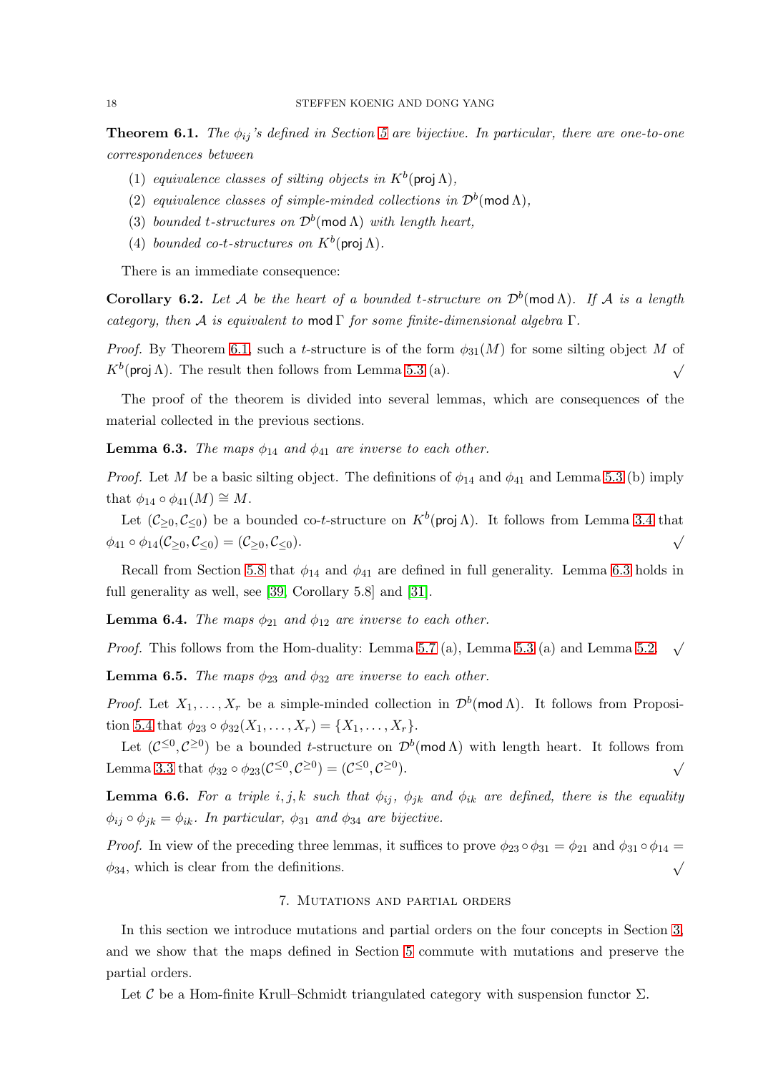<span id="page-17-1"></span>**Theorem 6.1.** The  $\phi_{ij}$ 's defined in Section [5](#page-10-0) are bijective. In particular, there are one-to-one correspondences between

- (1) equivalence classes of silting objects in  $K^b$ (proj $\Lambda$ ),
- (2) equivalence classes of simple-minded collections in  $\mathcal{D}^b(\text{mod }\Lambda)$ ,
- (3) bounded t-structures on  $\mathcal{D}^b(\text{mod }\Lambda)$  with length heart,
- (4) bounded co-t-structures on  $K^b$ (proj  $\Lambda$ ).

There is an immediate consequence:

<span id="page-17-2"></span>**Corollary 6.2.** Let A be the heart of a bounded t-structure on  $\mathcal{D}^b(\text{mod }\Lambda)$ . If A is a length category, then A is equivalent to mod  $\Gamma$  for some finite-dimensional algebra  $\Gamma$ .

Proof. By Theorem [6.1,](#page-17-1) such a t-structure is of the form  $\phi_{31}(M)$  for some silting object M of  $K^b$ (proj  $\Lambda$ ). The result then follows from Lemma 5.3 (a).  $\checkmark$ 

The proof of the theorem is divided into several lemmas, which are consequences of the material collected in the previous sections.

<span id="page-17-3"></span>**Lemma 6.3.** The maps  $\phi_{14}$  and  $\phi_{41}$  are inverse to each other.

*Proof.* Let M be a basic silting object. The definitions of  $\phi_{14}$  and  $\phi_{41}$  and Lemma 5.3 (b) imply that  $\phi_{14} \circ \phi_{41}(M) \cong M$ .

Let  $(\mathcal{C}_{\geq 0}, \mathcal{C}_{\leq 0})$  be a bounded co-t-structure on  $K^b(\text{proj }\Lambda)$ . It follows from Lemma [3.4](#page-6-2) that  $\phi_{41} \circ \phi_{14}(\mathcal{C}_{\geq 0}, \mathcal{C}_{\leq 0}) = (\mathcal{C}_{\geq 0}, \mathcal{C}_{\leq 0}).$ 

Recall from Section [5.8](#page-16-2) that  $\phi_{14}$  and  $\phi_{41}$  are defined in full generality. Lemma [6.3](#page-17-3) holds in full generality as well, see [\[39,](#page-31-6) Corollary 5.8] and [\[31\]](#page-31-7).

**Lemma 6.4.** The maps  $\phi_{21}$  and  $\phi_{12}$  are inverse to each other.

*Proof.* This follows from the Hom-duality: Lemma 5.7 (a), Lemma 5.3 (a) and Lemma 5.2.  $\sqrt$ 

**Lemma 6.5.** The maps  $\phi_{23}$  and  $\phi_{32}$  are inverse to each other.

*Proof.* Let  $X_1, \ldots, X_r$  be a simple-minded collection in  $\mathcal{D}^b(\text{mod }\Lambda)$ . It follows from Proposi-tion [5.4](#page-14-0) that  $\phi_{23} \circ \phi_{32}(X_1, \ldots, X_r) = \{X_1, \ldots, X_r\}.$ 

Let  $(C^{\leq 0}, C^{\geq 0})$  be a bounded t-structure on  $\mathcal{D}^b(\text{mod }\Lambda)$  with length heart. It follows from Lemma [3.3](#page-5-0) that  $\phi_{32} \circ \phi_{23}(\mathcal{C}^{\leq 0}, \mathcal{C}^{\geq 0}) = (\mathcal{C}^{\leq 0}, \mathcal{C}^{\geq 0})$ ).  $\sqrt{ }$ 

<span id="page-17-4"></span>**Lemma 6.6.** For a triple i, j, k such that  $\phi_{ij}$ ,  $\phi_{jk}$  and  $\phi_{ik}$  are defined, there is the equality  $\phi_{ij} \circ \phi_{jk} = \phi_{ik}$ . In particular,  $\phi_{31}$  and  $\phi_{34}$  are bijective.

<span id="page-17-0"></span>*Proof.* In view of the preceding three lemmas, it suffices to prove  $\phi_{23} \circ \phi_{31} = \phi_{21}$  and  $\phi_{31} \circ \phi_{14} =$  $\phi_{34}$ , which is clear from the definitions.

### 7. Mutations and partial orders

In this section we introduce mutations and partial orders on the four concepts in Section [3,](#page-4-0) and we show that the maps defined in Section [5](#page-10-0) commute with mutations and preserve the partial orders.

Let  $\mathcal C$  be a Hom-finite Krull–Schmidt triangulated category with suspension functor  $\Sigma$ .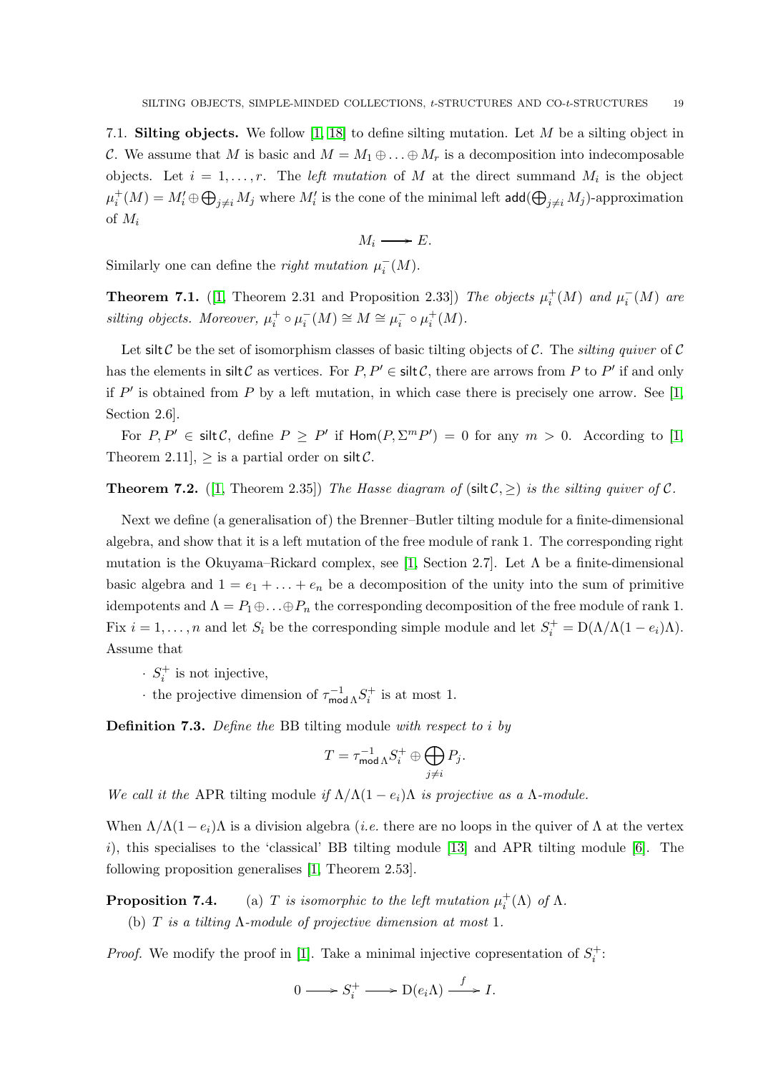<span id="page-18-0"></span>7.1. **Silting objects.** We follow [\[1,](#page-30-6) [18\]](#page-30-17) to define silting mutation. Let  $M$  be a silting object in C. We assume that M is basic and  $M = M_1 \oplus \ldots \oplus M_r$  is a decomposition into indecomposable objects. Let  $i = 1, \ldots, r$ . The *left mutation* of M at the direct summand  $M_i$  is the object  $\mu_i^+(M)=M_i'\oplus \bigoplus_{j\neq i}M_j$  where  $M_i'$  is the cone of the minimal left  $\mathsf{add}(\bigoplus_{j\neq i}M_j)$ -approximation of  $M_i$ 

$$
M_i \longrightarrow E.
$$

Similarly one can define the *right mutation*  $\mu_i^-(M)$ .

<span id="page-18-1"></span>**Theorem 7.1.** ([\[1,](#page-30-6) Theorem 2.31 and Proposition 2.33]) The objects  $\mu_i^+(M)$  and  $\mu_i^$  $i^-(M)$  are silting objects. Moreover,  $\mu_i^+ \circ \mu_i^-(M) \cong M \cong \mu_i^- \circ \mu_i^+(M)$ .

Let silt C be the set of isomorphism classes of basic tilting objects of C. The silting quiver of C has the elements in  $\text{slit } \mathcal{C}$  as vertices. For  $P, P' \in \text{slit } \mathcal{C}$ , there are arrows from P to P' if and only if  $P'$  is obtained from P by a left mutation, in which case there is precisely one arrow. See [\[1,](#page-30-6) Section 2.6].

For  $P, P' \in \text{slit } C$ , define  $P \ge P'$  if  $\text{Hom}(P, \Sigma^m P') = 0$  for any  $m > 0$ . According to [\[1,](#page-30-6) Theorem 2.11],  $>$  is a partial order on silt C.

**Theorem 7.2.** ([\[1,](#page-30-6) Theorem 2.35]) The Hasse diagram of (silt  $C \geq$ ) is the silting quiver of C.

Next we define (a generalisation of) the Brenner–Butler tilting module for a finite-dimensional algebra, and show that it is a left mutation of the free module of rank 1. The corresponding right mutation is the Okuyama–Rickard complex, see [\[1,](#page-30-6) Section 2.7]. Let  $\Lambda$  be a finite-dimensional basic algebra and  $1 = e_1 + \ldots + e_n$  be a decomposition of the unity into the sum of primitive idempotents and  $\Lambda = P_1 \oplus \ldots \oplus P_n$  the corresponding decomposition of the free module of rank 1. Fix  $i = 1, ..., n$  and let  $S_i$  be the corresponding simple module and let  $S_i^+ = D(\Lambda/\Lambda(1 - e_i)\Lambda)$ . Assume that

- $\cdot$   $S_i^+$  is not injective,
- the projective dimension of  $\tau_{\text{mo}}^{-1}$  $\int_{\text{mod }\Lambda}^{-1} S_i^+$  is at most 1.

Definition 7.3. Define the BB tilting module with respect to i by

$$
T = \tau_{\text{mod }\Lambda}^{-1} S_i^+ \oplus \bigoplus_{j \neq i} P_j.
$$

We call it the APR tilting module if  $\Lambda/\Lambda(1-e_i)\Lambda$  is projective as a  $\Lambda$ -module.

When  $\Lambda/\Lambda(1-e_i)\Lambda$  is a division algebra (*i.e.* there are no loops in the quiver of  $\Lambda$  at the vertex i), this specialises to the 'classical' BB tilting module  $[13]$  and APR tilting module  $[6]$ . The following proposition generalises [\[1,](#page-30-6) Theorem 2.53].

**Proposition 7.4.** (a) T is isomorphic to the left mutation  $\mu_i^+(\Lambda)$  of  $\Lambda$ . (b) T is a tilting  $\Lambda$ -module of projective dimension at most 1.

*Proof.* We modify the proof in [\[1\]](#page-30-6). Take a minimal injective copresentation of  $S_i^+$ :

$$
0 \longrightarrow S_i^+ \longrightarrow D(e_i \Lambda) \stackrel{f}{\longrightarrow} I.
$$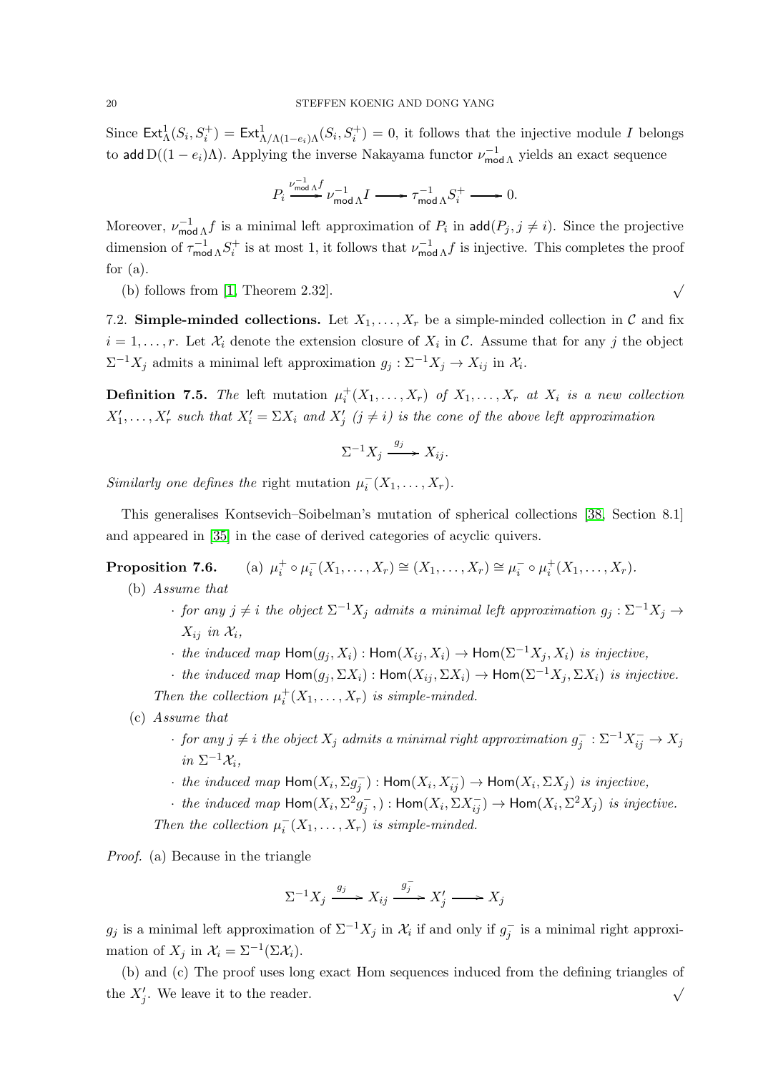Since  $\text{Ext}^1_{\Lambda}(S_i, S_i^+) = \text{Ext}^1_{\Lambda/\Lambda(1-e_i)\Lambda}(S_i, S_i^+) = 0$ , it follows that the injective module I belongs to add  $D((1 - e_i)\Lambda)$ . Applying the inverse Nakayama functor  $\nu_{\text{mo}}^{-1}$  $\int_{\text{mod }\Lambda}^{-1}$  yields an exact sequence

$$
P_i \stackrel{\nu_{\text{mod }\Lambda}^{-1}f}{\Longrightarrow} \nu_{\text{mod }\Lambda}^{-1}I \stackrel{}{\longrightarrow} \tau_{\text{mod }\Lambda}^{-1}S_i^+ \stackrel{}{\longrightarrow} 0.
$$

Moreover,  $\nu_{\text{mo}}^{-1}$  $\int_{\text{mod }\Lambda}^{-1} f$  is a minimal left approximation of  $P_i$  in  $\text{add}(P_j, j \neq i)$ . Since the projective dimension of  $\tau_{\text{mo}}^{-1}$  $\frac{1}{\text{mod }\Lambda} S_i^+$  is at most 1, it follows that  $\nu_{\text{mod }} \Omega$  $\int_{\text{mod }\Lambda}^{-1} f$  is injective. This completes the proof for  $(a)$ .

(b) follows from [\[1,](#page-30-6) Theorem 2.32].  $\sqrt{ }$ 

7.2. Simple-minded collections. Let  $X_1, \ldots, X_r$  be a simple-minded collection in C and fix  $i = 1, \ldots, r$ . Let  $\mathcal{X}_i$  denote the extension closure of  $X_i$  in C. Assume that for any j the object  $\Sigma^{-1}X_j$  admits a minimal left approximation  $g_j: \Sigma^{-1}X_j \to X_{ij}$  in  $\mathcal{X}_i$ .

**Definition 7.5.** The left mutation  $\mu_i^+(X_1,\ldots,X_r)$  of  $X_1,\ldots,X_r$  at  $X_i$  is a new collection  $X'_1, \ldots, X'_r$  such that  $X'_i = \Sigma X_i$  and  $X'_j$   $(j \neq i)$  is the cone of the above left approximation

$$
\Sigma^{-1}X_j \xrightarrow{g_j} X_{ij}.
$$

Similarly one defines the right mutation  $\mu_i^-(X_1,\ldots,X_r)$ .

This generalises Kontsevich–Soibelman's mutation of spherical collections [\[38,](#page-31-18) Section 8.1] and appeared in [\[35\]](#page-31-19) in the case of derived categories of acyclic quivers.

Proposition 7.6.  $i_{i}^{+} \circ \mu_{i}^{-}(X_{1},...,X_{r}) \cong (X_{1},...,X_{r}) \cong \mu_{i}^{-} \circ \mu_{i}^{+}(X_{1},...,X_{r}).$ 

(b) Assume that

- for any  $j \neq i$  the object  $\Sigma^{-1}X_j$  admits a minimal left approximation  $g_j : \Sigma^{-1}X_j \to$  $X_{ij}$  in  $\mathcal{X}_i$ ,
- the induced map  $\text{Hom}(g_j, X_i)$ :  $\text{Hom}(X_{ij}, X_i) \to \text{Hom}(\Sigma^{-1}X_j, X_i)$  is injective,
- the induced map  $\text{Hom}(g_j, \Sigma X_i)$ :  $\text{Hom}(X_{ij}, \Sigma X_i) \to \text{Hom}(\Sigma^{-1}X_j, \Sigma X_i)$  is injective.

Then the collection  $\mu_i^+(X_1,\ldots,X_r)$  is simple-minded.

- (c) Assume that
	- $\cdot$  for any  $j \neq i$  the object  $X_j$  admits a minimal right approximation  $g_j^-: \Sigma^{-1} X_{ij}^- \to X_j$ in  $\Sigma^{-1} \mathcal{X}_i$ ,
	- $\cdot$  the induced map  $\textsf{Hom}(X_i, \Sigma g_j^-) : \textsf{Hom}(X_i, X_{ij}^-) \to \textsf{Hom}(X_i, \Sigma X_j)$  is injective,
	- $\cdot$  the induced map  $\text{Hom}(X_i, \Sigma^2 g_j^-)$ :  $\text{Hom}(X_i, \Sigma X_{ij}^-)$   $\rightarrow$   $\text{Hom}(X_i, \Sigma^2 X_j)$  is injective.

Then the collection  $\mu_i^ \overline{X}_i(X_1,\ldots,X_r)$  is simple-minded.

Proof. (a) Because in the triangle

$$
\Sigma^{-1} X_j \xrightarrow{g_j} X_{ij} \xrightarrow{g_j^-} X_j' \longrightarrow X_j
$$

 $g_j$  is a minimal left approximation of  $\Sigma^{-1} X_j$  in  $\mathcal{X}_i$  if and only if  $g_j^-$  is a minimal right approximation of  $X_j$  in  $\mathcal{X}_i = \Sigma^{-1}(\Sigma \mathcal{X}_i)$ .

(b) and (c) The proof uses long exact Hom sequences induced from the defining triangles of the  $X'_j$ . We leave it to the reader.  $\sqrt{ }$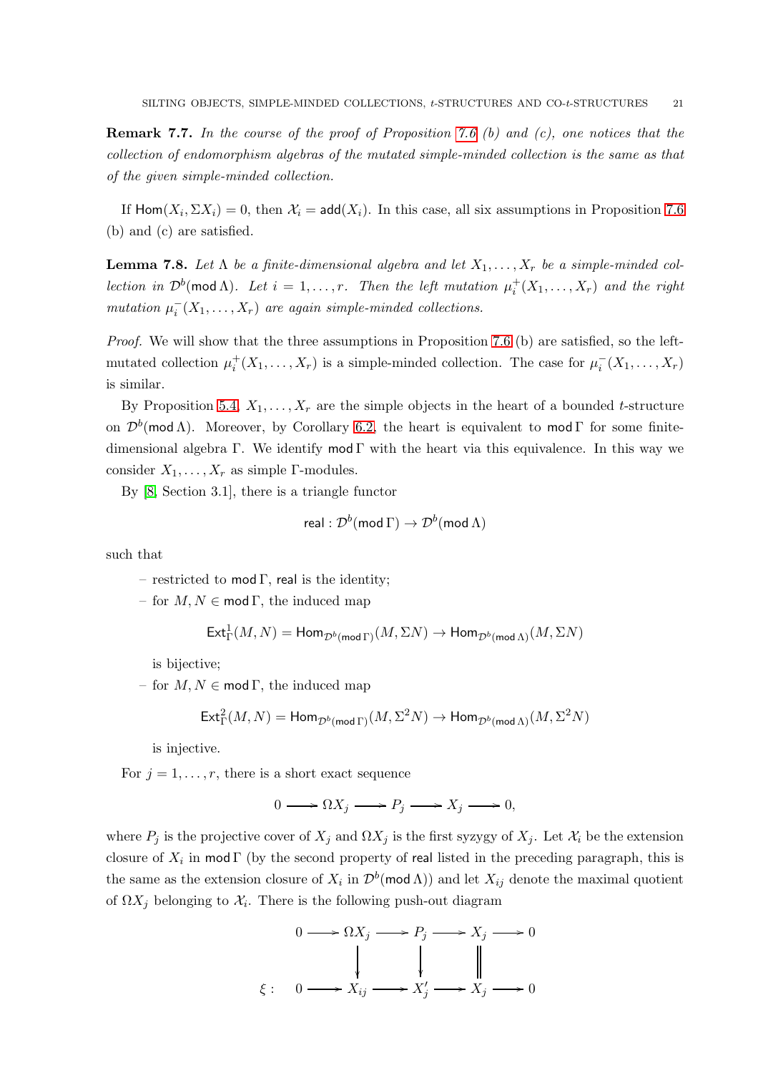**Remark 7.7.** In the course of the proof of Proposition 7.6 (b) and (c), one notices that the collection of endomorphism algebras of the mutated simple-minded collection is the same as that of the given simple-minded collection.

If  $\text{Hom}(X_i, \Sigma X_i) = 0$ , then  $\mathcal{X}_i = \text{add}(X_i)$ . In this case, all six assumptions in Proposition 7.6 (b) and (c) are satisfied.

**Lemma 7.8.** Let  $\Lambda$  be a finite-dimensional algebra and let  $X_1, \ldots, X_r$  be a simple-minded collection in  $\mathcal{D}^b(\text{mod }\Lambda)$ . Let  $i = 1, ..., r$ . Then the left mutation  $\mu_i^+(X_1, ..., X_r)$  and the right mutation  $\mu_i^-(X_1,\ldots,X_r)$  are again simple-minded collections.

Proof. We will show that the three assumptions in Proposition 7.6 (b) are satisfied, so the leftmutated collection  $\mu_i^+(X_1,\ldots,X_r)$  is a simple-minded collection. The case for  $\mu_i^-(X_1,\ldots,X_r)$ is similar.

By Proposition [5.4,](#page-14-0)  $X_1, \ldots, X_r$  are the simple objects in the heart of a bounded t-structure on  $\mathcal{D}^b(\text{mod }\Lambda)$ . Moreover, by Corollary [6.2,](#page-17-2) the heart is equivalent to mod  $\Gamma$  for some finitedimensional algebra Γ. We identify mod Γ with the heart via this equivalence. In this way we consider  $X_1, \ldots, X_r$  as simple Γ-modules.

By [\[8,](#page-30-11) Section 3.1], there is a triangle functor

$$
\mathsf{real} : \mathcal{D}^b(\mathsf{mod}\,\Gamma) \rightarrow \mathcal{D}^b(\mathsf{mod}\,\Lambda)
$$

such that

– restricted to mod Γ, real is the identity;

– for  $M, N \in \text{mod } \Gamma$ , the induced map

$$
\operatorname{Ext}^1_{\Gamma}(M,N)=\operatorname{Hom}\nolimits_{\mathcal{D}^b(\operatorname{mod}\nolimits\Gamma)}(M,\Sigma N)\to\operatorname{Hom}\nolimits_{\mathcal{D}^b(\operatorname{mod}\nolimits\Lambda)}(M,\Sigma N)
$$

is bijective;

– for  $M, N \in \text{mod } \Gamma$ , the induced map

$$
\operatorname{Ext}^2_\Gamma(M,N)=\operatorname{Hom}\nolimits_{\mathcal{D}^b(\operatorname{mod}\nolimits\Gamma)}(M,\Sigma^2N)\to\operatorname{Hom}\nolimits_{\mathcal{D}^b(\operatorname{mod}\nolimits\Lambda)}(M,\Sigma^2N)
$$

is injective.

For  $j = 1, \ldots, r$ , there is a short exact sequence

 $0 \longrightarrow \Omega X_j \longrightarrow P_j \longrightarrow X_j \longrightarrow 0,$ 

where  $P_j$  is the projective cover of  $X_j$  and  $\Omega X_j$  is the first syzygy of  $X_j$ . Let  $\mathcal{X}_i$  be the extension closure of  $X_i$  in mod  $\Gamma$  (by the second property of real listed in the preceding paragraph, this is the same as the extension closure of  $X_i$  in  $\mathcal{D}^b(\text{mod }\Lambda)$  and let  $X_{ij}$  denote the maximal quotient of  $\Omega X_j$  belonging to  $\mathcal{X}_i$ . There is the following push-out diagram

$$
0 \longrightarrow \Omega X_j \longrightarrow P_j \longrightarrow X_j \longrightarrow 0
$$
  

$$
\downarrow \qquad \qquad \downarrow \qquad \qquad \parallel
$$
  

$$
\xi: \quad 0 \longrightarrow X_{ij} \longrightarrow X'_j \longrightarrow X_j \longrightarrow 0
$$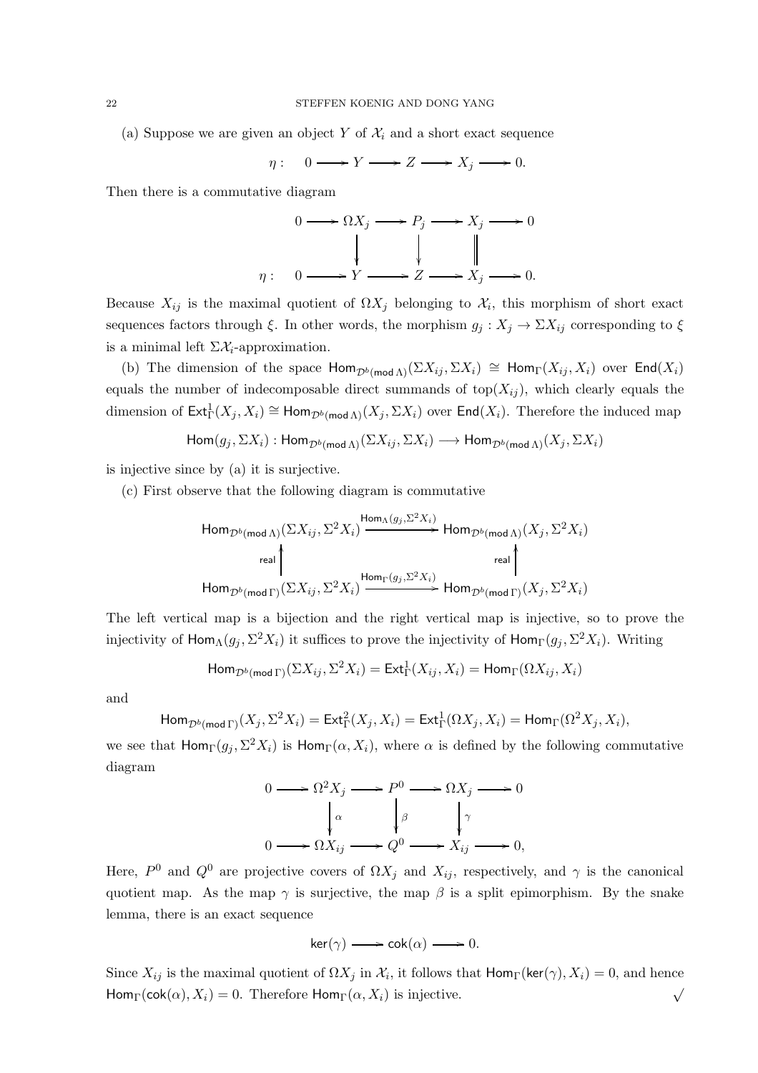(a) Suppose we are given an object Y of  $\mathcal{X}_i$  and a short exact sequence

$$
\eta: \quad 0 \longrightarrow Y \longrightarrow Z \longrightarrow X_j \longrightarrow 0.
$$

Then there is a commutative diagram



Because  $X_{ij}$  is the maximal quotient of  $\Omega X_j$  belonging to  $\mathcal{X}_i$ , this morphism of short exact sequences factors through  $\xi$ . In other words, the morphism  $g_j : X_j \to \Sigma X_{ij}$  corresponding to  $\xi$ is a minimal left  $\Sigma \mathcal{X}_i$ -approximation.

(b) The dimension of the space  $\text{Hom}_{\mathcal{D}^b(\text{mod }\Lambda)}(\Sigma X_{ij}, \Sigma X_i) \cong \text{Hom}_{\Gamma}(X_{ij}, X_i)$  over  $\text{End}(X_i)$ equals the number of indecomposable direct summands of top( $X_{ij}$ ), which clearly equals the dimension of  $\text{Ext}^1_{\Gamma}(X_j, X_i) \cong \text{Hom}_{\mathcal{D}^b(\text{mod }\Lambda)}(X_j, \Sigma X_i)$  over  $\text{End}(X_i)$ . Therefore the induced map

 $\text{Hom}(g_i, \Sigma X_i) : \text{Hom}_{\mathcal{D}^b(\text{mod }\Lambda)}(\Sigma X_{ij}, \Sigma X_i) \longrightarrow \text{Hom}_{\mathcal{D}^b(\text{mod }\Lambda)}(X_i, \Sigma X_i)$ 

is injective since by (a) it is surjective.

(c) First observe that the following diagram is commutative

HomDb(mod Λ)(ΣXij , Σ <sup>2</sup>Xi) HomΛ(g<sup>j</sup> ,Σ2Xi) /HomDb(mod Λ)(X<sup>j</sup> , Σ <sup>2</sup>Xi) HomDb(mod Γ)(ΣXij , Σ <sup>2</sup>Xi) real OO HomΓ(g<sup>j</sup> ,Σ2Xi) /HomDb(mod Γ)(X<sup>j</sup> , Σ <sup>2</sup>Xi) real OO

The left vertical map is a bijection and the right vertical map is injective, so to prove the injectivity of  $\mathsf{Hom}_\Lambda(g_j, \Sigma^2 X_i)$  it suffices to prove the injectivity of  $\mathsf{Hom}_\Gamma(g_j, \Sigma^2 X_i)$ . Writing

$$
\mathsf{Hom}_{\mathcal{D}^b(\mathsf{mod}\,\Gamma)}(\Sigma X_{ij}, \Sigma^2 X_i) = \mathsf{Ext}^1_\Gamma(X_{ij}, X_i) = \mathsf{Hom}_\Gamma(\Omega X_{ij}, X_i)
$$

and

$$
\operatorname{Hom}_{\mathcal{D}^b(\operatorname{mod}\Gamma)}(X_j,\Sigma^2 X_i) = \operatorname{Ext}^2_{\Gamma}(X_j,X_i) = \operatorname{Ext}^1_{\Gamma}(\Omega X_j,X_i) = \operatorname{Hom}_{\Gamma}(\Omega^2 X_j,X_i),
$$

we see that  $\textsf{Hom}_{\Gamma}(g_j, \Sigma^2 X_i)$  is  $\textsf{Hom}_{\Gamma}(\alpha, X_i)$ , where  $\alpha$  is defined by the following commutative diagram

$$
0 \longrightarrow \Omega^2 X_j \longrightarrow P^0 \longrightarrow \Omega X_j \longrightarrow 0
$$

$$
\downarrow^{\alpha} \qquad \downarrow^{\beta} \qquad \downarrow^{\gamma}
$$

$$
0 \longrightarrow \Omega X_{ij} \longrightarrow Q^0 \longrightarrow X_{ij} \longrightarrow 0,
$$

Here,  $P^0$  and  $Q^0$  are projective covers of  $\Omega X_j$  and  $X_{ij}$ , respectively, and  $\gamma$  is the canonical quotient map. As the map  $\gamma$  is surjective, the map  $\beta$  is a split epimorphism. By the snake lemma, there is an exact sequence

$$
\ker(\gamma) \longrightarrow \operatorname{cok}(\alpha) \longrightarrow 0.
$$

Since  $X_{ij}$  is the maximal quotient of  $\Omega X_j$  in  $\mathcal{X}_i$ , it follows that  $\mathsf{Hom}_{\Gamma}(\mathsf{ker}(\gamma), X_i) = 0$ , and hence  $\mathsf{Hom}_{\Gamma}(\mathsf{cok}(\alpha), X_i) = 0.$  Therefore  $\mathsf{Hom}_{\Gamma}(\alpha, X_i)$  is injective.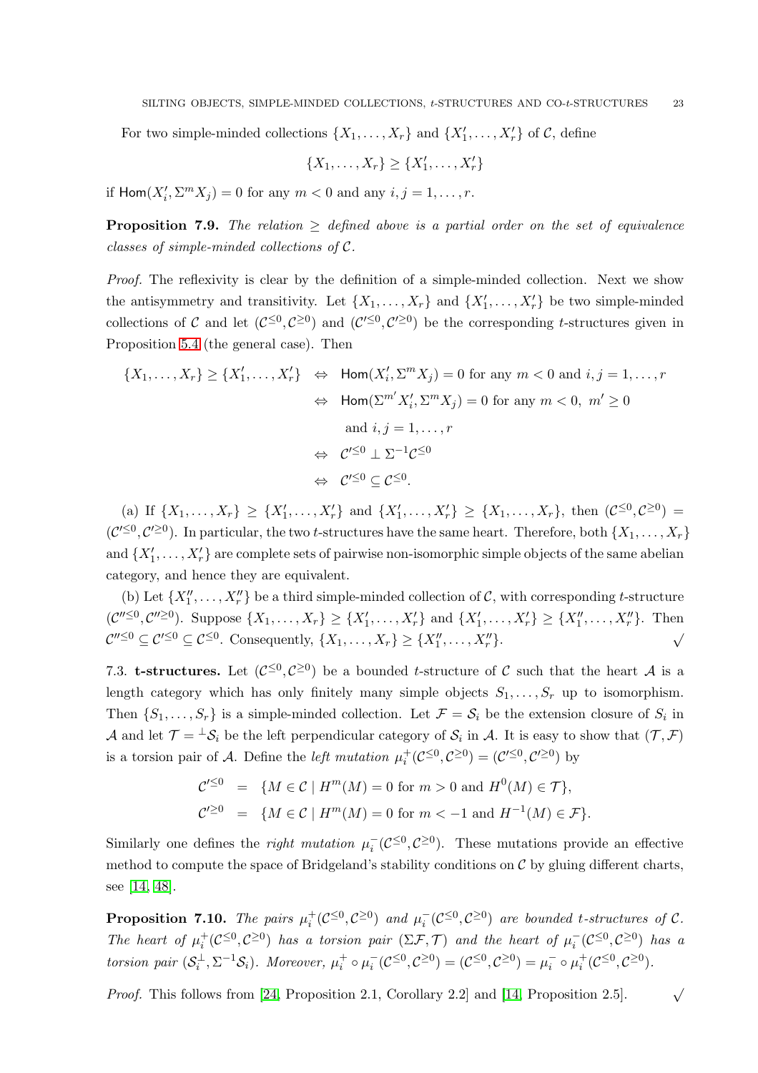For two simple-minded collections  $\{X_1, \ldots, X_r\}$  and  $\{X'_1, \ldots, X'_r\}$  of  $\mathcal{C}$ , define

$$
\{X_1,\ldots,X_r\}\geq \{X'_1,\ldots,X'_r\}
$$

if  $\text{Hom}(X'_i, \Sigma^m X_j) = 0$  for any  $m < 0$  and any  $i, j = 1, \dots, r$ .

<span id="page-22-1"></span>**Proposition 7.9.** The relation  $\geq$  defined above is a partial order on the set of equivalence classes of simple-minded collections of C.

Proof. The reflexivity is clear by the definition of a simple-minded collection. Next we show the antisymmetry and transitivity. Let  $\{X_1, \ldots, X_r\}$  and  $\{X'_1, \ldots, X'_r\}$  be two simple-minded collections of C and let  $(C^{\leq 0}, C^{\geq 0})$  and  $(C'^{\leq 0}, C'^{\geq 0})$  be the corresponding t-structures given in Proposition [5.4](#page-14-0) (the general case). Then

$$
\{X_1, \dots, X_r\} \ge \{X'_1, \dots, X'_r\} \iff \text{Hom}(X'_i, \Sigma^m X_j) = 0 \text{ for any } m < 0 \text{ and } i, j = 1, \dots, r
$$
\n
$$
\iff \text{Hom}(\Sigma^{m'} X'_i, \Sigma^m X_j) = 0 \text{ for any } m < 0, \ m' \ge 0
$$
\n
$$
\text{and } i, j = 1, \dots, r
$$
\n
$$
\iff \mathcal{C}'^{\leq 0} \perp \Sigma^{-1} \mathcal{C}^{\leq 0}
$$
\n
$$
\iff \mathcal{C}'^{\leq 0} \subseteq \mathcal{C}^{\leq 0}.
$$

(a) If  $\{X_1, \ldots, X_r\} \geq \{X'_1, \ldots, X'_r\}$  and  $\{X'_1, \ldots, X'_r\} \geq \{X_1, \ldots, X_r\}$ , then  $(\mathcal{C}^{\leq 0}, \mathcal{C}^{\geq 0})$  $(\mathcal{C}^{\prime \leq 0}, \mathcal{C}^{\prime \geq 0})$ . In particular, the two *t*-structures have the same heart. Therefore, both  $\{X_1, \ldots, X_r\}$ and  $\{X'_1, \ldots, X'_r\}$  are complete sets of pairwise non-isomorphic simple objects of the same abelian category, and hence they are equivalent.

(b) Let  $\{X''_1, \ldots, X''_r\}$  be a third simple-minded collection of C, with corresponding t-structure  $(\mathcal{C}''^{\leq 0}, \mathcal{C}''^{\geq 0})$ . Suppose  $\{X_1, \ldots, X_r\} \geq \{X'_1, \ldots, X'_r\}$  and  $\{X'_1, \ldots, X'_r\} \geq \{X''_1, \ldots, X''_r\}$ . Then  $\mathcal{C}''^{\leq 0} \subseteq \mathcal{C}^{\leq 0} \subseteq \mathcal{C}^{\leq 0}$ . Consequently,  $\{X_1, \ldots, X_r\} \geq \{X''_1, \ldots, X''_r\}$ . √

7.3. **t-structures.** Let  $(C^{\leq 0}, C^{\geq 0})$  be a bounded *t*-structure of C such that the heart A is a length category which has only finitely many simple objects  $S_1, \ldots, S_r$  up to isomorphism. Then  $\{S_1, \ldots, S_r\}$  is a simple-minded collection. Let  $\mathcal{F} = \mathcal{S}_i$  be the extension closure of  $S_i$  in A and let  $\mathcal{T} = {}^{\perp} \mathcal{S}_i$  be the left perpendicular category of  $\mathcal{S}_i$  in A. It is easy to show that  $(\mathcal{T}, \mathcal{F})$ is a torsion pair of A. Define the *left mutation*  $\mu_i^+(\mathcal{C}^{\leq 0}, \mathcal{C}^{\geq 0}) = (\mathcal{C}'^{\leq 0}, \mathcal{C}'^{\geq 0})$  by

$$
\mathcal{C}'^{\leq 0} = \{ M \in \mathcal{C} \mid H^m(M) = 0 \text{ for } m > 0 \text{ and } H^0(M) \in \mathcal{T} \},
$$
  

$$
\mathcal{C}'^{\geq 0} = \{ M \in \mathcal{C} \mid H^m(M) = 0 \text{ for } m < -1 \text{ and } H^{-1}(M) \in \mathcal{F} \}.
$$

Similarly one defines the *right mutation*  $\mu_i^$  $i(\mathcal{C}^{\leq 0}, \mathcal{C}^{\geq 0})$ . These mutations provide an effective method to compute the space of Bridgeland's stability conditions on  $\mathcal C$  by gluing different charts, see [\[14,](#page-30-20) [48\]](#page-31-20).

<span id="page-22-0"></span>**Proposition 7.10.** The pairs  $\mu_i^+(\mathcal{C}^{\leq 0}, \mathcal{C}^{\geq 0})$  and  $\mu_i^-(\mathcal{C}^{\leq 0}, \mathcal{C}^{\geq 0})$  are bounded t-structures of  $\mathcal{C}$ . The heart of  $\mu_i^+(\mathcal{C}^{\leq 0}, \mathcal{C}^{\geq 0})$  has a torsion pair  $(\Sigma \mathcal{F}, \mathcal{T})$  and the heart of  $\mu_i^-(\mathcal{C}^{\leq 0}, \mathcal{C}^{\geq 0})$  has a torsion pair  $(\mathcal{S}_i^{\perp}, \Sigma^{-1}\mathcal{S}_i)$ . Moreover,  $\mu_i^+ \circ \mu_i^$  $i(\mathcal{C}^{\leq 0}, \mathcal{C}^{\geq 0}) = (\mathcal{C}^{\leq 0}, \mathcal{C}^{\geq 0}) = \mu_i^{-}$  $i^-$  o  $\mu_i^+(\mathcal{C}^{\leq 0}, \mathcal{C}^{\geq 0}).$ 

*Proof.* This follows from [\[24,](#page-30-21) Proposition 2.1, Corollary 2.2] and [\[14,](#page-30-20) Proposition 2.5].  $\sqrt{ }$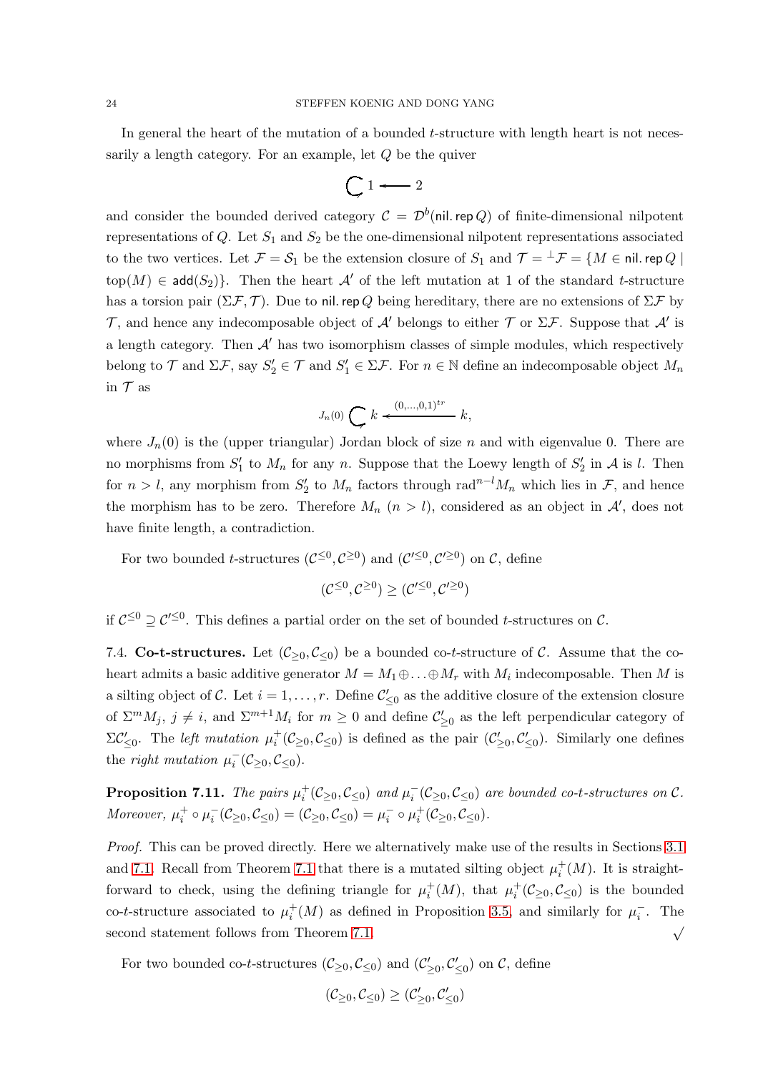In general the heart of the mutation of a bounded t-structure with length heart is not necessarily a length category. For an example, let Q be the quiver

$$
\bigcup 1 \longleftarrow 2
$$

and consider the bounded derived category  $\mathcal{C} = \mathcal{D}^b(\textsf{nil. rep }Q)$  of finite-dimensional nilpotent representations of  $Q$ . Let  $S_1$  and  $S_2$  be the one-dimensional nilpotent representations associated to the two vertices. Let  $\mathcal{F} = \mathcal{S}_1$  be the extension closure of  $S_1$  and  $\mathcal{T} = {}^{\perp} \mathcal{F} = \{M \in \text{nil. rep }Q \mid \mathcal{S} \}$ top $(M) \in \mathsf{add}(S_2)$ . Then the heart A' of the left mutation at 1 of the standard t-structure has a torsion pair  $(\Sigma \mathcal{F}, \mathcal{T})$ . Due to nil. rep Q being hereditary, there are no extensions of  $\Sigma \mathcal{F}$  by T, and hence any indecomposable object of  $\mathcal{A}'$  belongs to either  $\mathcal T$  or  $\Sigma \mathcal{F}$ . Suppose that  $\mathcal{A}'$  is a length category. Then  $A'$  has two isomorphism classes of simple modules, which respectively belong to  $\mathcal T$  and  $\Sigma \mathcal F$ , say  $S'_2 \in \mathcal T$  and  $S'_1 \in \Sigma \mathcal F$ . For  $n \in \mathbb N$  define an indecomposable object  $M_n$ in  $T$  as

$$
J_n(0) \bigodot k \stackrel{(0,\dots,0,1)^{tr}}{\longleftarrow} k,
$$

where  $J_n(0)$  is the (upper triangular) Jordan block of size n and with eigenvalue 0. There are no morphisms from  $S'_1$  to  $M_n$  for any n. Suppose that the Loewy length of  $S'_2$  in A is l. Then for  $n > l$ , any morphism from  $S'_2$  to  $M_n$  factors through rad<sup>n-l</sup> $M_n$  which lies in  $\mathcal{F}$ , and hence the morphism has to be zero. Therefore  $M_n$   $(n > l)$ , considered as an object in  $\mathcal{A}'$ , does not have finite length, a contradiction.

For two bounded *t*-structures  $(C^{\leq 0}, C^{\geq 0})$  and  $(C'^{\leq 0}, C'^{\geq 0})$  on  $C$ , define

$$
(\mathcal{C}^{\leq 0}, \mathcal{C}^{\geq 0}) \geq (\mathcal{C}'^{\leq 0}, \mathcal{C}'^{\geq 0})
$$

if  $C^{\leq 0} \supseteq C'^{\leq 0}$ . This defines a partial order on the set of bounded t-structures on C.

7.4. Co-t-structures. Let  $(\mathcal{C}_{\geq 0}, \mathcal{C}_{\leq 0})$  be a bounded co-t-structure of C. Assume that the coheart admits a basic additive generator  $M = M_1 \oplus \ldots \oplus M_r$  with  $M_i$  indecomposable. Then M is a silting object of C. Let  $i = 1, \ldots, r$ . Define  $\mathcal{C}'_{\leq 0}$  as the additive closure of the extension closure of  $\Sigma^m M_j$ ,  $j \neq i$ , and  $\Sigma^{m+1} M_i$  for  $m \geq 0$  and define  $\mathcal{C}'_{\geq 0}$  as the left perpendicular category of  $\Sigma \mathcal{C}'_{\leq 0}$ . The *left mutation*  $\mu_i^+(\mathcal{C}_{\geq 0}, \mathcal{C}_{\leq 0})$  is defined as the pair  $(\mathcal{C}'_{\geq 0}, \mathcal{C}'_{\leq 0})$ . Similarly one defines the right mutation  $\mu_i^$  $i^-(\mathcal{C}_{\geq 0}, \mathcal{C}_{\leq 0}).$ 

<span id="page-23-0"></span>**Proposition 7.11.** The pairs  $\mu_i^+(\mathcal{C}_{\geq 0}, \mathcal{C}_{\leq 0})$  and  $\mu_i^-(\mathcal{C}_{\geq 0}, \mathcal{C}_{\leq 0})$  are bounded co-t-structures on  $\mathcal{C}$ . Moreover,  $\mu_i^+ \circ \mu_i^ \bar{i}(\mathcal{C}_{\geq 0}, \mathcal{C}_{\leq 0}) = (\mathcal{C}_{\geq 0}, \mathcal{C}_{\leq 0}) = \mu_i^$  $i^- \circ \mu_i^+(\mathcal{C}_{\geq 0}, \mathcal{C}_{\leq 0}).$ 

Proof. This can be proved directly. Here we alternatively make use of the results in Sections [3.1](#page-4-2) and [7.1.](#page-18-0) Recall from Theorem [7.1](#page-18-1) that there is a mutated silting object  $\mu_i^+(M)$ . It is straightforward to check, using the defining triangle for  $\mu_i^+(M)$ , that  $\mu_i^+(\mathcal{C}_{\geq 0}, \mathcal{C}_{\leq 0})$  is the bounded co-t-structure associated to  $\mu_i^+(M)$  as defined in Proposition [3.5,](#page-6-1) and similarly for  $\mu_i^-$ . The second statement follows from Theorem [7.1.](#page-18-1)  $\sqrt{ }$ 

For two bounded co-t-structures  $(\mathcal{C}_{\geq 0}, \mathcal{C}_{\leq 0})$  and  $(\mathcal{C}'_{\geq 0}, \mathcal{C}'_{\leq 0})$  on  $\mathcal{C}$ , define

$$
(\mathcal{C}_{\geq 0},\mathcal{C}_{\leq 0})\geq (\mathcal{C}'_{\geq 0},\mathcal{C}'_{\leq 0})
$$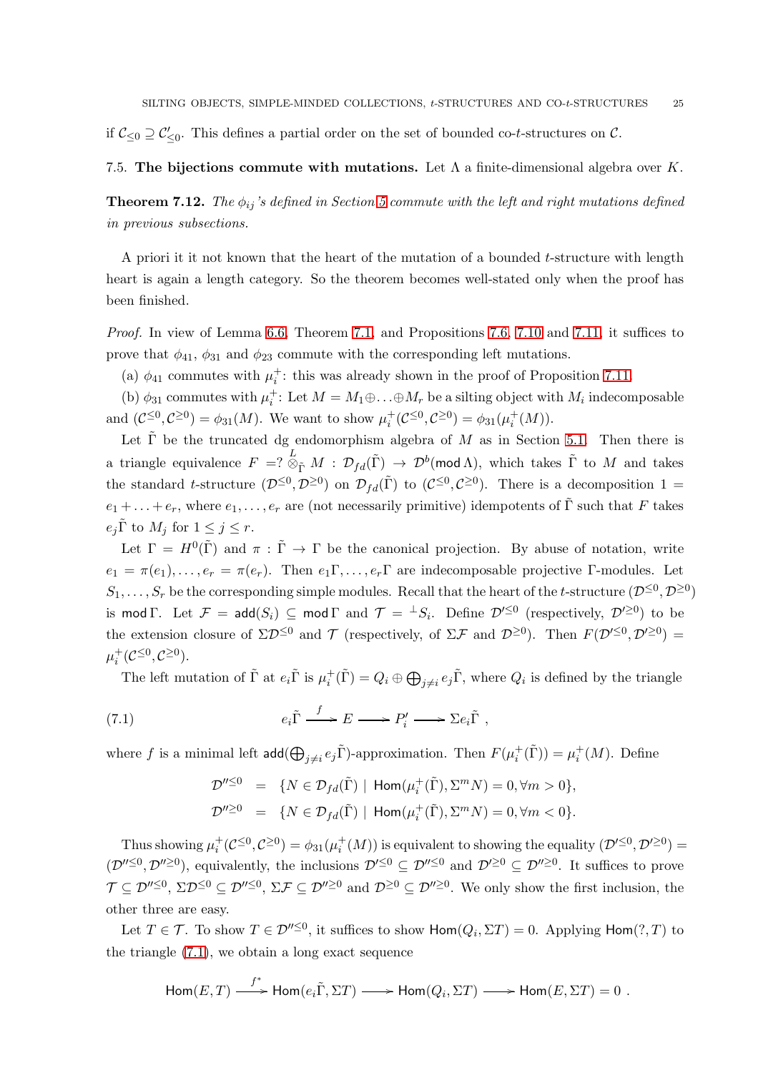if  $\mathcal{C}_{\leq 0} \supseteq \mathcal{C}'_{\leq 0}$ . This defines a partial order on the set of bounded co-t-structures on  $\mathcal{C}$ .

## 7.5. The bijections commute with mutations. Let  $\Lambda$  a finite-dimensional algebra over K.

<span id="page-24-0"></span>**Theorem 7.12.** The  $\phi_{ij}$ 's defined in Section [5](#page-10-0) commute with the left and right mutations defined in previous subsections.

A priori it it not known that the heart of the mutation of a bounded  $t$ -structure with length heart is again a length category. So the theorem becomes well-stated only when the proof has been finished.

Proof. In view of Lemma [6.6,](#page-17-4) Theorem [7.1,](#page-18-1) and Propositions 7.6, [7.10](#page-22-0) and [7.11,](#page-23-0) it suffices to prove that  $\phi_{41}$ ,  $\phi_{31}$  and  $\phi_{23}$  commute with the corresponding left mutations.

(a)  $\phi_{41}$  commutes with  $\mu_i^+$ : this was already shown in the proof of Proposition [7.11.](#page-23-0)

(b)  $\phi_{31}$  commutes with  $\mu_i^+$ : Let  $M = M_1 \oplus \ldots \oplus M_r$  be a silting object with  $M_i$  indecomposable and  $(C^{\leq 0}, C^{\geq 0}) = \phi_{31}(M)$ . We want to show  $\mu_i^+(\mathcal{C}^{\leq 0}, \mathcal{C}^{\geq 0}) = \phi_{31}(\mu_i^+(M))$ .

Let  $\tilde{\Gamma}$  be the truncated dg endomorphism algebra of M as in Section [5.1.](#page-11-0) Then there is a triangle equivalence  $F = ? \overset{L}{\otimes}_{\tilde{\Gamma}} M : \mathcal{D}_{fd}(\tilde{\Gamma}) \to \mathcal{D}^b(\text{mod }\Lambda)$ , which takes  $\tilde{\Gamma}$  to  $M$  and takes the standard t-structure  $(\mathcal{D}^{\leq 0}, \mathcal{D}^{\geq 0})$  on  $\mathcal{D}_{fd}(\tilde{\Gamma})$  to  $(\mathcal{C}^{\leq 0}, \mathcal{C}^{\geq 0})$ . There is a decomposition  $1 =$  $e_1 + \ldots + e_r$ , where  $e_1, \ldots, e_r$  are (not necessarily primitive) idempotents of  $\tilde{\Gamma}$  such that F takes  $e_i\tilde{\Gamma}$  to  $M_i$  for  $1 \leq j \leq r$ .

Let  $\Gamma = H^0(\tilde{\Gamma})$  and  $\pi : \tilde{\Gamma} \to \Gamma$  be the canonical projection. By abuse of notation, write  $e_1 = \pi(e_1), \ldots, e_r = \pi(e_r)$ . Then  $e_1 \Gamma, \ldots, e_r \Gamma$  are indecomposable projective Γ-modules. Let  $S_1, \ldots, S_r$  be the corresponding simple modules. Recall that the heart of the t-structure  $(\mathcal{D}^{\leq 0}, \mathcal{D}^{\geq 0})$ is mod  $\Gamma$ . Let  $\mathcal{F} = \mathsf{add}(S_i) \subseteq \mathsf{mod} \Gamma$  and  $\mathcal{T} = {}^{\perp}S_i$ . Define  $\mathcal{D}'^{\leq 0}$  (respectively,  $\mathcal{D}'^{\geq 0}$ ) to be the extension closure of  $\Sigma \mathcal{D}^{\leq 0}$  and  $\mathcal{T}$  (respectively, of  $\Sigma \mathcal{F}$  and  $\mathcal{D}^{\geq 0}$ ). Then  $F(\mathcal{D}'^{\leq 0}, \mathcal{D}'^{\geq 0}) =$  $\mu_i^+(\mathcal{C}^{\leq 0}, \mathcal{C}^{\geq 0}).$ 

The left mutation of  $\tilde{\Gamma}$  at  $e_i \tilde{\Gamma}$  is  $\mu_i^+(\tilde{\Gamma}) = Q_i \oplus \bigoplus_{j \neq i} e_j \tilde{\Gamma}$ , where  $Q_i$  is defined by the triangle

(7.1) 
$$
e_i \tilde{\Gamma} \xrightarrow{f} E \longrightarrow P'_i \longrightarrow \Sigma e_i \tilde{\Gamma} ,
$$

where f is a minimal left  $\text{add}(\bigoplus_{j\neq i}e_j\tilde{\Gamma})$ -approximation. Then  $F(\mu_i^+(\tilde{\Gamma}))=\mu_i^+(M)$ . Define

<span id="page-24-1"></span>
$$
\mathcal{D}^{"\leq 0} = \{ N \in \mathcal{D}_{fd}(\tilde{\Gamma}) \mid \text{Hom}(\mu_i^+(\tilde{\Gamma}), \Sigma^m N) = 0, \forall m > 0 \},
$$
  

$$
\mathcal{D}^{"\geq 0} = \{ N \in \mathcal{D}_{fd}(\tilde{\Gamma}) \mid \text{Hom}(\mu_i^+(\tilde{\Gamma}), \Sigma^m N) = 0, \forall m < 0 \}.
$$

Thus showing  $\mu_i^+(\mathcal{C}^{\leq 0}, \mathcal{C}^{\geq 0}) = \phi_{31}(\mu_i^+(M))$  is equivalent to showing the equality  $(\mathcal{D}'^{\leq 0}, \mathcal{D}'^{\geq 0}) =$  $(\mathcal{D}''^{\leq 0}, \mathcal{D}''^{\geq 0})$ , equivalently, the inclusions  $\mathcal{D}'^{\leq 0} \subseteq \mathcal{D}''^{\leq 0}$  and  $\mathcal{D}'^{\geq 0} \subseteq \mathcal{D}''^{\geq 0}$ . It suffices to prove  $\mathcal{T} \subseteq \mathcal{D}''^{\leq 0}, \Sigma \mathcal{D}^{\leq 0}, \Sigma \mathcal{F} \subseteq \mathcal{D}''^{\geq 0}$  and  $\mathcal{D}^{\geq 0} \subseteq \mathcal{D}''^{\geq 0}$ . We only show the first inclusion, the other three are easy.

Let  $T \in \mathcal{T}$ . To show  $T \in \mathcal{D}''^{\leq 0}$ , it suffices to show  $\mathsf{Hom}(Q_i, \Sigma T) = 0$ . Applying  $\mathsf{Hom}(?, T)$  to the triangle [\(7.1\)](#page-24-1), we obtain a long exact sequence

$$
\mathsf{Hom}(E,T) \stackrel{f^*}{\longrightarrow} \mathsf{Hom}(e_i\tilde{\Gamma},\Sigma T) \longrightarrow \mathsf{Hom}(Q_i,\Sigma T) \longrightarrow \mathsf{Hom}(E,\Sigma T) = 0 \ .
$$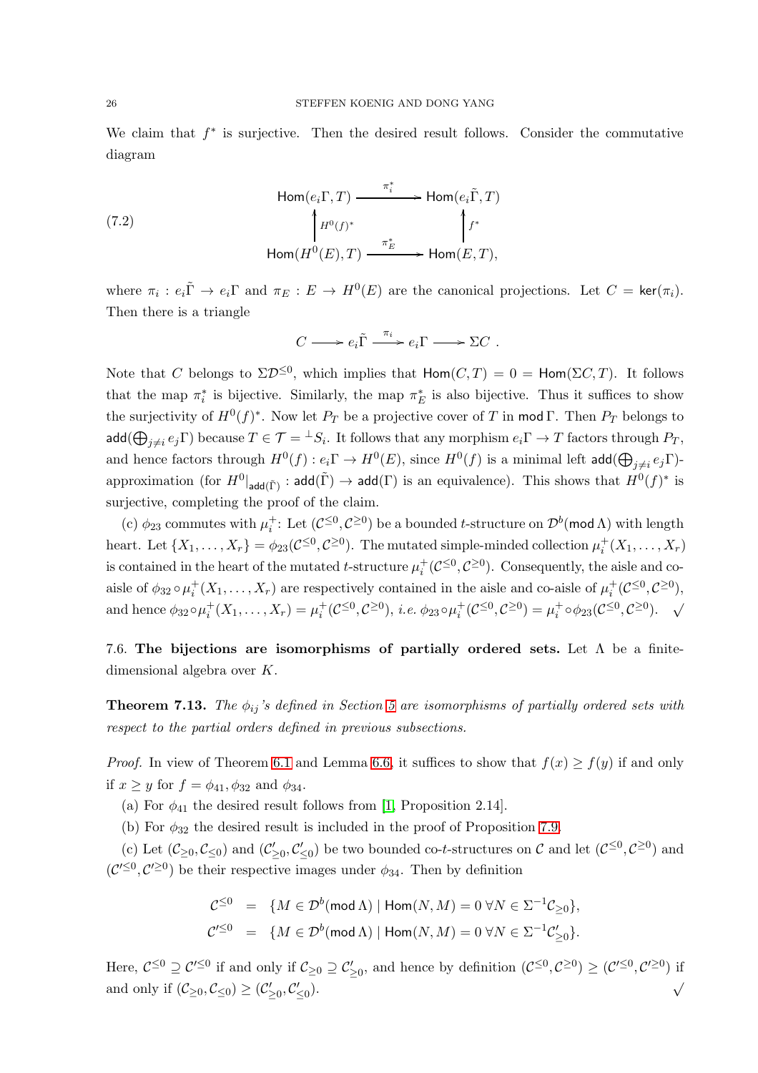We claim that  $f^*$  is surjective. Then the desired result follows. Consider the commutative diagram

(7.2)  
\n
$$
\begin{array}{ccc}\n&\text{Hom}(e_i\Gamma, T) \xrightarrow{\pi_i^*} \text{Hom}(e_i\tilde{\Gamma}, T) \\
&\downarrow H^0(f)^* \\
&\text{Hom}(H^0(E), T) \xrightarrow{\pi_E^*} \text{Hom}(E, T),\n\end{array}
$$

where  $\pi_i : e_i \tilde{\Gamma} \to e_i \Gamma$  and  $\pi_E : E \to H^0(E)$  are the canonical projections. Let  $C = \text{ker}(\pi_i)$ . Then there is a triangle

$$
C \longrightarrow e_i \tilde{\Gamma} \xrightarrow{\pi_i} e_i \Gamma \longrightarrow \Sigma C .
$$

Note that C belongs to  $\Sigma \mathcal{D}^{\leq 0}$ , which implies that  $\mathsf{Hom}(C,T) = 0 = \mathsf{Hom}(\Sigma C,T)$ . It follows that the map  $\pi_i^*$  is bijective. Similarly, the map  $\pi_E^*$  is also bijective. Thus it suffices to show the surjectivity of  $H^0(f)^*$ . Now let  $P_T$  be a projective cover of T in mod  $\Gamma$ . Then  $P_T$  belongs to  $\mathsf{add}(\bigoplus_{j\neq i}e_j\Gamma) \text{ because } T\in\mathcal{T}={}^\perp S_i.$  It follows that any morphism  $e_i\Gamma\to T$  factors through  $P_T,$ and hence factors through  $H^0(f) : e_i \Gamma \to H^0(E)$ , since  $H^0(f)$  is a minimal left add $(\bigoplus_{j \neq i} e_j \Gamma)$ approximation (for  $H^0|_{\mathsf{add}(\tilde{\Gamma})}:\mathsf{add}(\tilde{\Gamma})\to \mathsf{add}(\Gamma)$  is an equivalence). This shows that  $H^0(f)^*$  is surjective, completing the proof of the claim.

(c)  $\phi_{23}$  commutes with  $\mu_i^+$ : Let  $(\mathcal{C}^{\leq 0}, \mathcal{C}^{\geq 0})$  be a bounded t-structure on  $\mathcal{D}^b(\text{mod }\Lambda)$  with length heart. Let  $\{X_1,\ldots,X_r\}=\phi_{23}(\mathcal{C}^{\leq 0},\mathcal{C}^{\geq 0})$ . The mutated simple-minded collection  $\mu_i^+(X_1,\ldots,X_r)$ is contained in the heart of the mutated t-structure  $\mu_i^+(\mathcal{C}^{\leq 0}, \mathcal{C}^{\geq 0})$ . Consequently, the aisle and coaisle of  $\phi_{32} \circ \mu_i^+(X_1,\ldots,X_r)$  are respectively contained in the aisle and co-aisle of  $\mu_i^+(\mathcal{C}^{\leq 0},\mathcal{C}^{\geq 0}),$ and hence  $\phi_{32} \circ \mu_i^+(X_1, \ldots, X_r) = \mu_i^+(\mathcal{C}^{\leq 0}, \mathcal{C}^{\geq 0}), \ i.e. \ \phi_{23} \circ \mu_i^+(\mathcal{C}^{\leq 0}, \mathcal{C}^{\geq 0}) = \mu_i^+ \circ \phi_{23}(\mathcal{C}^{\leq 0}, \mathcal{C}^{\geq 0}).$ 

7.6. The bijections are isomorphisms of partially ordered sets. Let  $\Lambda$  be a finitedimensional algebra over K.

<span id="page-25-0"></span>**Theorem 7.13.** The  $\phi_{ij}$ 's defined in Section [5](#page-10-0) are isomorphisms of partially ordered sets with respect to the partial orders defined in previous subsections.

*Proof.* In view of Theorem [6.1](#page-17-1) and Lemma [6.6,](#page-17-4) it suffices to show that  $f(x) \ge f(y)$  if and only if  $x \geq y$  for  $f = \phi_{41}, \phi_{32}$  and  $\phi_{34}$ .

- (a) For  $\phi_{41}$  the desired result follows from [\[1,](#page-30-6) Proposition 2.14].
- (b) For  $\phi_{32}$  the desired result is included in the proof of Proposition [7.9.](#page-22-1)

(c) Let  $(\mathcal{C}_{\geq 0}, \mathcal{C}_{\leq 0})$  and  $(\mathcal{C}'_{\geq 0}, \mathcal{C}'_{\leq 0})$  be two bounded co-t-structures on  $\mathcal{C}$  and let  $(\mathcal{C}^{\leq 0}, \mathcal{C}^{\geq 0})$  and  $(\mathcal{C}^{\prime \leq 0}, \mathcal{C}^{\prime \geq 0})$  be their respective images under  $\phi_{34}$ . Then by definition

$$
\begin{array}{rcl}\n\mathcal{C}^{\leq 0} & = & \{M \in \mathcal{D}^b(\operatorname{mod} \Lambda) \mid \operatorname{Hom}(N, M) = 0 \; \forall N \in \Sigma^{-1} \mathcal{C}_{\geq 0} \}, \\
\mathcal{C}'^{\leq 0} & = & \{M \in \mathcal{D}^b(\operatorname{mod} \Lambda) \mid \operatorname{Hom}(N, M) = 0 \; \forall N \in \Sigma^{-1} \mathcal{C}'_{\geq 0} \}.\n\end{array}
$$

Here,  $C^{\leq 0} \supseteq C'^{\leq 0}$  if and only if  $C_{\geq 0} \supseteq C'_{\geq 0}$ , and hence by definition  $(C^{\leq 0}, C^{\geq 0}) \geq (C'^{\leq 0}, C'^{\geq 0})$  if and only if  $(\mathcal{C}_{\geq 0}, \mathcal{C}_{\leq 0}) \geq (\mathcal{C}'_{\geq 0}, \mathcal{C}'_{\leq 0})$ ). √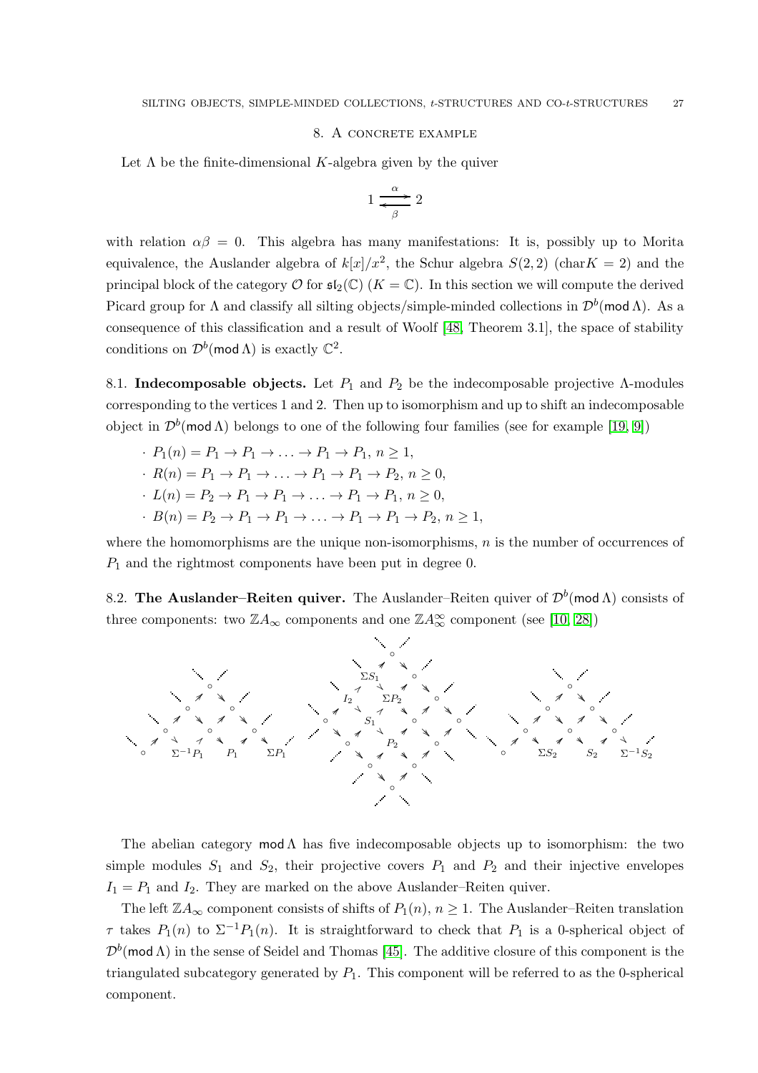### 8. A concrete example

<span id="page-26-0"></span>Let  $\Lambda$  be the finite-dimensional K-algebra given by the quiver

$$
1 \xrightarrow{\alpha} 2
$$

with relation  $\alpha\beta = 0$ . This algebra has many manifestations: It is, possibly up to Morita equivalence, the Auslander algebra of  $k[x]/x^2$ , the Schur algebra  $S(2, 2)$  (char $K = 2$ ) and the principal block of the category  $\mathcal O$  for  $\mathfrak{sl}_2(\mathbb C)$  ( $K=\mathbb C$ ). In this section we will compute the derived Picard group for  $\Lambda$  and classify all silting objects/simple-minded collections in  $\mathcal{D}^b(\text{mod }\Lambda)$ . As a consequence of this classification and a result of Woolf [\[48,](#page-31-20) Theorem 3.1], the space of stability conditions on  $\mathcal{D}^b(\text{mod }\Lambda)$  is exactly  $\mathbb{C}^2$ .

8.1. Indecomposable objects. Let  $P_1$  and  $P_2$  be the indecomposable projective Λ-modules corresponding to the vertices 1 and 2. Then up to isomorphism and up to shift an indecomposable object in  $\mathcal{D}^b(\text{mod }\Lambda)$  belongs to one of the following four families (see for example [\[19,](#page-30-22) [9\]](#page-30-23))

- $\therefore$   $P_1(n) = P_1 \rightarrow P_1 \rightarrow \ldots \rightarrow P_1 \rightarrow P_1, n \ge 1,$
- $\cdot$   $R(n) = P_1 \rightarrow P_1 \rightarrow \ldots \rightarrow P_1 \rightarrow P_1 \rightarrow P_2, n \geq 0$
- $\cdot L(n) = P_2 \rightarrow P_1 \rightarrow P_1 \rightarrow \ldots \rightarrow P_1 \rightarrow P_1, n \geq 0,$
- $\cdot$   $B(n) = P_2 \rightarrow P_1 \rightarrow P_1 \rightarrow \ldots \rightarrow P_1 \rightarrow P_1 \rightarrow P_2, n \ge 1,$

where the homomorphisms are the unique non-isomorphisms,  $n$  is the number of occurrences of  $P_1$  and the rightmost components have been put in degree 0.

8.2. The Auslander–Reiten quiver. The Auslander–Reiten quiver of  $\mathcal{D}^b(\text{mod }\Lambda)$  consists of three components: two  $\mathbb{Z}A_{\infty}$  components and one  $\mathbb{Z}A_{\infty}^{\infty}$  component (see [\[10,](#page-30-24) [28\]](#page-31-21))



The abelian category  $mod \Lambda$  has five indecomposable objects up to isomorphism: the two simple modules  $S_1$  and  $S_2$ , their projective covers  $P_1$  and  $P_2$  and their injective envelopes  $I_1 = P_1$  and  $I_2$ . They are marked on the above Auslander–Reiten quiver.

The left  $\mathbb{Z}A_{\infty}$  component consists of shifts of  $P_1(n)$ ,  $n \geq 1$ . The Auslander–Reiten translation  $\tau$  takes  $P_1(n)$  to  $\Sigma^{-1}P_1(n)$ . It is straightforward to check that  $P_1$  is a 0-spherical object of  $\mathcal{D}^b(\text{mod }\Lambda)$  in the sense of Seidel and Thomas [\[45\]](#page-31-22). The additive closure of this component is the triangulated subcategory generated by  $P_1$ . This component will be referred to as the 0-spherical component.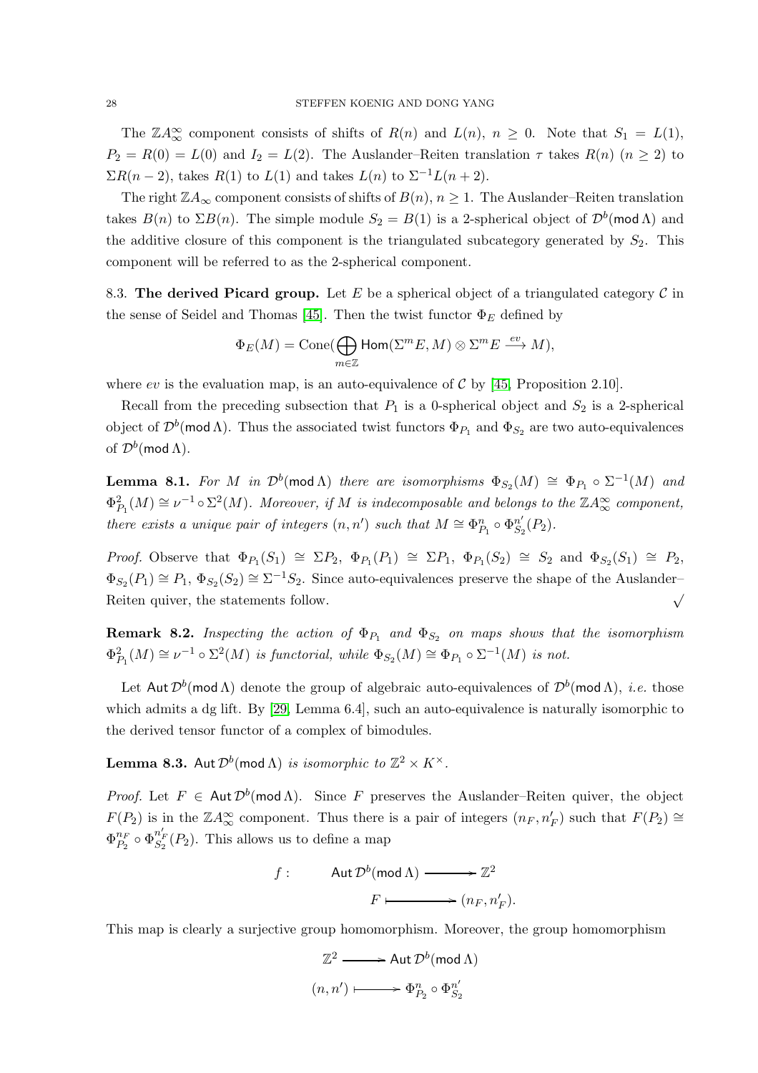The  $\mathbb{Z}A_{\infty}^{\infty}$  component consists of shifts of  $R(n)$  and  $L(n)$ ,  $n \geq 0$ . Note that  $S_1 = L(1)$ ,  $P_2 = R(0) = L(0)$  and  $I_2 = L(2)$ . The Auslander–Reiten translation  $\tau$  takes  $R(n)$   $(n \geq 2)$  to  $\Sigma R(n-2)$ , takes  $R(1)$  to  $L(1)$  and takes  $L(n)$  to  $\Sigma^{-1}L(n+2)$ .

The right  $\mathbb{Z}A_{\infty}$  component consists of shifts of  $B(n)$ ,  $n \geq 1$ . The Auslander–Reiten translation takes  $B(n)$  to  $\Sigma B(n)$ . The simple module  $S_2 = B(1)$  is a 2-spherical object of  $\mathcal{D}^b(\text{mod }\Lambda)$  and the additive closure of this component is the triangulated subcategory generated by  $S_2$ . This component will be referred to as the 2-spherical component.

8.3. The derived Picard group. Let E be a spherical object of a triangulated category  $\mathcal C$  in the sense of Seidel and Thomas [\[45\]](#page-31-22). Then the twist functor  $\Phi_E$  defined by

$$
\Phi_E(M) = \operatorname{Cone}(\bigoplus_{m \in \mathbb{Z}} \operatorname{Hom}(\Sigma^m E, M) \otimes \Sigma^m E \xrightarrow{ev} M),
$$

where ev is the evaluation map, is an auto-equivalence of  $\mathcal{C}$  by [\[45,](#page-31-22) Proposition 2.10].

Recall from the preceding subsection that  $P_1$  is a 0-spherical object and  $S_2$  is a 2-spherical object of  $\mathcal{D}^b(\text{mod }\Lambda)$ . Thus the associated twist functors  $\Phi_{P_1}$  and  $\Phi_{S_2}$  are two auto-equivalences of  $\mathcal{D}^b(\text{mod }\Lambda)$ .

**Lemma 8.1.** For M in  $\mathcal{D}^b(\text{mod }\Lambda)$  there are isomorphisms  $\Phi_{S_2}(M) \cong \Phi_{P_1} \circ \Sigma^{-1}(M)$  and  $\Phi_{P_1}^2(M) \cong \nu^{-1} \circ \Sigma^2(M)$ . Moreover, if M is indecomposable and belongs to the  $\mathbb{Z}A_\infty^\infty$  component, there exists a unique pair of integers  $(n, n')$  such that  $M \cong \Phi_{P_1}^n \circ \Phi_{S_2}^{n'}$  ${}^{n'}_{S_2}(P_2)$ .

Proof. Observe that  $\Phi_{P_1}(S_1) \cong \Sigma P_2$ ,  $\Phi_{P_1}(P_1) \cong \Sigma P_1$ ,  $\Phi_{P_1}(S_2) \cong S_2$  and  $\Phi_{S_2}(S_1) \cong P_2$ ,  $\Phi_{S_2}(P_1) \cong P_1, \Phi_{S_2}(S_2) \cong \Sigma^{-1}S_2$ . Since auto-equivalences preserve the shape of the Auslander– Reiten quiver, the statements follow.  $\sqrt{}$ 

**Remark 8.2.** Inspecting the action of  $\Phi_{P_1}$  and  $\Phi_{S_2}$  on maps shows that the isomorphism  $\Phi_{P_1}^2(M) \cong \nu^{-1} \circ \Sigma^2(M)$  is functorial, while  $\Phi_{S_2}(M) \cong \Phi_{P_1} \circ \Sigma^{-1}(M)$  is not.

Let  ${\sf Aut}\,\mathcal{D}^b(\textsf{mod}\,\Lambda)$  denote the group of algebraic auto-equivalences of  $\mathcal{D}^b(\textsf{mod}\,\Lambda),\ i.e.$  those which admits a dg lift. By [\[29,](#page-31-8) Lemma 6.4], such an auto-equivalence is naturally isomorphic to the derived tensor functor of a complex of bimodules.

**Lemma 8.3.** Aut  $\mathcal{D}^b(\text{mod }\Lambda)$  is isomorphic to  $\mathbb{Z}^2 \times K^{\times}$ .

*Proof.* Let  $F \in \text{Aut } \mathcal{D}^b(\text{mod }\Lambda)$ . Since F preserves the Auslander–Reiten quiver, the object  $F(P_2)$  is in the  $\mathbb{Z}A_{\infty}^{\infty}$  component. Thus there is a pair of integers  $(n_F, n'_F)$  such that  $F(P_2) \cong$  $\Phi_{P_2}^{n_F}$  $\sum_{P_2}^{n_F} \circ \Phi_{S_2}^{n'_F}(P_2)$ . This allows us to define a map

$$
f: \qquad \operatorname{Aut} \mathcal{D}^b(\operatorname{mod} \Lambda) \longrightarrow \mathbb{Z}^2
$$
\n
$$
F \longmapsto (n_F, n'_F).
$$

This map is clearly a surjective group homomorphism. Moreover, the group homomorphism

$$
\mathbb{Z}^2 \longrightarrow \text{Aut } \mathcal{D}^b(\text{mod } \Lambda)
$$

$$
(n, n') \longmapsto \Phi_{P_2}^n \circ \Phi_{S_2}^{n'}
$$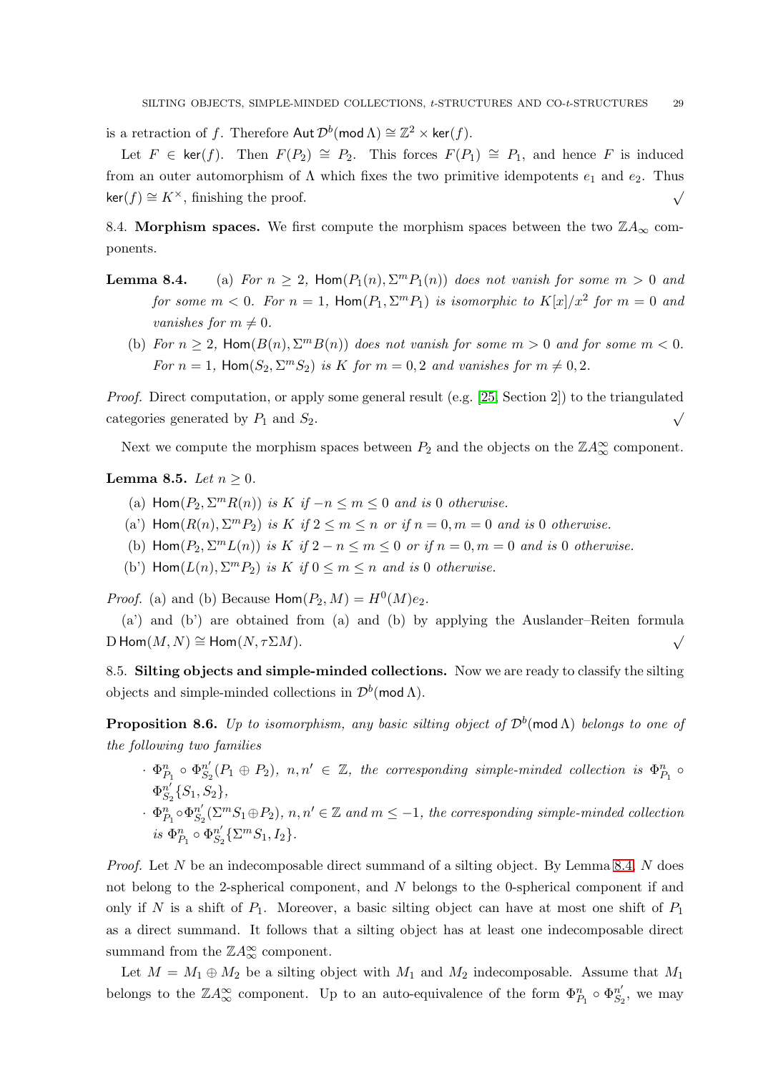is a retraction of f. Therefore  $\mathsf{Aut}\,\mathcal{D}^b(\mathsf{mod}\,\Lambda)\cong \mathbb{Z}^2\times\mathsf{ker}(f).$ 

Let  $F \in \text{ker}(f)$ . Then  $F(P_2) \cong P_2$ . This forces  $F(P_1) \cong P_1$ , and hence F is induced from an outer automorphism of  $\Lambda$  which fixes the two primitive idempotents  $e_1$  and  $e_2$ . Thus  $\ker(f) \cong K^{\times}$ , finishing the proof.  $\check{\mathcal{O}}$ 

8.4. Morphism spaces. We first compute the morphism spaces between the two  $\mathbb{Z}A_{\infty}$  components.

- **Lemma 8.4.** (a) For  $n \geq 2$ , Hom $(P_1(n), \Sigma^m P_1(n))$  does not vanish for some  $m > 0$  and for some  $m < 0$ . For  $n = 1$ , Hom $(P_1, \Sigma^m P_1)$  is isomorphic to  $K[x]/x^2$  for  $m = 0$  and vanishes for  $m \neq 0$ .
	- (b) For  $n \geq 2$ , Hom $(B(n), \Sigma^m B(n))$  does not vanish for some  $m > 0$  and for some  $m < 0$ . For  $n = 1$ , Hom $(S_2, \Sigma^m S_2)$  is K for  $m = 0, 2$  and vanishes for  $m \neq 0, 2$ .

Proof. Direct computation, or apply some general result (e.g. [\[25,](#page-30-25) Section 2]) to the triangulated categories generated by  $P_1$  and  $S_2$ . √

Next we compute the morphism spaces between  $P_2$  and the objects on the  $\mathbb{Z}A_{\infty}^{\infty}$  component.

## <span id="page-28-0"></span>Lemma 8.5. Let  $n \geq 0$ .

- (a)  $\text{Hom}(P_2, \Sigma^m R(n))$  is  $K$  if  $-n \leq m \leq 0$  and is 0 otherwise.
- (a)  $\text{Hom}(R(n), \Sigma^m P_2)$  is  $K$  if  $2 \leq m \leq n$  or if  $n = 0, m = 0$  and is 0 otherwise.
- (b)  $\text{Hom}(P_2, \Sigma^m L(n))$  is  $K$  if  $2 n \le m \le 0$  or if  $n = 0, m = 0$  and is 0 otherwise.
- (b')  $\text{Hom}(L(n), \Sigma^m P_2)$  is  $K$  if  $0 \le m \le n$  and is 0 otherwise.

*Proof.* (a) and (b) Because  $\text{Hom}(P_2, M) = H^0(M)e_2$ .

(a') and (b') are obtained from (a) and (b) by applying the Auslander–Reiten formula  $D \operatorname{Hom}(M, N) \cong \operatorname{Hom}(N, \tau \Sigma M).$   $\checkmark$ 

8.5. Silting objects and simple-minded collections. Now we are ready to classify the silting objects and simple-minded collections in  $\mathcal{D}^b(\text{mod }\Lambda)$ .

**Proposition 8.6.** Up to isomorphism, any basic silting object of  $\mathcal{D}^b$ (mod  $\Lambda$ ) belongs to one of the following two families

- $\cdot$   $\Phi_{P_1}^n \circ \Phi_{S_2}^{n'}$  $S_2^{\prime}(P_1 \oplus P_2), n, n' \in \mathbb{Z}$ , the corresponding simple-minded collection is  $\Phi_{P_1}^n \circ$  $\Phi^{n'}_{S}$  ${}^{n'}_{S_2}\{S_1, S_2\},\$
- $\cdot$   $\Phi_{P_1}^n \circ \Phi_{S_2}^{n'}$  $S_2^{\prime}(\Sigma^m S_1 \oplus P_2), n, n' \in \mathbb{Z}$  and  $m \leq -1$ , the corresponding simple-minded collection  $i s \Phi_{P_1}^n \circ \Phi_{S_2}^{n'}$  ${}_{S_2}^{n'}$ { $\Sigma^m S_1$ ,  $I_2$ }.

*Proof.* Let N be an indecomposable direct summand of a silting object. By Lemma 8.4, N does not belong to the 2-spherical component, and N belongs to the 0-spherical component if and only if N is a shift of  $P_1$ . Moreover, a basic silting object can have at most one shift of  $P_1$ as a direct summand. It follows that a silting object has at least one indecomposable direct summand from the  $\mathbb{Z}A_\infty^\infty$  component.

Let  $M = M_1 \oplus M_2$  be a silting object with  $M_1$  and  $M_2$  indecomposable. Assume that  $M_1$ belongs to the  $\mathbb{Z}A_{\infty}^{\infty}$  component. Up to an auto-equivalence of the form  $\Phi_{P_1}^n \circ \Phi_{S_2}^{n'}$  $\frac{n'}{S_2}$ , we may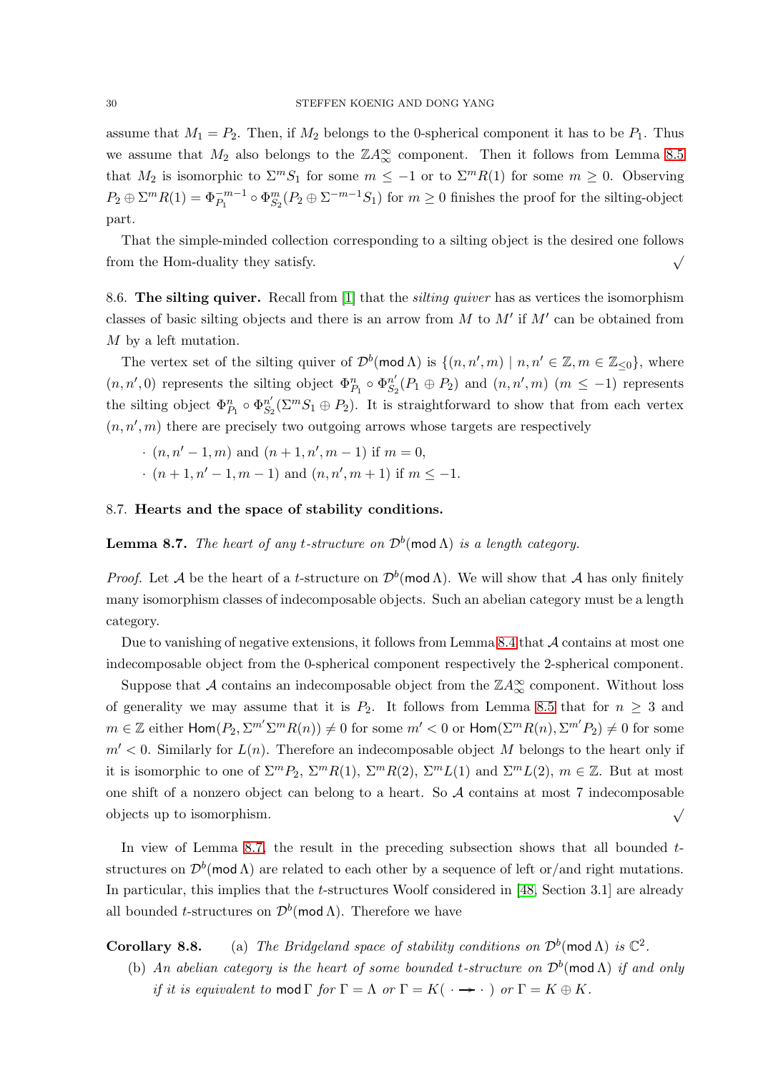assume that  $M_1 = P_2$ . Then, if  $M_2$  belongs to the 0-spherical component it has to be  $P_1$ . Thus we assume that  $M_2$  also belongs to the  $\mathbb{Z}A_{\infty}^{\infty}$  component. Then it follows from Lemma [8.5](#page-28-0) that  $M_2$  is isomorphic to  $\sum^m S_1$  for some  $m \leq -1$  or to  $\sum^m R(1)$  for some  $m \geq 0$ . Observing  $P_2 \oplus \Sigma^m R(1) = \Phi_{P_1}^{-m-1} \circ \Phi_{S_2}^m (P_2 \oplus \Sigma^{-m-1} S_1)$  for  $m \ge 0$  finishes the proof for the silting-object part.

That the simple-minded collection corresponding to a silting object is the desired one follows from the Hom-duality they satisfy.  $\sqrt{ }$ 

8.6. The silting quiver. Recall from [\[1\]](#page-30-6) that the *silting quiver* has as vertices the isomorphism classes of basic silting objects and there is an arrow from  $M$  to  $M'$  if  $M'$  can be obtained from M by a left mutation.

The vertex set of the silting quiver of  $\mathcal{D}^b(\text{mod }\Lambda)$  is  $\{(n, n', m) \mid n, n' \in \mathbb{Z}, m \in \mathbb{Z}_{\leq 0}\}$ , where  $(n, n', 0)$  represents the silting object  $\Phi_{P_1}^n \circ \Phi_{S_2}^{n'}$  $S'_2(P_1 \oplus P_2)$  and  $(n, n', m)$   $(m \le -1)$  represents the silting object  $\Phi_{P_1}^n \circ \Phi_{S_2}^{n'}$  $S_2^{\prime}(\Sigma^m S_1 \oplus P_2)$ . It is straightforward to show that from each vertex  $(n, n', m)$  there are precisely two outgoing arrows whose targets are respectively

- $(n, n' 1, m)$  and  $(n + 1, n', m 1)$  if  $m = 0$ ,
- $\cdot$   $(n+1, n'-1, m-1)$  and  $(n, n', m+1)$  if  $m \le -1$ .

# 8.7. Hearts and the space of stability conditions.

<span id="page-29-0"></span>**Lemma 8.7.** The heart of any t-structure on  $\mathcal{D}^b(\text{mod }\Lambda)$  is a length category.

*Proof.* Let A be the heart of a *t*-structure on  $\mathcal{D}^b(\text{mod }\Lambda)$ . We will show that A has only finitely many isomorphism classes of indecomposable objects. Such an abelian category must be a length category.

Due to vanishing of negative extensions, it follows from Lemma 8.4 that  $\mathcal A$  contains at most one indecomposable object from the 0-spherical component respectively the 2-spherical component.

Suppose that  $\mathcal A$  contains an indecomposable object from the  $\mathbb ZA_\infty^\infty$  component. Without loss of generality we may assume that it is  $P_2$ . It follows from Lemma [8.5](#page-28-0) that for  $n \geq 3$  and  $m \in \mathbb{Z}$  either  $\textsf{Hom}(P_2, \Sigma^{m'} \Sigma^m R(n)) \neq 0$  for some  $m' < 0$  or  $\textsf{Hom}(\Sigma^m R(n), \Sigma^{m'} P_2) \neq 0$  for some  $m' < 0$ . Similarly for  $L(n)$ . Therefore an indecomposable object M belongs to the heart only if it is isomorphic to one of  $\Sigma^m P_2$ ,  $\Sigma^m R(1)$ ,  $\Sigma^m R(2)$ ,  $\Sigma^m L(1)$  and  $\Sigma^m L(2)$ ,  $m \in \mathbb{Z}$ . But at most one shift of a nonzero object can belong to a heart. So A contains at most 7 indecomposable objects up to isomorphism.  $\sqrt{ }$ 

In view of Lemma [8.7,](#page-29-0) the result in the preceding subsection shows that all bounded  $t$ structures on  $\mathcal{D}^b(\text{mod }\Lambda)$  are related to each other by a sequence of left or/and right mutations. In particular, this implies that the t-structures Woolf considered in [\[48,](#page-31-20) Section 3.1] are already all bounded *t*-structures on  $\mathcal{D}^b(\text{mod }\Lambda)$ . Therefore we have

**Corollary 8.8.** (a) The Bridgeland space of stability conditions on  $\mathcal{D}^b(\text{mod }\Lambda)$  is  $\mathbb{C}^2$ .

(b) An abelian category is the heart of some bounded t-structure on  $\mathcal{D}^b(\text{mod }\Lambda)$  if and only if it is equivalent to mod  $\Gamma$  for  $\Gamma = \Lambda$  or  $\Gamma = K(\cdot \rightarrow \cdot)$  or  $\Gamma = K \oplus K$ .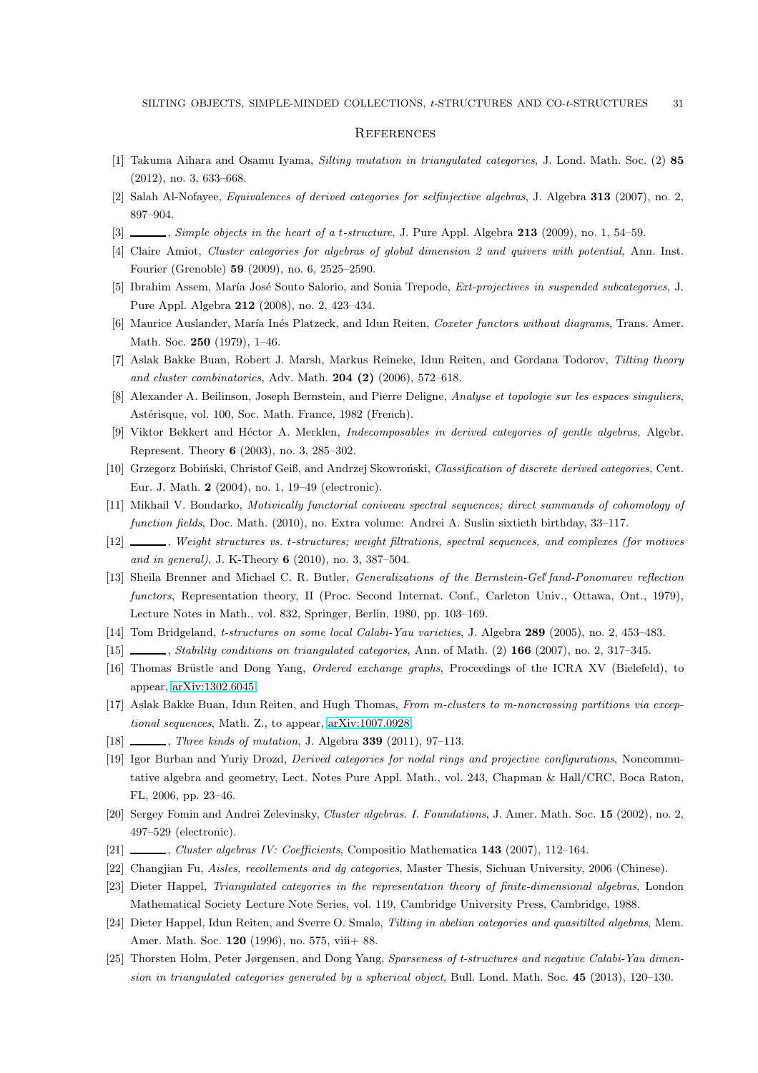### <span id="page-30-0"></span>**REFERENCES**

- <span id="page-30-15"></span><span id="page-30-6"></span>[1] Takuma Aihara and Osamu Iyama, Silting mutation in triangulated categories, J. Lond. Math. Soc. (2) 85 (2012), no. 3, 633–668.
- <span id="page-30-7"></span>[2] Salah Al-Nofayee, Equivalences of derived categories for selfinjective algebras, J. Algebra 313 (2007), no. 2, 897–904.
- <span id="page-30-14"></span>[3]  $\ldots$ , Simple objects in the heart of a t-structure, J. Pure Appl. Algebra 213 (2009), no. 1, 54–59.
- <span id="page-30-5"></span>[4] Claire Amiot, Cluster categories for algebras of global dimension 2 and quivers with potential, Ann. Inst. Fourier (Grenoble) 59 (2009), no. 6, 2525–2590.
- <span id="page-30-19"></span>[5] Ibrahim Assem, María José Souto Salorio, and Sonia Trepode, Ext-projectives in suspended subcategories, J. Pure Appl. Algebra 212 (2008), no. 2, 423–434.
- <span id="page-30-3"></span>[6] Maurice Auslander, María Inés Platzeck, and Idun Reiten, Coxeter functors without diagrams, Trans. Amer. Math. Soc. 250 (1979), 1–46.
- <span id="page-30-11"></span>[7] Aslak Bakke Buan, Robert J. Marsh, Markus Reineke, Idun Reiten, and Gordana Todorov, Tilting theory and cluster combinatorics, Adv. Math.  $204$   $(2)$   $(2006)$ , 572–618.
- <span id="page-30-23"></span>[8] Alexander A. Beilinson, Joseph Bernstein, and Pierre Deligne, Analyse et topologie sur les espaces singuliers, Astérisque, vol. 100, Soc. Math. France, 1982 (French).
- <span id="page-30-24"></span>[9] Viktor Bekkert and Héctor A. Merklen, *Indecomposables in derived categories of gentle algebras*, Algebr. Represent. Theory 6 (2003), no. 3, 285–302.
- <span id="page-30-16"></span>[10] Grzegorz Bobiński, Christof Geiß, and Andrzej Skowroński, Classification of discrete derived categories, Cent. Eur. J. Math. 2 (2004), no. 1, 19–49 (electronic).
- <span id="page-30-9"></span>[11] Mikhail V. Bondarko, Motivically functorial coniveau spectral sequences; direct summands of cohomology of function fields, Doc. Math. (2010), no. Extra volume: Andrei A. Suslin sixtieth birthday, 33–117.
- <span id="page-30-18"></span>[12]  $\_\_\_\_\_\_\_\$  Weight structures vs. t-structures; weight filtrations, spectral sequences, and complexes (for motives and in general), J. K-Theory 6 (2010), no. 3, 387–504.
- [13] Sheila Brenner and Michael C. R. Butler, *Generalizations of the Bernstein-Gel' fand-Ponomarev reflection* functors, Representation theory, II (Proc. Second Internat. Conf., Carleton Univ., Ottawa, Ont., 1979), Lecture Notes in Math., vol. 832, Springer, Berlin, 1980, pp. 103–169.
- <span id="page-30-20"></span><span id="page-30-12"></span>[14] Tom Bridgeland, t-structures on some local Calabi-Yau varieties, J. Algebra 289 (2005), no. 2, 453–483.
- <span id="page-30-4"></span>[15] , Stability conditions on triangulated categories, Ann. of Math. (2) 166 (2007), no. 2, 317–345.
- <span id="page-30-8"></span>[16] Thomas Brüstle and Dong Yang, *Ordered exchange graphs*, Proceedings of the ICRA XV (Bielefeld), to appear, [arXiv:1302.6045.](http://arxiv.org/abs/1302.6045)
- <span id="page-30-17"></span>[17] Aslak Bakke Buan, Idun Reiten, and Hugh Thomas, From m-clusters to m-noncrossing partitions via exceptional sequences, Math. Z., to appear, [arXiv:1007.0928.](http://arxiv.org/abs/1007.0928)
- <span id="page-30-22"></span>[18] , Three kinds of mutation, J. Algebra 339 (2011), 97–113.
- [19] Igor Burban and Yuriy Drozd, Derived categories for nodal rings and projective configurations, Noncommutative algebra and geometry, Lect. Notes Pure Appl. Math., vol. 243, Chapman & Hall/CRC, Boca Raton, FL, 2006, pp. 23–46.
- <span id="page-30-2"></span><span id="page-30-1"></span>[20] Sergey Fomin and Andrei Zelevinsky, Cluster algebras. I. Foundations, J. Amer. Math. Soc. 15 (2002), no. 2, 497–529 (electronic).
- <span id="page-30-13"></span>[21] , Cluster algebras IV: Coefficients, Compositio Mathematica 143 (2007), 112–164.
- <span id="page-30-10"></span>[22] Changjian Fu, Aisles, recollements and dg categories, Master Thesis, Sichuan University, 2006 (Chinese).
- <span id="page-30-21"></span>[23] Dieter Happel, Triangulated categories in the representation theory of finite-dimensional algebras, London Mathematical Society Lecture Note Series, vol. 119, Cambridge University Press, Cambridge, 1988.
- <span id="page-30-25"></span>[24] Dieter Happel, Idun Reiten, and Sverre O. Smalø, Tilting in abelian categories and quasitilted algebras, Mem. Amer. Math. Soc. 120 (1996), no. 575, viii+ 88.
- [25] Thorsten Holm, Peter Jørgensen, and Dong Yang, Sparseness of t-structures and negative Calabi-Yau dimension in triangulated categories generated by a spherical object, Bull. Lond. Math. Soc. 45 (2013), 120–130.